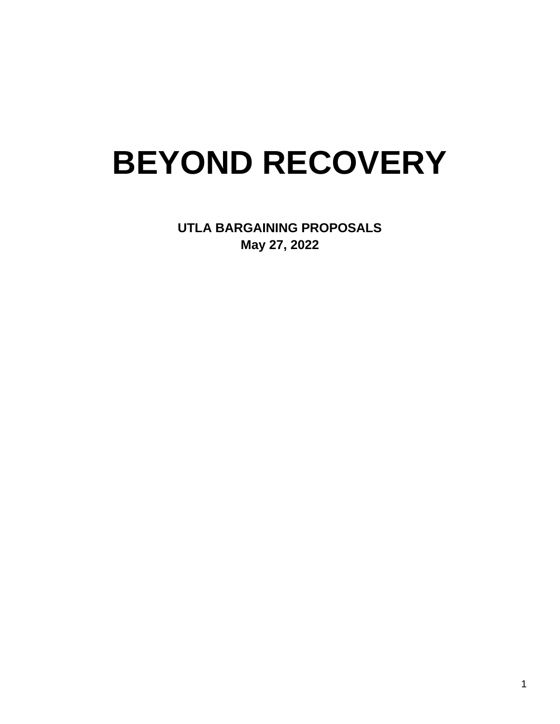# **BEYOND RECOVERY**

**UTLA BARGAINING PROPOSALS May 27, 2022**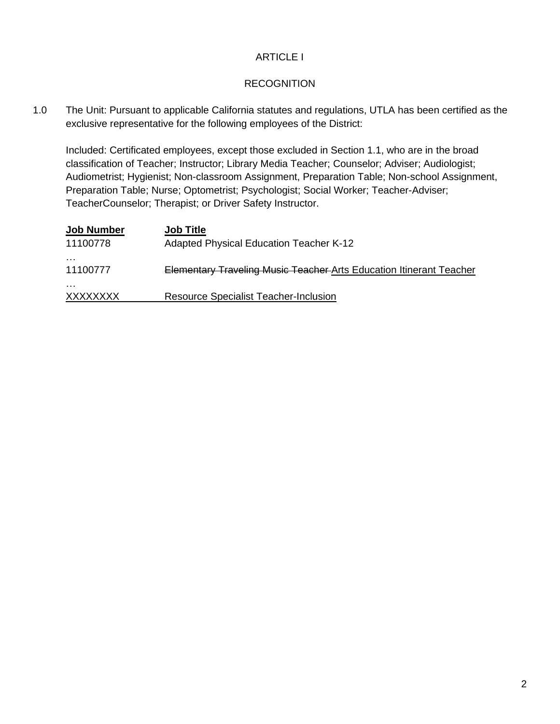#### ARTICLE I

#### **RECOGNITION**

1.0 The Unit: Pursuant to applicable California statutes and regulations, UTLA has been certified as the exclusive representative for the following employees of the District:

Included: Certificated employees, except those excluded in Section 1.1, who are in the broad classification of Teacher; Instructor; Library Media Teacher; Counselor; Adviser; Audiologist; Audiometrist; Hygienist; Non-classroom Assignment, Preparation Table; Non-school Assignment, Preparation Table; Nurse; Optometrist; Psychologist; Social Worker; Teacher-Adviser; TeacherCounselor; Therapist; or Driver Safety Instructor.

| <b>Job Number</b>    | <b>Job Title</b>                                                           |
|----------------------|----------------------------------------------------------------------------|
| 11100778             | <b>Adapted Physical Education Teacher K-12</b>                             |
| .<br>11100777        | <b>Elementary Traveling Music Teacher Arts Education Itinerant Teacher</b> |
| .<br><b>XXXXXXXX</b> | <b>Resource Specialist Teacher-Inclusion</b>                               |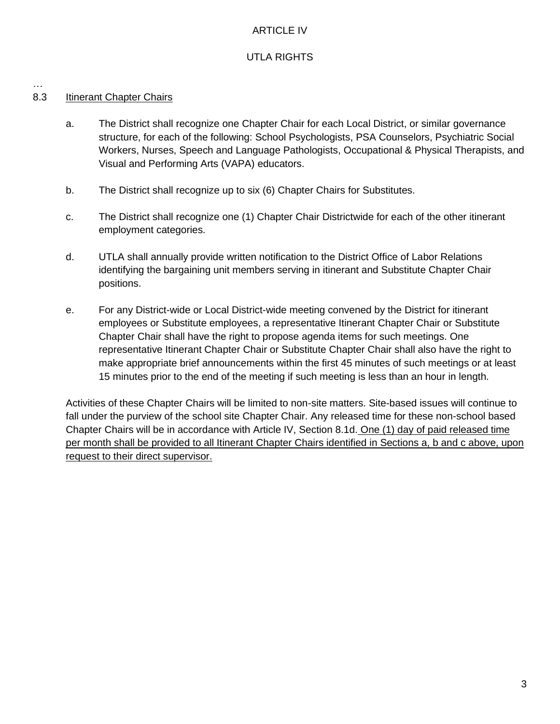### ARTICLE IV

# UTLA RIGHTS

# 8.3 Itinerant Chapter Chairs

…

- a. The District shall recognize one Chapter Chair for each Local District, or similar governance structure, for each of the following: School Psychologists, PSA Counselors, Psychiatric Social Workers, Nurses, Speech and Language Pathologists, Occupational & Physical Therapists, and Visual and Performing Arts (VAPA) educators.
- b. The District shall recognize up to six (6) Chapter Chairs for Substitutes.
- c. The District shall recognize one (1) Chapter Chair Districtwide for each of the other itinerant employment categories.
- d. UTLA shall annually provide written notification to the District Office of Labor Relations identifying the bargaining unit members serving in itinerant and Substitute Chapter Chair positions.
- e. For any District-wide or Local District-wide meeting convened by the District for itinerant employees or Substitute employees, a representative Itinerant Chapter Chair or Substitute Chapter Chair shall have the right to propose agenda items for such meetings. One representative Itinerant Chapter Chair or Substitute Chapter Chair shall also have the right to make appropriate brief announcements within the first 45 minutes of such meetings or at least 15 minutes prior to the end of the meeting if such meeting is less than an hour in length.

Activities of these Chapter Chairs will be limited to non-site matters. Site-based issues will continue to fall under the purview of the school site Chapter Chair. Any released time for these non-school based Chapter Chairs will be in accordance with Article IV, Section 8.1d. One (1) day of paid released time per month shall be provided to all Itinerant Chapter Chairs identified in Sections a, b and c above, upon request to their direct supervisor.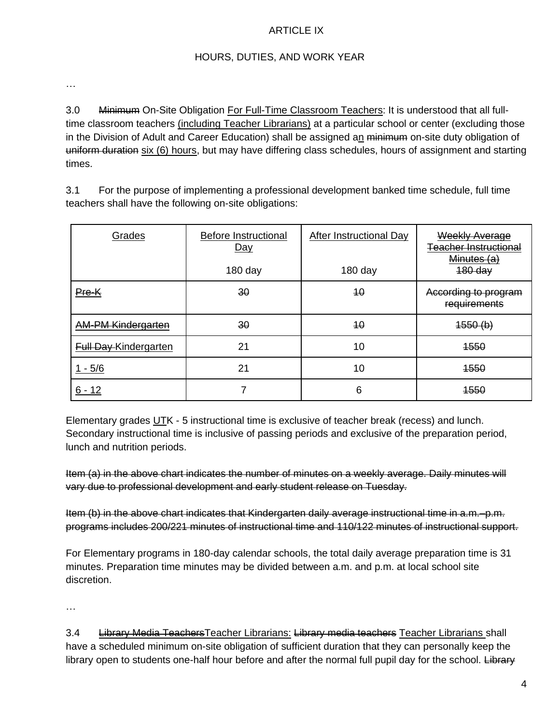#### ARTICLE IX

#### HOURS, DUTIES, AND WORK YEAR

…

3.0 Minimum On-Site Obligation For Full-Time Classroom Teachers: It is understood that all fulltime classroom teachers (including Teacher Librarians) at a particular school or center (excluding those in the Division of Adult and Career Education) shall be assigned an minimum on-site duty obligation of uniform duration six (6) hours, but may have differing class schedules, hours of assignment and starting times.

3.1 For the purpose of implementing a professional development banked time schedule, full time teachers shall have the following on-site obligations:

| Grades                       | <b>Before Instructional</b><br>Day | After Instructional Day | Weekly Average<br>Teacher Instructional<br>Minutes (a) |
|------------------------------|------------------------------------|-------------------------|--------------------------------------------------------|
|                              | $180$ day                          | 180 day                 | $480$ day                                              |
| Pre-K                        | 30                                 | 40                      | According to program<br>requirements                   |
| <b>AM-PM Kindergarten</b>    | 30                                 | 40                      | 1550(b)                                                |
| <b>Full Day Kindergarten</b> | 21                                 | 10                      | <b>1550</b>                                            |
| 1 - 5/6                      | 21                                 | 10                      | <b>1550</b>                                            |
| 6 - 12                       |                                    | 6                       | 4550                                                   |

Elementary grades UTK - 5 instructional time is exclusive of teacher break (recess) and lunch. Secondary instructional time is inclusive of passing periods and exclusive of the preparation period, lunch and nutrition periods.

Item (a) in the above chart indicates the number of minutes on a weekly average. Daily minutes will vary due to professional development and early student release on Tuesday.

Item (b) in the above chart indicates that Kindergarten daily average instructional time in a.m.–p.m. programs includes 200/221 minutes of instructional time and 110/122 minutes of instructional support.

For Elementary programs in 180-day calendar schools, the total daily average preparation time is 31 minutes. Preparation time minutes may be divided between a.m. and p.m. at local school site discretion.

…

3.4 Library Media Teachers Teacher Librarians: Library media teachers Teacher Librarians shall have a scheduled minimum on-site obligation of sufficient duration that they can personally keep the library open to students one-half hour before and after the normal full pupil day for the school. Library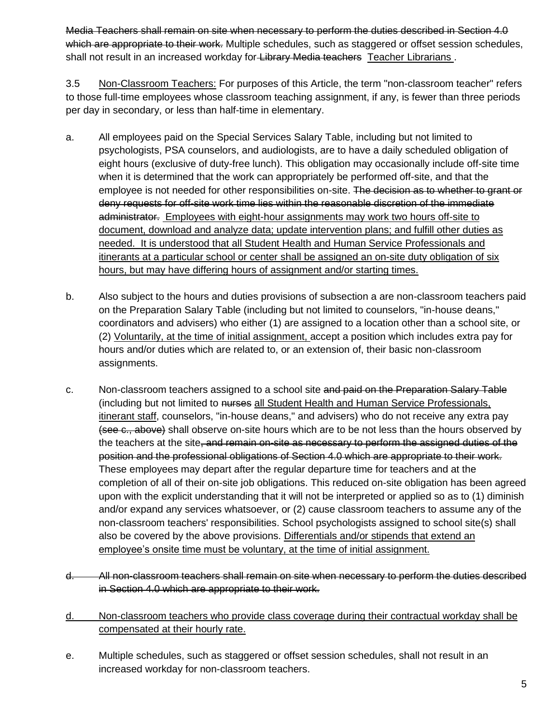Media Teachers shall remain on site when necessary to perform the duties described in Section 4.0 which are appropriate to their work. Multiple schedules, such as staggered or offset session schedules, shall not result in an increased workday for Library Media teachers Teacher Librarians.

3.5 Non-Classroom Teachers: For purposes of this Article, the term "non-classroom teacher" refers to those full-time employees whose classroom teaching assignment, if any, is fewer than three periods per day in secondary, or less than half-time in elementary.

- a. All employees paid on the Special Services Salary Table, including but not limited to psychologists, PSA counselors, and audiologists, are to have a daily scheduled obligation of eight hours (exclusive of duty-free lunch). This obligation may occasionally include off-site time when it is determined that the work can appropriately be performed off-site, and that the employee is not needed for other responsibilities on-site. The decision as to whether to grant or deny requests for off-site work time lies within the reasonable discretion of the immediate administrator. Employees with eight-hour assignments may work two hours off-site to document, download and analyze data; update intervention plans; and fulfill other duties as needed. It is understood that all Student Health and Human Service Professionals and itinerants at a particular school or center shall be assigned an on-site duty obligation of six hours, but may have differing hours of assignment and/or starting times.
- b. Also subject to the hours and duties provisions of subsection a are non-classroom teachers paid on the Preparation Salary Table (including but not limited to counselors, "in-house deans," coordinators and advisers) who either (1) are assigned to a location other than a school site, or (2) Voluntarily, at the time of initial assignment, accept a position which includes extra pay for hours and/or duties which are related to, or an extension of, their basic non-classroom assignments.
- c. Non-classroom teachers assigned to a school site and paid on the Preparation Salary Table (including but not limited to nurses all Student Health and Human Service Professionals, itinerant staff, counselors, "in-house deans," and advisers) who do not receive any extra pay (see c., above) shall observe on-site hours which are to be not less than the hours observed by the teachers at the site, and remain on-site as necessary to perform the assigned duties of the position and the professional obligations of Section 4.0 which are appropriate to their work. These employees may depart after the regular departure time for teachers and at the completion of all of their on-site job obligations. This reduced on-site obligation has been agreed upon with the explicit understanding that it will not be interpreted or applied so as to (1) diminish and/or expand any services whatsoever, or (2) cause classroom teachers to assume any of the non-classroom teachers' responsibilities. School psychologists assigned to school site(s) shall also be covered by the above provisions. Differentials and/or stipends that extend an employee's onsite time must be voluntary, at the time of initial assignment.
- d. All non-classroom teachers shall remain on site when necessary to perform the duties described in Section 4.0 which are appropriate to their work.
- d. Non-classroom teachers who provide class coverage during their contractual workday shall be compensated at their hourly rate.
- e. Multiple schedules, such as staggered or offset session schedules, shall not result in an increased workday for non-classroom teachers.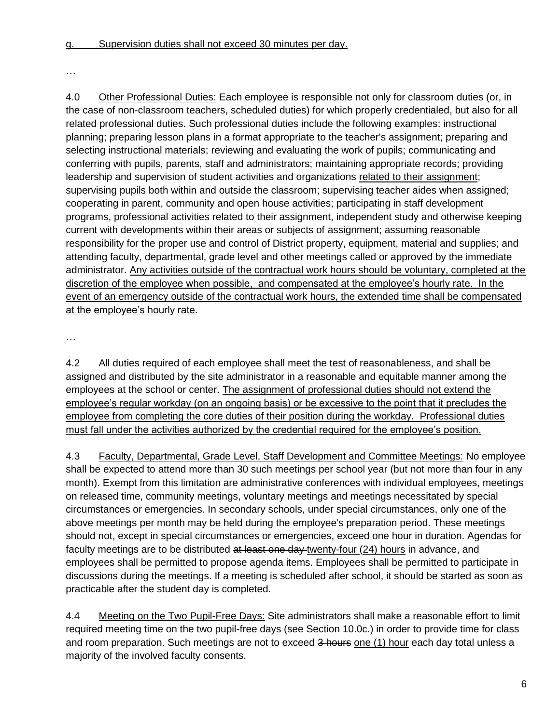…

4.0 Other Professional Duties: Each employee is responsible not only for classroom duties (or, in the case of non-classroom teachers, scheduled duties) for which properly credentialed, but also for all related professional duties. Such professional duties include the following examples: instructional planning; preparing lesson plans in a format appropriate to the teacher's assignment; preparing and selecting instructional materials; reviewing and evaluating the work of pupils; communicating and conferring with pupils, parents, staff and administrators; maintaining appropriate records; providing leadership and supervision of student activities and organizations related to their assignment; supervising pupils both within and outside the classroom; supervising teacher aides when assigned; cooperating in parent, community and open house activities; participating in staff development programs, professional activities related to their assignment, independent study and otherwise keeping current with developments within their areas or subjects of assignment; assuming reasonable responsibility for the proper use and control of District property, equipment, material and supplies; and attending faculty, departmental, grade level and other meetings called or approved by the immediate administrator. Any activities outside of the contractual work hours should be voluntary, completed at the discretion of the employee when possible, and compensated at the employee's hourly rate. In the event of an emergency outside of the contractual work hours, the extended time shall be compensated at the employee's hourly rate.

…

4.2 All duties required of each employee shall meet the test of reasonableness, and shall be assigned and distributed by the site administrator in a reasonable and equitable manner among the employees at the school or center. The assignment of professional duties should not extend the employee's regular workday (on an ongoing basis) or be excessive to the point that it precludes the employee from completing the core duties of their position during the workday. Professional duties must fall under the activities authorized by the credential required for the employee's position.

4.3 Faculty, Departmental, Grade Level, Staff Development and Committee Meetings: No employee shall be expected to attend more than 30 such meetings per school year (but not more than four in any month). Exempt from this limitation are administrative conferences with individual employees, meetings on released time, community meetings, voluntary meetings and meetings necessitated by special circumstances or emergencies. In secondary schools, under special circumstances, only one of the above meetings per month may be held during the employee's preparation period. These meetings should not, except in special circumstances or emergencies, exceed one hour in duration. Agendas for faculty meetings are to be distributed at least one day twenty-four (24) hours in advance, and employees shall be permitted to propose agenda items. Employees shall be permitted to participate in discussions during the meetings. If a meeting is scheduled after school, it should be started as soon as practicable after the student day is completed.

4.4 Meeting on the Two Pupil-Free Days: Site administrators shall make a reasonable effort to limit required meeting time on the two pupil-free days (see Section 10.0c.) in order to provide time for class and room preparation. Such meetings are not to exceed 3 hours one (1) hour each day total unless a majority of the involved faculty consents.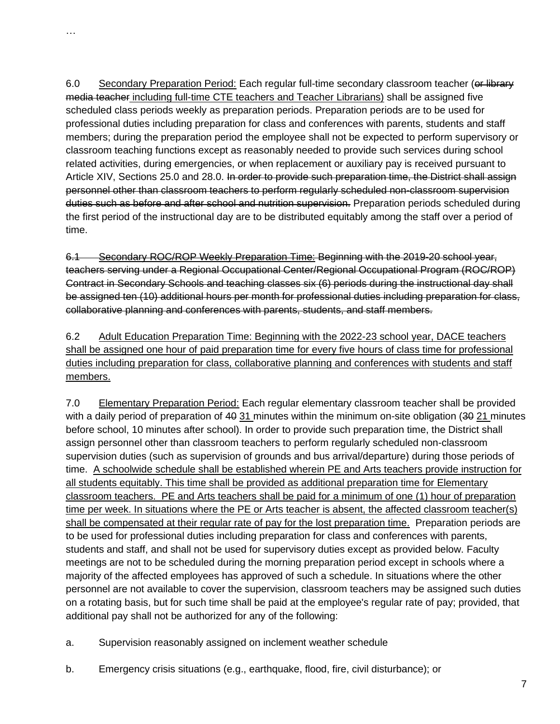…

6.0 Secondary Preparation Period: Each regular full-time secondary classroom teacher (or library media teacher including full-time CTE teachers and Teacher Librarians) shall be assigned five scheduled class periods weekly as preparation periods. Preparation periods are to be used for professional duties including preparation for class and conferences with parents, students and staff members; during the preparation period the employee shall not be expected to perform supervisory or classroom teaching functions except as reasonably needed to provide such services during school related activities, during emergencies, or when replacement or auxiliary pay is received pursuant to Article XIV, Sections 25.0 and 28.0. In order to provide such preparation time, the District shall assign personnel other than classroom teachers to perform regularly scheduled non-classroom supervision duties such as before and after school and nutrition supervision. Preparation periods scheduled during the first period of the instructional day are to be distributed equitably among the staff over a period of time.

6.1 Secondary ROC/ROP Weekly Preparation Time: Beginning with the 2019-20 school year, teachers serving under a Regional Occupational Center/Regional Occupational Program (ROC/ROP) Contract in Secondary Schools and teaching classes six (6) periods during the instructional day shall be assigned ten (10) additional hours per month for professional duties including preparation for class, collaborative planning and conferences with parents, students, and staff members.

6.2 Adult Education Preparation Time: Beginning with the 2022-23 school year, DACE teachers shall be assigned one hour of paid preparation time for every five hours of class time for professional duties including preparation for class, collaborative planning and conferences with students and staff members.

7.0 Elementary Preparation Period: Each regular elementary classroom teacher shall be provided with a daily period of preparation of 40 31 minutes within the minimum on-site obligation (30 21 minutes before school, 10 minutes after school). In order to provide such preparation time, the District shall assign personnel other than classroom teachers to perform regularly scheduled non-classroom supervision duties (such as supervision of grounds and bus arrival/departure) during those periods of time. A schoolwide schedule shall be established wherein PE and Arts teachers provide instruction for all students equitably. This time shall be provided as additional preparation time for Elementary classroom teachers. PE and Arts teachers shall be paid for a minimum of one (1) hour of preparation time per week. In situations where the PE or Arts teacher is absent, the affected classroom teacher(s) shall be compensated at their regular rate of pay for the lost preparation time. Preparation periods are to be used for professional duties including preparation for class and conferences with parents, students and staff, and shall not be used for supervisory duties except as provided below. Faculty meetings are not to be scheduled during the morning preparation period except in schools where a majority of the affected employees has approved of such a schedule. In situations where the other personnel are not available to cover the supervision, classroom teachers may be assigned such duties on a rotating basis, but for such time shall be paid at the employee's regular rate of pay; provided, that additional pay shall not be authorized for any of the following:

- a. Supervision reasonably assigned on inclement weather schedule
- b. Emergency crisis situations (e.g., earthquake, flood, fire, civil disturbance); or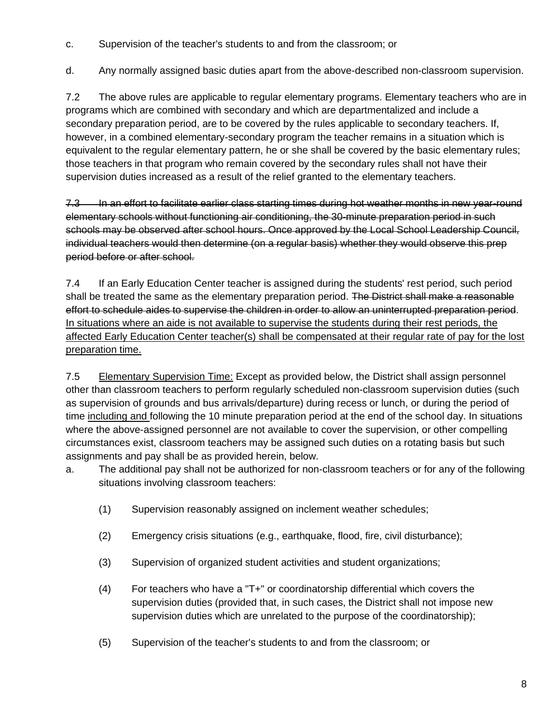c. Supervision of the teacher's students to and from the classroom; or

d. Any normally assigned basic duties apart from the above-described non-classroom supervision.

7.2 The above rules are applicable to regular elementary programs. Elementary teachers who are in programs which are combined with secondary and which are departmentalized and include a secondary preparation period, are to be covered by the rules applicable to secondary teachers. If, however, in a combined elementary-secondary program the teacher remains in a situation which is equivalent to the regular elementary pattern, he or she shall be covered by the basic elementary rules; those teachers in that program who remain covered by the secondary rules shall not have their supervision duties increased as a result of the relief granted to the elementary teachers.

7.3 In an effort to facilitate earlier class starting times during hot weather months in new year-round elementary schools without functioning air conditioning, the 30-minute preparation period in such schools may be observed after school hours. Once approved by the Local School Leadership Council, individual teachers would then determine (on a regular basis) whether they would observe this prep period before or after school.

7.4 If an Early Education Center teacher is assigned during the students' rest period, such period shall be treated the same as the elementary preparation period. The District shall make a reasonable effort to schedule aides to supervise the children in order to allow an uninterrupted preparation period. In situations where an aide is not available to supervise the students during their rest periods, the affected Early Education Center teacher(s) shall be compensated at their regular rate of pay for the lost preparation time.

7.5 Elementary Supervision Time: Except as provided below, the District shall assign personnel other than classroom teachers to perform regularly scheduled non-classroom supervision duties (such as supervision of grounds and bus arrivals/departure) during recess or lunch, or during the period of time including and following the 10 minute preparation period at the end of the school day. In situations where the above-assigned personnel are not available to cover the supervision, or other compelling circumstances exist, classroom teachers may be assigned such duties on a rotating basis but such assignments and pay shall be as provided herein, below.

- a. The additional pay shall not be authorized for non-classroom teachers or for any of the following situations involving classroom teachers:
	- (1) Supervision reasonably assigned on inclement weather schedules;
	- (2) Emergency crisis situations (e.g., earthquake, flood, fire, civil disturbance);
	- (3) Supervision of organized student activities and student organizations;
	- (4) For teachers who have a "T+" or coordinatorship differential which covers the supervision duties (provided that, in such cases, the District shall not impose new supervision duties which are unrelated to the purpose of the coordinatorship);
	- (5) Supervision of the teacher's students to and from the classroom; or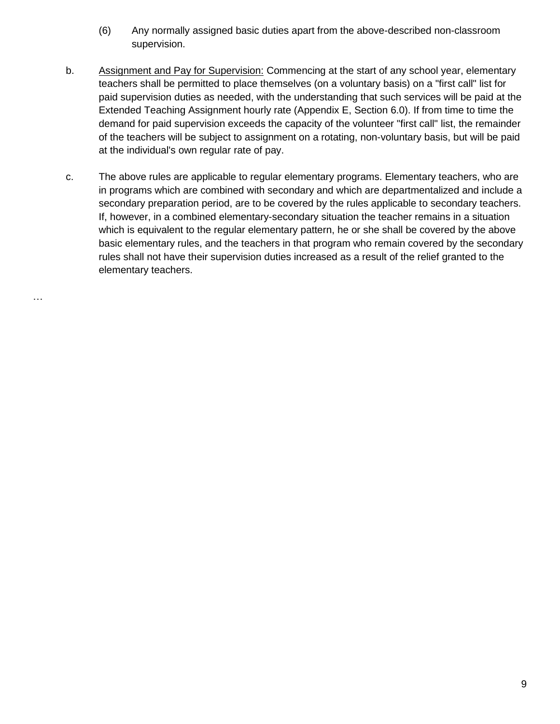- (6) Any normally assigned basic duties apart from the above-described non-classroom supervision.
- b. Assignment and Pay for Supervision: Commencing at the start of any school year, elementary teachers shall be permitted to place themselves (on a voluntary basis) on a "first call" list for paid supervision duties as needed, with the understanding that such services will be paid at the Extended Teaching Assignment hourly rate (Appendix E, Section 6.0). If from time to time the demand for paid supervision exceeds the capacity of the volunteer "first call" list, the remainder of the teachers will be subject to assignment on a rotating, non-voluntary basis, but will be paid at the individual's own regular rate of pay.
- c. The above rules are applicable to regular elementary programs. Elementary teachers, who are in programs which are combined with secondary and which are departmentalized and include a secondary preparation period, are to be covered by the rules applicable to secondary teachers. If, however, in a combined elementary-secondary situation the teacher remains in a situation which is equivalent to the regular elementary pattern, he or she shall be covered by the above basic elementary rules, and the teachers in that program who remain covered by the secondary rules shall not have their supervision duties increased as a result of the relief granted to the elementary teachers.

…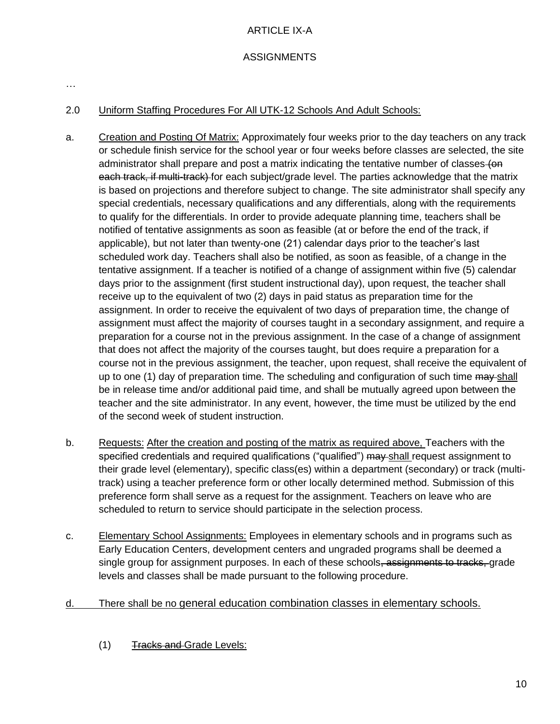# ARTICLE IX-A

# **ASSIGNMENTS**

…

#### 2.0 Uniform Staffing Procedures For All UTK-12 Schools And Adult Schools:

- a. Creation and Posting Of Matrix: Approximately four weeks prior to the day teachers on any track or schedule finish service for the school year or four weeks before classes are selected, the site administrator shall prepare and post a matrix indicating the tentative number of classes (on each track, if multi-track) for each subject/grade level. The parties acknowledge that the matrix is based on projections and therefore subject to change. The site administrator shall specify any special credentials, necessary qualifications and any differentials, along with the requirements to qualify for the differentials. In order to provide adequate planning time, teachers shall be notified of tentative assignments as soon as feasible (at or before the end of the track, if applicable), but not later than twenty-one (21) calendar days prior to the teacher's last scheduled work day. Teachers shall also be notified, as soon as feasible, of a change in the tentative assignment. If a teacher is notified of a change of assignment within five (5) calendar days prior to the assignment (first student instructional day), upon request, the teacher shall receive up to the equivalent of two (2) days in paid status as preparation time for the assignment. In order to receive the equivalent of two days of preparation time, the change of assignment must affect the majority of courses taught in a secondary assignment, and require a preparation for a course not in the previous assignment. In the case of a change of assignment that does not affect the majority of the courses taught, but does require a preparation for a course not in the previous assignment, the teacher, upon request, shall receive the equivalent of up to one (1) day of preparation time. The scheduling and configuration of such time may shall be in release time and/or additional paid time, and shall be mutually agreed upon between the teacher and the site administrator. In any event, however, the time must be utilized by the end of the second week of student instruction.
- b. Requests: After the creation and posting of the matrix as required above, Teachers with the specified credentials and required qualifications ("qualified") may shall request assignment to their grade level (elementary), specific class(es) within a department (secondary) or track (multitrack) using a teacher preference form or other locally determined method. Submission of this preference form shall serve as a request for the assignment. Teachers on leave who are scheduled to return to service should participate in the selection process.
- c. Elementary School Assignments: Employees in elementary schools and in programs such as Early Education Centers, development centers and ungraded programs shall be deemed a single group for assignment purposes. In each of these schools, assignments to tracks, grade levels and classes shall be made pursuant to the following procedure.
- d. There shall be no general education combination classes in elementary schools.
	- (1) Tracks and Grade Levels: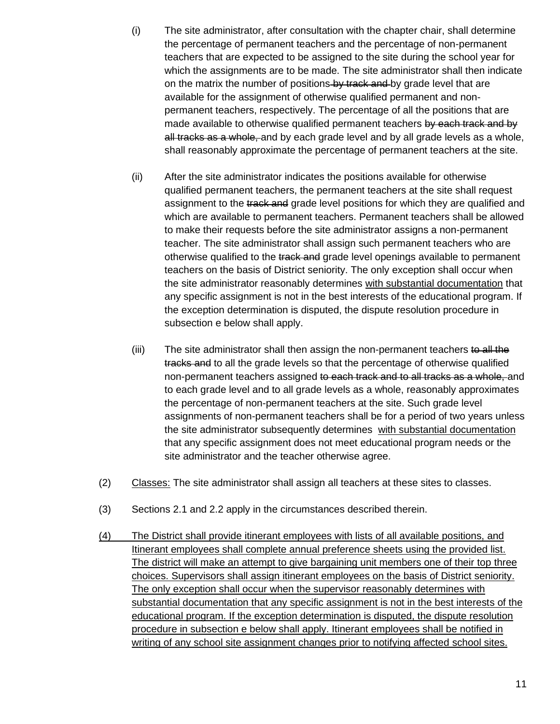- (i) The site administrator, after consultation with the chapter chair, shall determine the percentage of permanent teachers and the percentage of non-permanent teachers that are expected to be assigned to the site during the school year for which the assignments are to be made. The site administrator shall then indicate on the matrix the number of positions by track and by grade level that are available for the assignment of otherwise qualified permanent and nonpermanent teachers, respectively. The percentage of all the positions that are made available to otherwise qualified permanent teachers by each track and by all tracks as a whole, and by each grade level and by all grade levels as a whole, shall reasonably approximate the percentage of permanent teachers at the site.
- (ii) After the site administrator indicates the positions available for otherwise qualified permanent teachers, the permanent teachers at the site shall request assignment to the track and grade level positions for which they are qualified and which are available to permanent teachers. Permanent teachers shall be allowed to make their requests before the site administrator assigns a non-permanent teacher. The site administrator shall assign such permanent teachers who are otherwise qualified to the track and grade level openings available to permanent teachers on the basis of District seniority. The only exception shall occur when the site administrator reasonably determines with substantial documentation that any specific assignment is not in the best interests of the educational program. If the exception determination is disputed, the dispute resolution procedure in subsection e below shall apply.
- (iii) The site administrator shall then assign the non-permanent teachers to all the tracks and to all the grade levels so that the percentage of otherwise qualified non-permanent teachers assigned to each track and to all tracks as a whole, and to each grade level and to all grade levels as a whole, reasonably approximates the percentage of non-permanent teachers at the site. Such grade level assignments of non-permanent teachers shall be for a period of two years unless the site administrator subsequently determines with substantial documentation that any specific assignment does not meet educational program needs or the site administrator and the teacher otherwise agree.
- (2) Classes: The site administrator shall assign all teachers at these sites to classes.
- (3) Sections 2.1 and 2.2 apply in the circumstances described therein.
- (4) The District shall provide itinerant employees with lists of all available positions, and Itinerant employees shall complete annual preference sheets using the provided list. The district will make an attempt to give bargaining unit members one of their top three choices. Supervisors shall assign itinerant employees on the basis of District seniority. The only exception shall occur when the supervisor reasonably determines with substantial documentation that any specific assignment is not in the best interests of the educational program. If the exception determination is disputed, the dispute resolution procedure in subsection e below shall apply. Itinerant employees shall be notified in writing of any school site assignment changes prior to notifying affected school sites.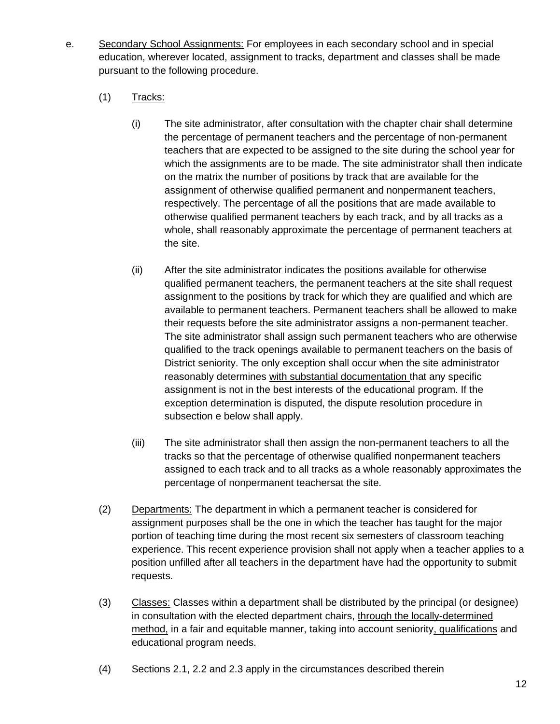- e. Secondary School Assignments: For employees in each secondary school and in special education, wherever located, assignment to tracks, department and classes shall be made pursuant to the following procedure.
	- $(1)$  Tracks:
		- (i) The site administrator, after consultation with the chapter chair shall determine the percentage of permanent teachers and the percentage of non-permanent teachers that are expected to be assigned to the site during the school year for which the assignments are to be made. The site administrator shall then indicate on the matrix the number of positions by track that are available for the assignment of otherwise qualified permanent and nonpermanent teachers, respectively. The percentage of all the positions that are made available to otherwise qualified permanent teachers by each track, and by all tracks as a whole, shall reasonably approximate the percentage of permanent teachers at the site.
		- (ii) After the site administrator indicates the positions available for otherwise qualified permanent teachers, the permanent teachers at the site shall request assignment to the positions by track for which they are qualified and which are available to permanent teachers. Permanent teachers shall be allowed to make their requests before the site administrator assigns a non-permanent teacher. The site administrator shall assign such permanent teachers who are otherwise qualified to the track openings available to permanent teachers on the basis of District seniority. The only exception shall occur when the site administrator reasonably determines with substantial documentation that any specific assignment is not in the best interests of the educational program. If the exception determination is disputed, the dispute resolution procedure in subsection e below shall apply.
		- (iii) The site administrator shall then assign the non-permanent teachers to all the tracks so that the percentage of otherwise qualified nonpermanent teachers assigned to each track and to all tracks as a whole reasonably approximates the percentage of nonpermanent teachersat the site.
	- (2) Departments: The department in which a permanent teacher is considered for assignment purposes shall be the one in which the teacher has taught for the major portion of teaching time during the most recent six semesters of classroom teaching experience. This recent experience provision shall not apply when a teacher applies to a position unfilled after all teachers in the department have had the opportunity to submit requests.
	- (3) Classes: Classes within a department shall be distributed by the principal (or designee) in consultation with the elected department chairs, through the locally-determined method, in a fair and equitable manner, taking into account seniority, qualifications and educational program needs.
	- (4) Sections 2.1, 2.2 and 2.3 apply in the circumstances described therein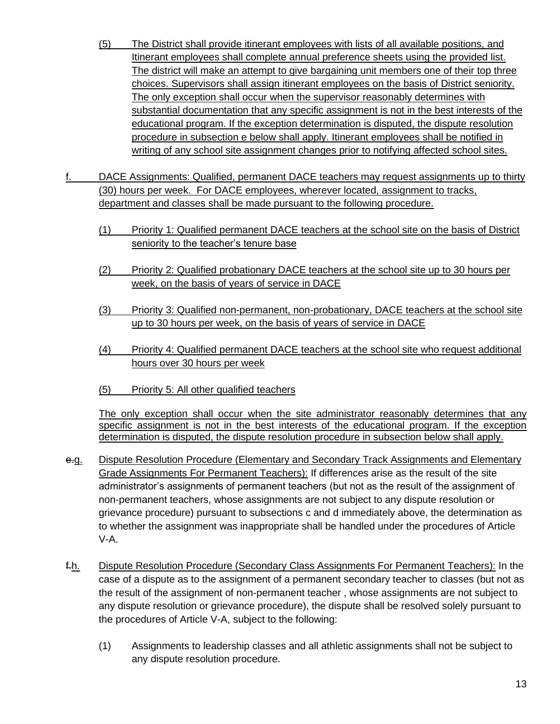- (5) The District shall provide itinerant employees with lists of all available positions, and Itinerant employees shall complete annual preference sheets using the provided list. The district will make an attempt to give bargaining unit members one of their top three choices. Supervisors shall assign itinerant employees on the basis of District seniority. The only exception shall occur when the supervisor reasonably determines with substantial documentation that any specific assignment is not in the best interests of the educational program. If the exception determination is disputed, the dispute resolution procedure in subsection e below shall apply. Itinerant employees shall be notified in writing of any school site assignment changes prior to notifying affected school sites.
- DACE Assignments: Qualified, permanent DACE teachers may request assignments up to thirty (30) hours per week. For DACE employees, wherever located, assignment to tracks, department and classes shall be made pursuant to the following procedure.
	- (1) Priority 1: Qualified permanent DACE teachers at the school site on the basis of District seniority to the teacher's tenure base
	- (2) Priority 2: Qualified probationary DACE teachers at the school site up to 30 hours per week, on the basis of years of service in DACE
	- (3) Priority 3: Qualified non-permanent, non-probationary, DACE teachers at the school site up to 30 hours per week, on the basis of years of service in DACE
	- (4) Priority 4: Qualified permanent DACE teachers at the school site who request additional hours over 30 hours per week
	- (5) Priority 5: All other qualified teachers

The only exception shall occur when the site administrator reasonably determines that any specific assignment is not in the best interests of the educational program. If the exception determination is disputed, the dispute resolution procedure in subsection below shall apply.

- e.g. Dispute Resolution Procedure (Elementary and Secondary Track Assignments and Elementary Grade Assignments For Permanent Teachers): If differences arise as the result of the site administrator's assignments of permanent teachers (but not as the result of the assignment of non-permanent teachers, whose assignments are not subject to any dispute resolution or grievance procedure) pursuant to subsections c and d immediately above, the determination as to whether the assignment was inappropriate shall be handled under the procedures of Article V-A.
- f.h. Dispute Resolution Procedure (Secondary Class Assignments For Permanent Teachers): In the case of a dispute as to the assignment of a permanent secondary teacher to classes (but not as the result of the assignment of non-permanent teacher , whose assignments are not subject to any dispute resolution or grievance procedure), the dispute shall be resolved solely pursuant to the procedures of Article V-A, subject to the following:
	- (1) Assignments to leadership classes and all athletic assignments shall not be subject to any dispute resolution procedure.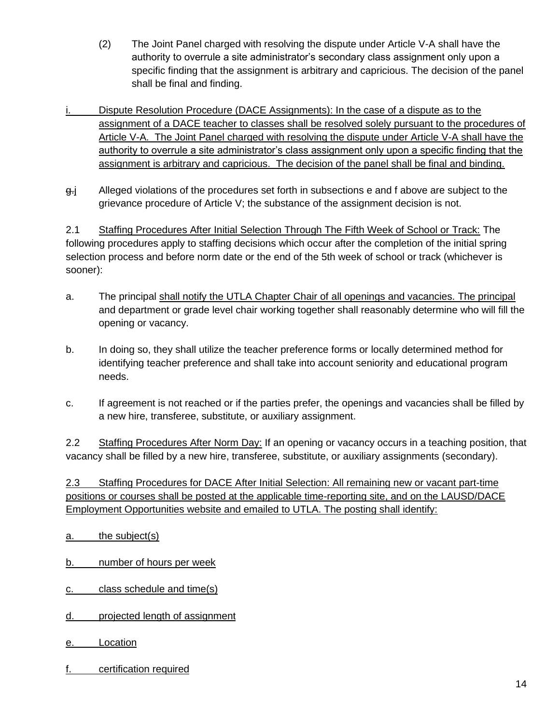- (2) The Joint Panel charged with resolving the dispute under Article V-A shall have the authority to overrule a site administrator's secondary class assignment only upon a specific finding that the assignment is arbitrary and capricious. The decision of the panel shall be final and finding.
- Dispute Resolution Procedure (DACE Assignments): In the case of a dispute as to the assignment of a DACE teacher to classes shall be resolved solely pursuant to the procedures of Article V-A. The Joint Panel charged with resolving the dispute under Article V-A shall have the authority to overrule a site administrator's class assignment only upon a specific finding that the assignment is arbitrary and capricious. The decision of the panel shall be final and binding.
- g.j Alleged violations of the procedures set forth in subsections e and f above are subject to the grievance procedure of Article V; the substance of the assignment decision is not.

2.1 Staffing Procedures After Initial Selection Through The Fifth Week of School or Track: The following procedures apply to staffing decisions which occur after the completion of the initial spring selection process and before norm date or the end of the 5th week of school or track (whichever is sooner):

- a. The principal shall notify the UTLA Chapter Chair of all openings and vacancies. The principal and department or grade level chair working together shall reasonably determine who will fill the opening or vacancy.
- b. In doing so, they shall utilize the teacher preference forms or locally determined method for identifying teacher preference and shall take into account seniority and educational program needs.
- c. If agreement is not reached or if the parties prefer, the openings and vacancies shall be filled by a new hire, transferee, substitute, or auxiliary assignment.

2.2 Staffing Procedures After Norm Day: If an opening or vacancy occurs in a teaching position, that vacancy shall be filled by a new hire, transferee, substitute, or auxiliary assignments (secondary).

2.3 Staffing Procedures for DACE After Initial Selection: All remaining new or vacant part-time positions or courses shall be posted at the applicable time-reporting site, and on the LAUSD/DACE Employment Opportunities website and emailed to UTLA. The posting shall identify:

a. the subject(s)

b. number of hours per week

- c. class schedule and time(s)
- d. projected length of assignment
- e. Location
- f. certification required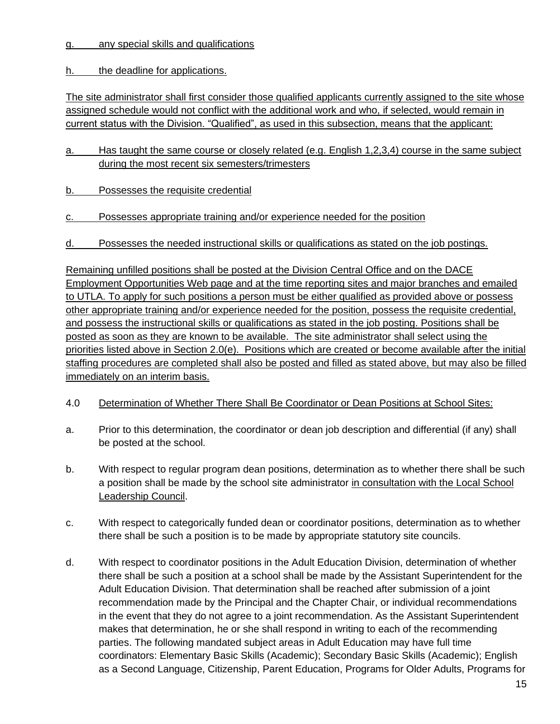g. any special skills and qualifications

h. the deadline for applications.

The site administrator shall first consider those qualified applicants currently assigned to the site whose assigned schedule would not conflict with the additional work and who, if selected, would remain in current status with the Division. "Qualified", as used in this subsection, means that the applicant:

- a. Has taught the same course or closely related (e.g. English 1,2,3,4) course in the same subject during the most recent six semesters/trimesters
- b. Possesses the requisite credential
- c. Possesses appropriate training and/or experience needed for the position
- d. Possesses the needed instructional skills or qualifications as stated on the job postings.

Remaining unfilled positions shall be posted at the Division Central Office and on the DACE Employment Opportunities Web page and at the time reporting sites and major branches and emailed to UTLA. To apply for such positions a person must be either qualified as provided above or possess other appropriate training and/or experience needed for the position, possess the requisite credential, and possess the instructional skills or qualifications as stated in the job posting. Positions shall be posted as soon as they are known to be available. The site administrator shall select using the priorities listed above in Section 2.0(e). Positions which are created or become available after the initial staffing procedures are completed shall also be posted and filled as stated above, but may also be filled immediately on an interim basis.

- 4.0 Determination of Whether There Shall Be Coordinator or Dean Positions at School Sites:
- a. Prior to this determination, the coordinator or dean job description and differential (if any) shall be posted at the school.
- b. With respect to regular program dean positions, determination as to whether there shall be such a position shall be made by the school site administrator in consultation with the Local School Leadership Council.
- c. With respect to categorically funded dean or coordinator positions, determination as to whether there shall be such a position is to be made by appropriate statutory site councils.
- d. With respect to coordinator positions in the Adult Education Division, determination of whether there shall be such a position at a school shall be made by the Assistant Superintendent for the Adult Education Division. That determination shall be reached after submission of a joint recommendation made by the Principal and the Chapter Chair, or individual recommendations in the event that they do not agree to a joint recommendation. As the Assistant Superintendent makes that determination, he or she shall respond in writing to each of the recommending parties. The following mandated subject areas in Adult Education may have full time coordinators: Elementary Basic Skills (Academic); Secondary Basic Skills (Academic); English as a Second Language, Citizenship, Parent Education, Programs for Older Adults, Programs for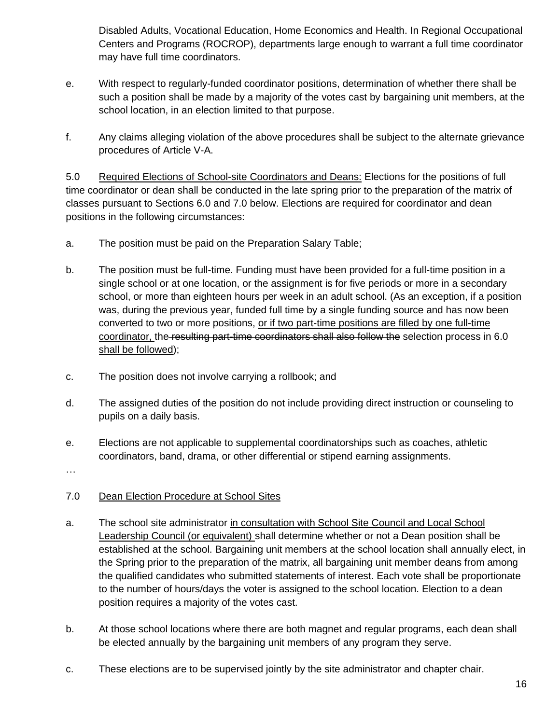Disabled Adults, Vocational Education, Home Economics and Health. In Regional Occupational Centers and Programs (ROCROP), departments large enough to warrant a full time coordinator may have full time coordinators.

- e. With respect to regularly-funded coordinator positions, determination of whether there shall be such a position shall be made by a majority of the votes cast by bargaining unit members, at the school location, in an election limited to that purpose.
- f. Any claims alleging violation of the above procedures shall be subject to the alternate grievance procedures of Article V-A.

5.0 Required Elections of School-site Coordinators and Deans: Elections for the positions of full time coordinator or dean shall be conducted in the late spring prior to the preparation of the matrix of classes pursuant to Sections 6.0 and 7.0 below. Elections are required for coordinator and dean positions in the following circumstances:

- a. The position must be paid on the Preparation Salary Table;
- b. The position must be full-time. Funding must have been provided for a full-time position in a single school or at one location, or the assignment is for five periods or more in a secondary school, or more than eighteen hours per week in an adult school. (As an exception, if a position was, during the previous year, funded full time by a single funding source and has now been converted to two or more positions, or if two part-time positions are filled by one full-time coordinator, the resulting part-time coordinators shall also follow the selection process in 6.0 shall be followed);
- c. The position does not involve carrying a rollbook; and
- d. The assigned duties of the position do not include providing direct instruction or counseling to pupils on a daily basis.
- e. Elections are not applicable to supplemental coordinatorships such as coaches, athletic coordinators, band, drama, or other differential or stipend earning assignments.

…

- 7.0 Dean Election Procedure at School Sites
- a. The school site administrator in consultation with School Site Council and Local School Leadership Council (or equivalent) shall determine whether or not a Dean position shall be established at the school. Bargaining unit members at the school location shall annually elect, in the Spring prior to the preparation of the matrix, all bargaining unit member deans from among the qualified candidates who submitted statements of interest. Each vote shall be proportionate to the number of hours/days the voter is assigned to the school location. Election to a dean position requires a majority of the votes cast.
- b. At those school locations where there are both magnet and regular programs, each dean shall be elected annually by the bargaining unit members of any program they serve.
- c. These elections are to be supervised jointly by the site administrator and chapter chair.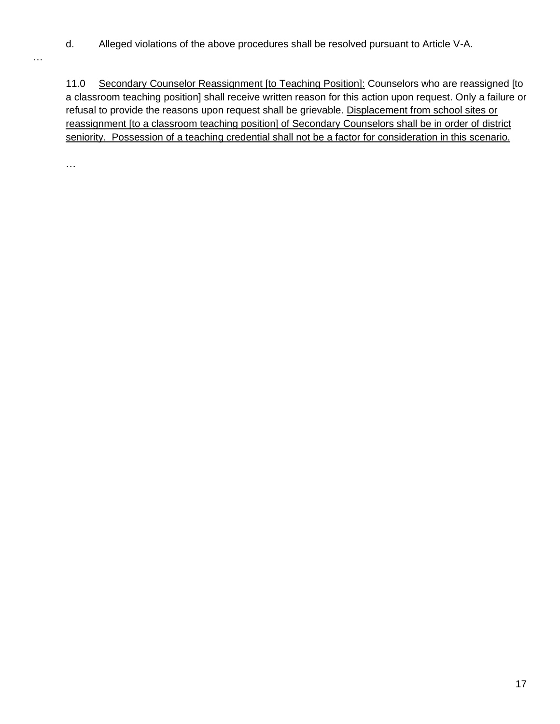d. Alleged violations of the above procedures shall be resolved pursuant to Article V-A.

11.0 Secondary Counselor Reassignment [to Teaching Position]: Counselors who are reassigned [to a classroom teaching position] shall receive written reason for this action upon request. Only a failure or refusal to provide the reasons upon request shall be grievable. Displacement from school sites or reassignment [to a classroom teaching position] of Secondary Counselors shall be in order of district seniority. Possession of a teaching credential shall not be a factor for consideration in this scenario.

…

…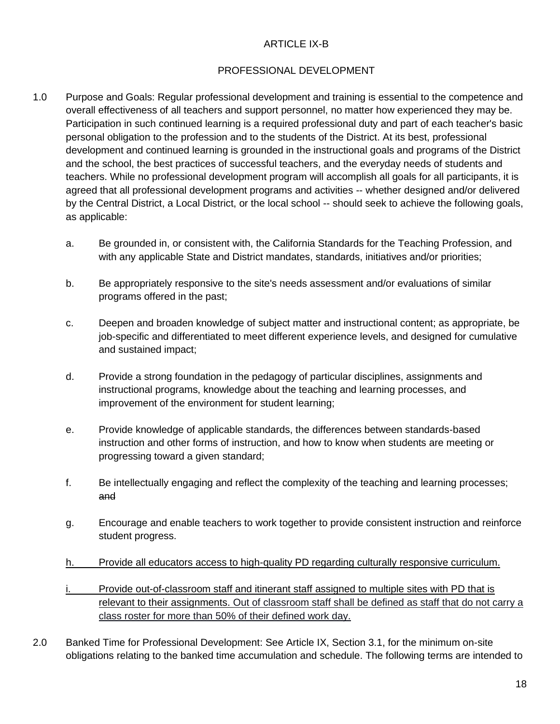#### ARTICLE IX-B

#### PROFESSIONAL DEVELOPMENT

- 1.0 Purpose and Goals: Regular professional development and training is essential to the competence and overall effectiveness of all teachers and support personnel, no matter how experienced they may be. Participation in such continued learning is a required professional duty and part of each teacher's basic personal obligation to the profession and to the students of the District. At its best, professional development and continued learning is grounded in the instructional goals and programs of the District and the school, the best practices of successful teachers, and the everyday needs of students and teachers. While no professional development program will accomplish all goals for all participants, it is agreed that all professional development programs and activities -- whether designed and/or delivered by the Central District, a Local District, or the local school -- should seek to achieve the following goals, as applicable:
	- a. Be grounded in, or consistent with, the California Standards for the Teaching Profession, and with any applicable State and District mandates, standards, initiatives and/or priorities;
	- b. Be appropriately responsive to the site's needs assessment and/or evaluations of similar programs offered in the past;
	- c. Deepen and broaden knowledge of subject matter and instructional content; as appropriate, be job-specific and differentiated to meet different experience levels, and designed for cumulative and sustained impact;
	- d. Provide a strong foundation in the pedagogy of particular disciplines, assignments and instructional programs, knowledge about the teaching and learning processes, and improvement of the environment for student learning;
	- e. Provide knowledge of applicable standards, the differences between standards-based instruction and other forms of instruction, and how to know when students are meeting or progressing toward a given standard;
	- f. Be intellectually engaging and reflect the complexity of the teaching and learning processes; and
	- g. Encourage and enable teachers to work together to provide consistent instruction and reinforce student progress.
	- h. Provide all educators access to high-quality PD regarding culturally responsive curriculum.
	- i. Provide out-of-classroom staff and itinerant staff assigned to multiple sites with PD that is relevant to their assignments. Out of classroom staff shall be defined as staff that do not carry a class roster for more than 50% of their defined work day.
- 2.0 Banked Time for Professional Development: See Article IX, Section 3.1, for the minimum on-site obligations relating to the banked time accumulation and schedule. The following terms are intended to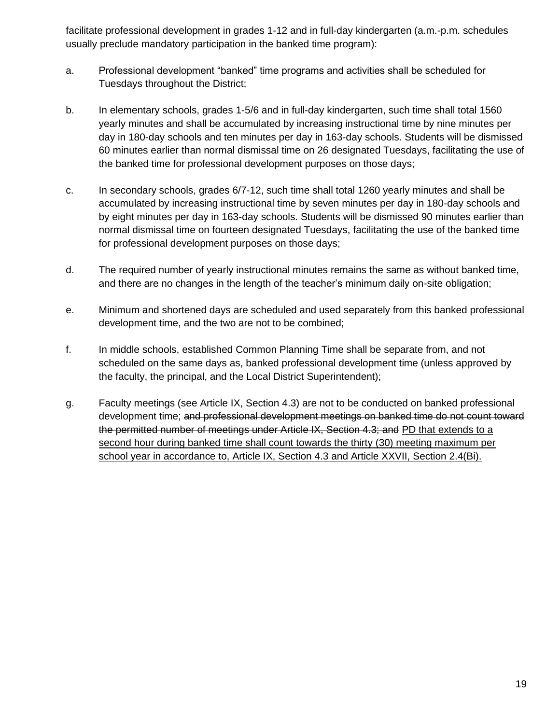facilitate professional development in grades 1-12 and in full-day kindergarten (a.m.-p.m. schedules usually preclude mandatory participation in the banked time program):

- a. Professional development "banked" time programs and activities shall be scheduled for Tuesdays throughout the District;
- b. In elementary schools, grades 1-5/6 and in full-day kindergarten, such time shall total 1560 yearly minutes and shall be accumulated by increasing instructional time by nine minutes per day in 180-day schools and ten minutes per day in 163-day schools. Students will be dismissed 60 minutes earlier than normal dismissal time on 26 designated Tuesdays, facilitating the use of the banked time for professional development purposes on those days;
- c. In secondary schools, grades 6/7-12, such time shall total 1260 yearly minutes and shall be accumulated by increasing instructional time by seven minutes per day in 180-day schools and by eight minutes per day in 163-day schools. Students will be dismissed 90 minutes earlier than normal dismissal time on fourteen designated Tuesdays, facilitating the use of the banked time for professional development purposes on those days;
- d. The required number of yearly instructional minutes remains the same as without banked time, and there are no changes in the length of the teacher's minimum daily on-site obligation;
- e. Minimum and shortened days are scheduled and used separately from this banked professional development time, and the two are not to be combined;
- f. In middle schools, established Common Planning Time shall be separate from, and not scheduled on the same days as, banked professional development time (unless approved by the faculty, the principal, and the Local District Superintendent);
- g. Faculty meetings (see Article IX, Section 4.3) are not to be conducted on banked professional development time; and professional development meetings on banked time do not count toward the permitted number of meetings under Article IX, Section 4.3; and PD that extends to a second hour during banked time shall count towards the thirty (30) meeting maximum per school year in accordance to, Article IX, Section 4.3 and Article XXVII, Section 2.4(Bi).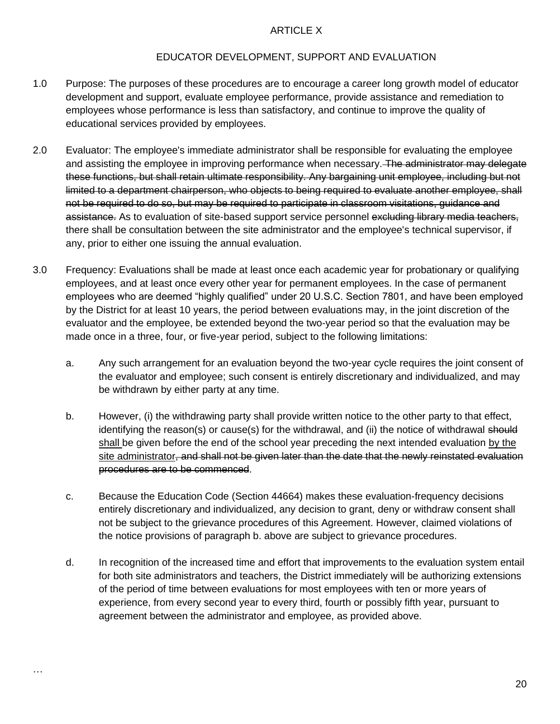#### ARTICLE X

#### EDUCATOR DEVELOPMENT, SUPPORT AND EVALUATION

- 1.0 Purpose: The purposes of these procedures are to encourage a career long growth model of educator development and support, evaluate employee performance, provide assistance and remediation to employees whose performance is less than satisfactory, and continue to improve the quality of educational services provided by employees.
- 2.0 Evaluator: The employee's immediate administrator shall be responsible for evaluating the employee and assisting the employee in improving performance when necessary. The administrator may delegate these functions, but shall retain ultimate responsibility. Any bargaining unit employee, including but not limited to a department chairperson, who objects to being required to evaluate another employee, shall not be required to do so, but may be required to participate in classroom visitations, guidance and assistance. As to evaluation of site-based support service personnel excluding library media teachers, there shall be consultation between the site administrator and the employee's technical supervisor, if any, prior to either one issuing the annual evaluation.
- 3.0 Frequency: Evaluations shall be made at least once each academic year for probationary or qualifying employees, and at least once every other year for permanent employees. In the case of permanent employees who are deemed "highly qualified" under 20 U.S.C. Section 7801, and have been employed by the District for at least 10 years, the period between evaluations may, in the joint discretion of the evaluator and the employee, be extended beyond the two-year period so that the evaluation may be made once in a three, four, or five-year period, subject to the following limitations:
	- a. Any such arrangement for an evaluation beyond the two-year cycle requires the joint consent of the evaluator and employee; such consent is entirely discretionary and individualized, and may be withdrawn by either party at any time.
	- b. However, (i) the withdrawing party shall provide written notice to the other party to that effect, identifying the reason(s) or cause(s) for the withdrawal, and (ii) the notice of withdrawal should shall be given before the end of the school year preceding the next intended evaluation by the site administrator<del>, and shall not be given later than the date that the newly reinstated evaluation</del> procedures are to be commenced.
	- c. Because the Education Code (Section 44664) makes these evaluation-frequency decisions entirely discretionary and individualized, any decision to grant, deny or withdraw consent shall not be subject to the grievance procedures of this Agreement. However, claimed violations of the notice provisions of paragraph b. above are subject to grievance procedures.
	- d. In recognition of the increased time and effort that improvements to the evaluation system entail for both site administrators and teachers, the District immediately will be authorizing extensions of the period of time between evaluations for most employees with ten or more years of experience, from every second year to every third, fourth or possibly fifth year, pursuant to agreement between the administrator and employee, as provided above.

…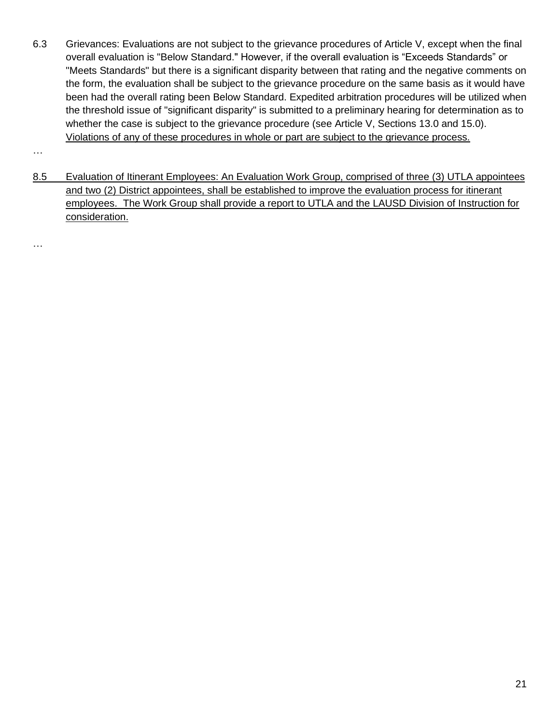6.3 Grievances: Evaluations are not subject to the grievance procedures of Article V, except when the final overall evaluation is "Below Standard." However, if the overall evaluation is "Exceeds Standards" or "Meets Standards" but there is a significant disparity between that rating and the negative comments on the form, the evaluation shall be subject to the grievance procedure on the same basis as it would have been had the overall rating been Below Standard. Expedited arbitration procedures will be utilized when the threshold issue of "significant disparity" is submitted to a preliminary hearing for determination as to whether the case is subject to the grievance procedure (see Article V, Sections 13.0 and 15.0). Violations of any of these procedures in whole or part are subject to the grievance process.

…

8.5 Evaluation of Itinerant Employees: An Evaluation Work Group, comprised of three (3) UTLA appointees and two (2) District appointees, shall be established to improve the evaluation process for itinerant employees. The Work Group shall provide a report to UTLA and the LAUSD Division of Instruction for consideration.

…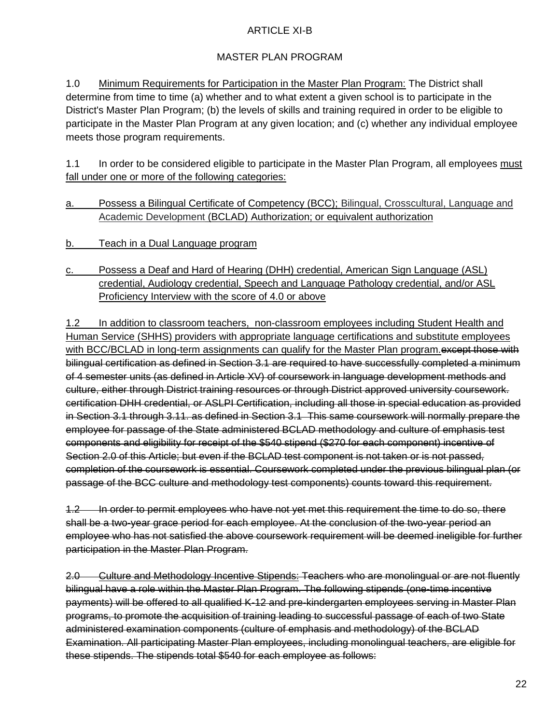#### ARTICLE XI-B

# MASTER PLAN PROGRAM

1.0 Minimum Requirements for Participation in the Master Plan Program: The District shall determine from time to time (a) whether and to what extent a given school is to participate in the District's Master Plan Program; (b) the levels of skills and training required in order to be eligible to participate in the Master Plan Program at any given location; and (c) whether any individual employee meets those program requirements.

1.1 In order to be considered eligible to participate in the Master Plan Program, all employees must fall under one or more of the following categories:

- a. Possess a Bilingual Certificate of Competency (BCC); Bilingual, Crosscultural, Language and Academic Development (BCLAD) Authorization; or equivalent authorization
- b. Teach in a Dual Language program
- c. Possess a Deaf and Hard of Hearing (DHH) credential, American Sign Language (ASL) credential, Audiology credential, Speech and Language Pathology credential, and/or ASL Proficiency Interview with the score of 4.0 or above

1.2 In addition to classroom teachers, non-classroom employees including Student Health and Human Service (SHHS) providers with appropriate language certifications and substitute employees with BCC/BCLAD in long-term assignments can qualify for the Master Plan program.except those with bilingual certification as defined in Section 3.1 are required to have successfully completed a minimum of 4 semester units (as defined in Article XV) of coursework in language development methods and culture, either through District training resources or through District approved university coursework. certification DHH credential, or ASLPI Certification, including all those in special education as provided in Section 3.1 through 3.11. as defined in Section 3.1 This same coursework will normally prepare the employee for passage of the State administered BCLAD methodology and culture of emphasis test components and eligibility for receipt of the \$540 stipend (\$270 for each component) incentive of Section 2.0 of this Article; but even if the BCLAD test component is not taken or is not passed, completion of the coursework is essential. Coursework completed under the previous bilingual plan (or passage of the BCC culture and methodology test components) counts toward this requirement.

1.2 In order to permit employees who have not yet met this requirement the time to do so, there shall be a two-year grace period for each employee. At the conclusion of the two-year period an employee who has not satisfied the above coursework requirement will be deemed ineligible for further participation in the Master Plan Program.

2.0 Culture and Methodology Incentive Stipends: Teachers who are monolingual or are not fluently bilingual have a role within the Master Plan Program. The following stipends (one-time incentive payments) will be offered to all qualified K-12 and pre-kindergarten employees serving in Master Plan programs, to promote the acquisition of training leading to successful passage of each of two State administered examination components (culture of emphasis and methodology) of the BCLAD Examination. All participating Master Plan employees, including monolingual teachers, are eligible for these stipends. The stipends total \$540 for each employee as follows: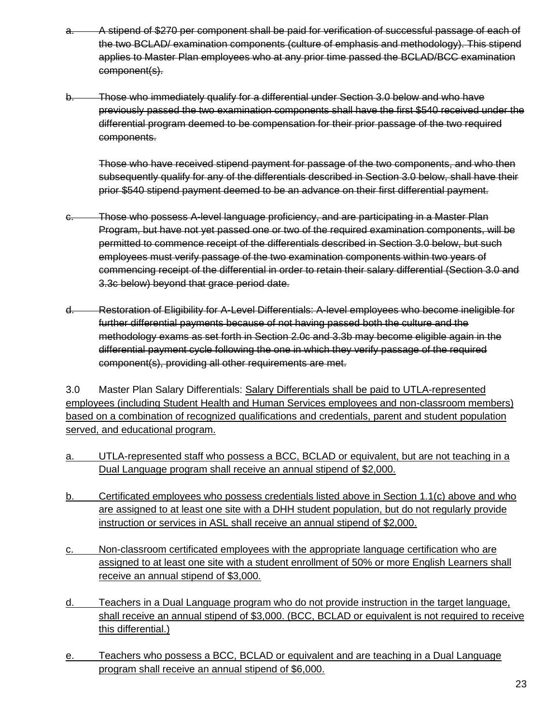- A stipend of \$270 per component shall be paid for verification of successful passage of each of the two BCLAD/ examination components (culture of emphasis and methodology). This stipend applies to Master Plan employees who at any prior time passed the BCLAD/BCC examination component(s).
- Those who immediately qualify for a differential under Section 3.0 below and who have previously passed the two examination components shall have the first \$540 received under the differential program deemed to be compensation for their prior passage of the two required components.

Those who have received stipend payment for passage of the two components, and who then subsequently qualify for any of the differentials described in Section 3.0 below, shall have their prior \$540 stipend payment deemed to be an advance on their first differential payment.

- Those who possess A-level language proficiency, and are participating in a Master Plan Program, but have not yet passed one or two of the required examination components, will be permitted to commence receipt of the differentials described in Section 3.0 below, but such employees must verify passage of the two examination components within two years of commencing receipt of the differential in order to retain their salary differential (Section 3.0 and 3.3c below) beyond that grace period date.
- d. Restoration of Eligibility for A-Level Differentials: A-level employees who become ineligible for further differential payments because of not having passed both the culture and the methodology exams as set forth in Section 2.0c and 3.3b may become eligible again in the differential payment cycle following the one in which they verify passage of the required component(s), providing all other requirements are met.

3.0 Master Plan Salary Differentials: Salary Differentials shall be paid to UTLA-represented employees (including Student Health and Human Services employees and non-classroom members) based on a combination of recognized qualifications and credentials, parent and student population served, and educational program.

- a. UTLA-represented staff who possess a BCC, BCLAD or equivalent, but are not teaching in a Dual Language program shall receive an annual stipend of \$2,000.
- b. Certificated employees who possess credentials listed above in Section 1.1(c) above and who are assigned to at least one site with a DHH student population, but do not regularly provide instruction or services in ASL shall receive an annual stipend of \$2,000.
- c. Non-classroom certificated employees with the appropriate language certification who are assigned to at least one site with a student enrollment of 50% or more English Learners shall receive an annual stipend of \$3,000.
- d. Teachers in a Dual Language program who do not provide instruction in the target language, shall receive an annual stipend of \$3,000. (BCC, BCLAD or equivalent is not required to receive this differential.)
- e. Teachers who possess a BCC, BCLAD or equivalent and are teaching in a Dual Language program shall receive an annual stipend of \$6,000.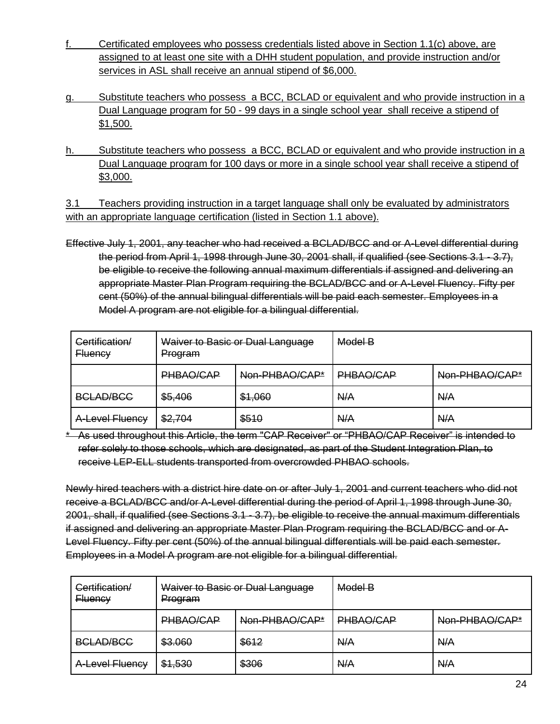- Certificated employees who possess credentials listed above in Section 1.1(c) above, are assigned to at least one site with a DHH student population, and provide instruction and/or services in ASL shall receive an annual stipend of \$6,000.
- g. Substitute teachers who possess a BCC, BCLAD or equivalent and who provide instruction in a Dual Language program for 50 - 99 days in a single school year shall receive a stipend of \$1,500.
- h. Substitute teachers who possess a BCC, BCLAD or equivalent and who provide instruction in a Dual Language program for 100 days or more in a single school year shall receive a stipend of \$3,000.

3.1 Teachers providing instruction in a target language shall only be evaluated by administrators with an appropriate language certification (listed in Section 1.1 above).

Effective July 1, 2001, any teacher who had received a BCLAD/BCC and or A-Level differential during the period from April 1, 1998 through June 30, 2001 shall, if qualified (see Sections 3.1 - 3.7), be eligible to receive the following annual maximum differentials if assigned and delivering an appropriate Master Plan Program requiring the BCLAD/BCC and or A-Level Fluency. Fifty per cent (50%) of the annual bilingual differentials will be paid each semester. Employees in a Model A program are not eligible for a bilingual differential.

| Certification/<br><b>Fluency</b> | Waiver to Basic or Dual Language<br>Program |         | Model B   |                |
|----------------------------------|---------------------------------------------|---------|-----------|----------------|
|                                  | PHBAO/CAP<br>Non-PHBAO/CAP*                 |         | PHBAO/CAP | Non-PHBAO/CAP* |
| <b>BCLAD/BCC</b>                 | \$5,406                                     | \$1,060 | N/A       | N/A            |
| A-Level Fluency                  | \$2,704                                     | \$510   | N/A       | N/A            |

\* As used throughout this Article, the term "CAP Receiver" or "PHBAO/CAP Receiver" is intended to refer solely to those schools, which are designated, as part of the Student Integration Plan, to receive LEP-ELL students transported from overcrowded PHBAO schools.

Newly hired teachers with a district hire date on or after July 1, 2001 and current teachers who did not receive a BCLAD/BCC and/or A-Level differential during the period of April 1, 1998 through June 30, 2001, shall, if qualified (see Sections 3.1 - 3.7), be eligible to receive the annual maximum differentials if assigned and delivering an appropriate Master Plan Program requiring the BCLAD/BCC and or A-Level Fluency. Fifty per cent (50%) of the annual bilingual differentials will be paid each semester. Employees in a Model A program are not eligible for a bilingual differential.

| Certification/<br><del>Fluency</del> | Waiver to Basic or Dual Language<br>Program |       | Model B                     |     |
|--------------------------------------|---------------------------------------------|-------|-----------------------------|-----|
|                                      | PHBAO/CAP<br>Non-PHBAO/CAP*                 |       | PHBAO/CAP<br>Non-PHBAO/CAP* |     |
| <b>BCLAD/BCC</b>                     | \$3.060                                     | \$612 | A/A                         | A/A |
| A-Level Fluency                      | \$1,530                                     | \$306 | N/A                         | A/A |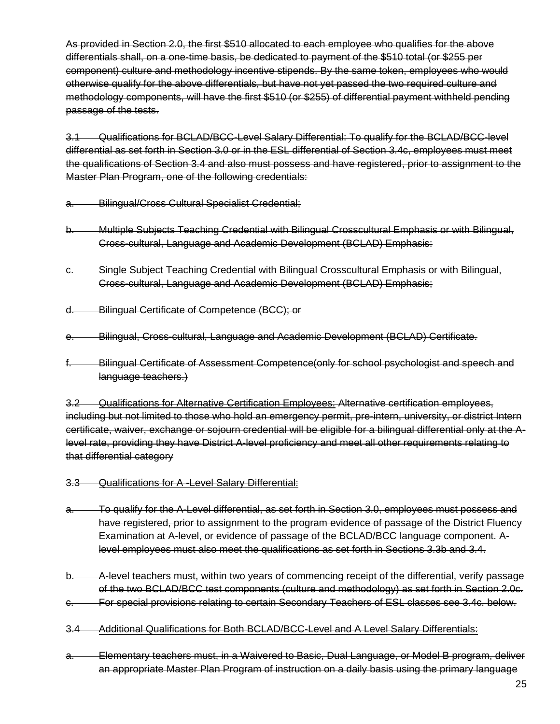As provided in Section 2.0, the first \$510 allocated to each employee who qualifies for the above differentials shall, on a one-time basis, be dedicated to payment of the \$510 total (or \$255 per component) culture and methodology incentive stipends. By the same token, employees who would otherwise qualify for the above differentials, but have not yet passed the two required culture and methodology components, will have the first \$510 (or \$255) of differential payment withheld pending passage of the tests.

3.1 Qualifications for BCLAD/BCC-Level Salary Differential: To qualify for the BCLAD/BCC-level differential as set forth in Section 3.0 or in the ESL differential of Section 3.4c, employees must meet the qualifications of Section 3.4 and also must possess and have registered, prior to assignment to the Master Plan Program, one of the following credentials:

- a. Bilingual/Cross Cultural Specialist Credential;
- b. Multiple Subjects Teaching Credential with Bilingual Crosscultural Emphasis or with Bilingual, Cross-cultural, Language and Academic Development (BCLAD) Emphasis:
- c. Single Subject Teaching Credential with Bilingual Crosscultural Emphasis or with Bilingual, Cross-cultural, Language and Academic Development (BCLAD) Emphasis;
- d. Bilingual Certificate of Competence (BCC); or
- e. Bilingual, Cross-cultural, Language and Academic Development (BCLAD) Certificate.
- f. Bilingual Certificate of Assessment Competence(only for school psychologist and speech and language teachers.)

3.2 Qualifications for Alternative Certification Employees: Alternative certification employees, including but not limited to those who hold an emergency permit, pre-intern, university, or district Intern certificate, waiver, exchange or sojourn credential will be eligible for a bilingual differential only at the Alevel rate, providing they have District A-level proficiency and meet all other requirements relating to that differential category

- 3.3 Qualifications for A -Level Salary Differential:
- a. To qualify for the A-Level differential, as set forth in Section 3.0, employees must possess and have registered, prior to assignment to the program evidence of passage of the District Fluency Examination at A-level, or evidence of passage of the BCLAD/BCC language component. Alevel employees must also meet the qualifications as set forth in Sections 3.3b and 3.4.
- b. A-level teachers must, within two years of commencing receipt of the differential, verify passage of the two BCLAD/BCC test components (culture and methodology) as set forth in Section 2.0c.
- c. For special provisions relating to certain Secondary Teachers of ESL classes see 3.4c. below.
- 3.4 Additional Qualifications for Both BCLAD/BCC-Level and A Level Salary Differentials:
- a. Elementary teachers must, in a Waivered to Basic, Dual Language, or Model B program, deliver an appropriate Master Plan Program of instruction on a daily basis using the primary language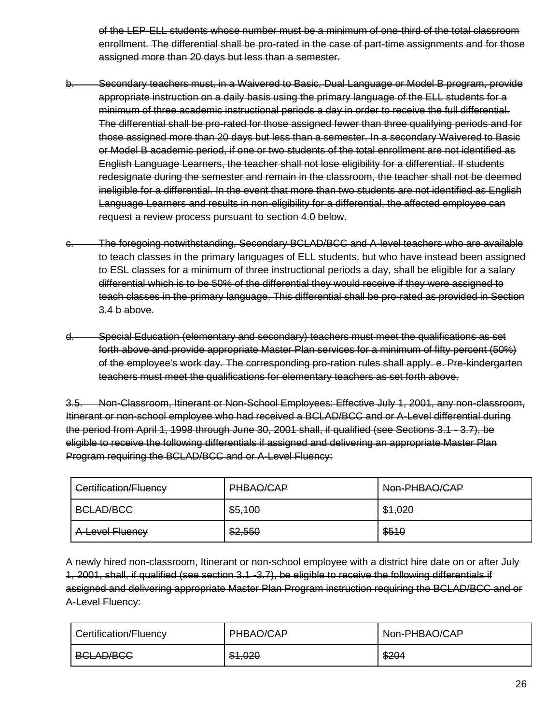of the LEP-ELL students whose number must be a minimum of one-third of the total classroom enrollment. The differential shall be pro-rated in the case of part-time assignments and for those assigned more than 20 days but less than a semester.

- b. Secondary teachers must, in a Waivered to Basic, Dual Language or Model B program, provide appropriate instruction on a daily basis using the primary language of the ELL students for a minimum of three academic instructional periods a day in order to receive the full differential. The differential shall be pro-rated for those assigned fewer than three qualifying periods and for those assigned more than 20 days but less than a semester. In a secondary Waivered to Basic or Model B academic period, if one or two students of the total enrollment are not identified as English Language Learners, the teacher shall not lose eligibility for a differential. If students redesignate during the semester and remain in the classroom, the teacher shall not be deemed ineligible for a differential. In the event that more than two students are not identified as English Language Learners and results in non-eligibility for a differential, the affected employee can request a review process pursuant to section 4.0 below.
- The foregoing notwithstanding, Secondary BCLAD/BCC and A-level teachers who are available to teach classes in the primary languages of ELL students, but who have instead been assigned to ESL classes for a minimum of three instructional periods a day, shall be eligible for a salary differential which is to be 50% of the differential they would receive if they were assigned to teach classes in the primary language. This differential shall be pro-rated as provided in Section 3.4 b above.
- d. Special Education (elementary and secondary) teachers must meet the qualifications as set forth above and provide appropriate Master Plan services for a minimum of fifty percent (50%) of the employee's work day. The corresponding pro-ration rules shall apply. e. Pre-kindergarten teachers must meet the qualifications for elementary teachers as set forth above.

3.5. Non-Classroom, Itinerant or Non-School Employees: Effective July 1, 2001, any non-classroom, Itinerant or non-school employee who had received a BCLAD/BCC and or A-Level differential during the period from April 1, 1998 through June 30, 2001 shall, if qualified (see Sections 3.1 - 3.7), be eligible to receive the following differentials if assigned and delivering an appropriate Master Plan Program requiring the BCLAD/BCC and or A-Level Fluency:

| Certification/Fluency | PHBAO/CAP | Non-PHBAO/CAP |  |
|-----------------------|-----------|---------------|--|
| <b>BCLAD/BCC</b>      | \$5,100   | \$1,020       |  |
| A-Level Fluency       | \$2,550   | \$510         |  |

A newly hired non-classroom, Itinerant or non-school employee with a district hire date on or after July 1, 2001, shall, if qualified (see section 3.1 -3.7), be eligible to receive the following differentials if assigned and delivering appropriate Master Plan Program instruction requiring the BCLAD/BCC and or A-Level Fluency:

| Certification/Fluency            | <b>DHRAO</b><br><del>rnonononi</del> | Non-PHBAO/CAP |
|----------------------------------|--------------------------------------|---------------|
| RCLAD/RCC<br><del>50000000</del> | <b>181 NO</b><br><del>ຫາ.ບຂບ</del>   | \$204         |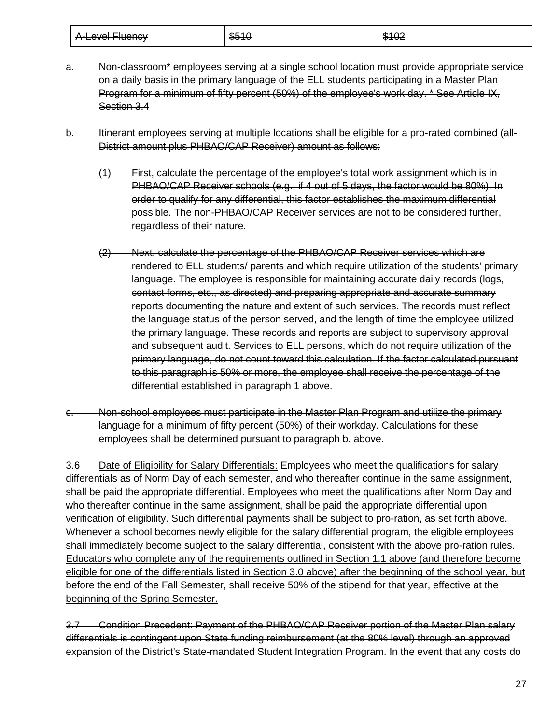| A-Level Fluency | \$510 | \$102 |
|-----------------|-------|-------|
|-----------------|-------|-------|

- a. Non-classroom\* employees serving at a single school location must provide appropriate service on a daily basis in the primary language of the ELL students participating in a Master Plan Program for a minimum of fifty percent (50%) of the employee's work day. \* See Article IX, Section 3.4
- b. Itinerant employees serving at multiple locations shall be eligible for a pro-rated combined (all-District amount plus PHBAO/CAP Receiver) amount as follows:
	- (1) First, calculate the percentage of the employee's total work assignment which is in PHBAO/CAP Receiver schools (e.g., if 4 out of 5 days, the factor would be 80%). In order to qualify for any differential, this factor establishes the maximum differential possible. The non-PHBAO/CAP Receiver services are not to be considered further, regardless of their nature.
	- (2) Next, calculate the percentage of the PHBAO/CAP Receiver services which are rendered to ELL students/ parents and which require utilization of the students' primary language. The employee is responsible for maintaining accurate daily records (logs, contact forms, etc., as directed) and preparing appropriate and accurate summary reports documenting the nature and extent of such services. The records must reflect the language status of the person served, and the length of time the employee utilized the primary language. These records and reports are subject to supervisory approval and subsequent audit. Services to ELL persons, which do not require utilization of the primary language, do not count toward this calculation. If the factor calculated pursuant to this paragraph is 50% or more, the employee shall receive the percentage of the differential established in paragraph 1 above.
- Non-school employees must participate in the Master Plan Program and utilize the primary language for a minimum of fifty percent (50%) of their workday. Calculations for these employees shall be determined pursuant to paragraph b. above.

3.6 Date of Eligibility for Salary Differentials: Employees who meet the qualifications for salary differentials as of Norm Day of each semester, and who thereafter continue in the same assignment, shall be paid the appropriate differential. Employees who meet the qualifications after Norm Day and who thereafter continue in the same assignment, shall be paid the appropriate differential upon verification of eligibility. Such differential payments shall be subject to pro-ration, as set forth above. Whenever a school becomes newly eligible for the salary differential program, the eligible employees shall immediately become subject to the salary differential, consistent with the above pro-ration rules. Educators who complete any of the requirements outlined in Section 1.1 above (and therefore become eligible for one of the differentials listed in Section 3.0 above) after the beginning of the school year, but before the end of the Fall Semester, shall receive 50% of the stipend for that year, effective at the beginning of the Spring Semester.

3.7 Condition Precedent: Payment of the PHBAO/CAP Receiver portion of the Master Plan salary differentials is contingent upon State funding reimbursement (at the 80% level) through an approved expansion of the District's State-mandated Student Integration Program. In the event that any costs do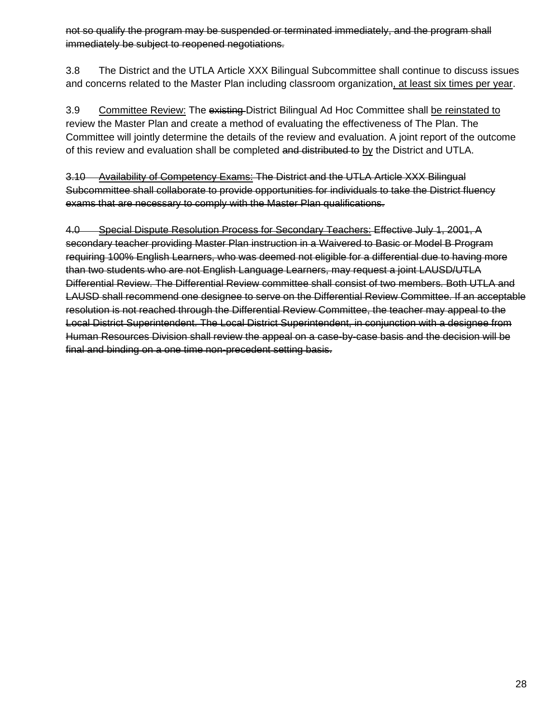not so qualify the program may be suspended or terminated immediately, and the program shall immediately be subject to reopened negotiations.

3.8 The District and the UTLA Article XXX Bilingual Subcommittee shall continue to discuss issues and concerns related to the Master Plan including classroom organization, at least six times per year.

3.9 Committee Review: The existing District Bilingual Ad Hoc Committee shall be reinstated to review the Master Plan and create a method of evaluating the effectiveness of The Plan. The Committee will jointly determine the details of the review and evaluation. A joint report of the outcome of this review and evaluation shall be completed and distributed to by the District and UTLA.

3.10 Availability of Competency Exams: The District and the UTLA Article XXX Bilingual Subcommittee shall collaborate to provide opportunities for individuals to take the District fluency exams that are necessary to comply with the Master Plan qualifications.

4.0 Special Dispute Resolution Process for Secondary Teachers: Effective July 1, 2001, A secondary teacher providing Master Plan instruction in a Waivered to Basic or Model B Program requiring 100% English Learners, who was deemed not eligible for a differential due to having more than two students who are not English Language Learners, may request a joint LAUSD/UTLA Differential Review. The Differential Review committee shall consist of two members. Both UTLA and LAUSD shall recommend one designee to serve on the Differential Review Committee. If an acceptable resolution is not reached through the Differential Review Committee, the teacher may appeal to the Local District Superintendent. The Local District Superintendent, in conjunction with a designee from Human Resources Division shall review the appeal on a case-by-case basis and the decision will be final and binding on a one time non-precedent setting basis.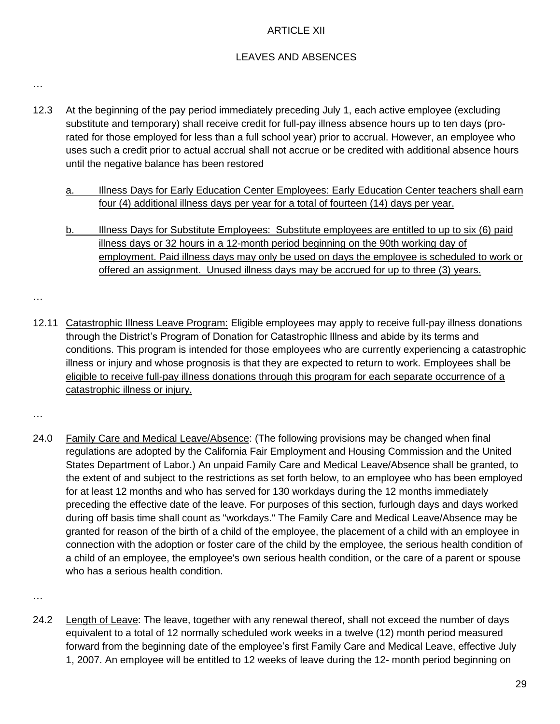#### ARTICLE XII

#### LEAVES AND ABSENCES

…

- 12.3 At the beginning of the pay period immediately preceding July 1, each active employee (excluding substitute and temporary) shall receive credit for full-pay illness absence hours up to ten days (prorated for those employed for less than a full school year) prior to accrual. However, an employee who uses such a credit prior to actual accrual shall not accrue or be credited with additional absence hours until the negative balance has been restored
	- a. Illness Days for Early Education Center Employees: Early Education Center teachers shall earn four (4) additional illness days per year for a total of fourteen (14) days per year.
	- b. Illness Days for Substitute Employees: Substitute employees are entitled to up to six (6) paid illness days or 32 hours in a 12-month period beginning on the 90th working day of employment. Paid illness days may only be used on days the employee is scheduled to work or offered an assignment. Unused illness days may be accrued for up to three (3) years.
- 12.11 Catastrophic Illness Leave Program: Eligible employees may apply to receive full-pay illness donations through the District's Program of Donation for Catastrophic Illness and abide by its terms and conditions. This program is intended for those employees who are currently experiencing a catastrophic illness or injury and whose prognosis is that they are expected to return to work. Employees shall be eligible to receive full-pay illness donations through this program for each separate occurrence of a catastrophic illness or injury.
- …

…

24.0 Family Care and Medical Leave/Absence: (The following provisions may be changed when final regulations are adopted by the California Fair Employment and Housing Commission and the United States Department of Labor.) An unpaid Family Care and Medical Leave/Absence shall be granted, to the extent of and subject to the restrictions as set forth below, to an employee who has been employed for at least 12 months and who has served for 130 workdays during the 12 months immediately preceding the effective date of the leave. For purposes of this section, furlough days and days worked during off basis time shall count as "workdays." The Family Care and Medical Leave/Absence may be granted for reason of the birth of a child of the employee, the placement of a child with an employee in connection with the adoption or foster care of the child by the employee, the serious health condition of a child of an employee, the employee's own serious health condition, or the care of a parent or spouse who has a serious health condition.

…

24.2 Length of Leave: The leave, together with any renewal thereof, shall not exceed the number of days equivalent to a total of 12 normally scheduled work weeks in a twelve (12) month period measured forward from the beginning date of the employee's first Family Care and Medical Leave, effective July 1, 2007. An employee will be entitled to 12 weeks of leave during the 12- month period beginning on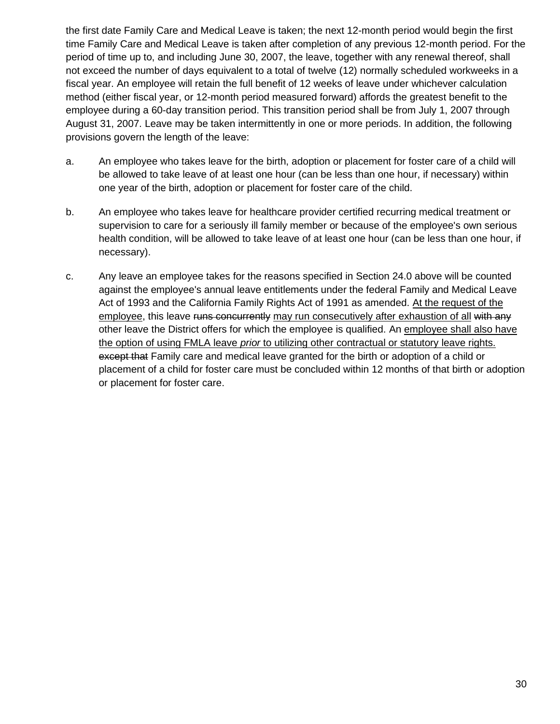the first date Family Care and Medical Leave is taken; the next 12-month period would begin the first time Family Care and Medical Leave is taken after completion of any previous 12-month period. For the period of time up to, and including June 30, 2007, the leave, together with any renewal thereof, shall not exceed the number of days equivalent to a total of twelve (12) normally scheduled workweeks in a fiscal year. An employee will retain the full benefit of 12 weeks of leave under whichever calculation method (either fiscal year, or 12-month period measured forward) affords the greatest benefit to the employee during a 60-day transition period. This transition period shall be from July 1, 2007 through August 31, 2007. Leave may be taken intermittently in one or more periods. In addition, the following provisions govern the length of the leave:

- a. An employee who takes leave for the birth, adoption or placement for foster care of a child will be allowed to take leave of at least one hour (can be less than one hour, if necessary) within one year of the birth, adoption or placement for foster care of the child.
- b. An employee who takes leave for healthcare provider certified recurring medical treatment or supervision to care for a seriously ill family member or because of the employee's own serious health condition, will be allowed to take leave of at least one hour (can be less than one hour, if necessary).
- c. Any leave an employee takes for the reasons specified in Section 24.0 above will be counted against the employee's annual leave entitlements under the federal Family and Medical Leave Act of 1993 and the California Family Rights Act of 1991 as amended. At the request of the employee, this leave runs concurrently may run consecutively after exhaustion of all with any other leave the District offers for which the employee is qualified. An employee shall also have the option of using FMLA leave *prior* to utilizing other contractual or statutory leave rights. except that Family care and medical leave granted for the birth or adoption of a child or placement of a child for foster care must be concluded within 12 months of that birth or adoption or placement for foster care.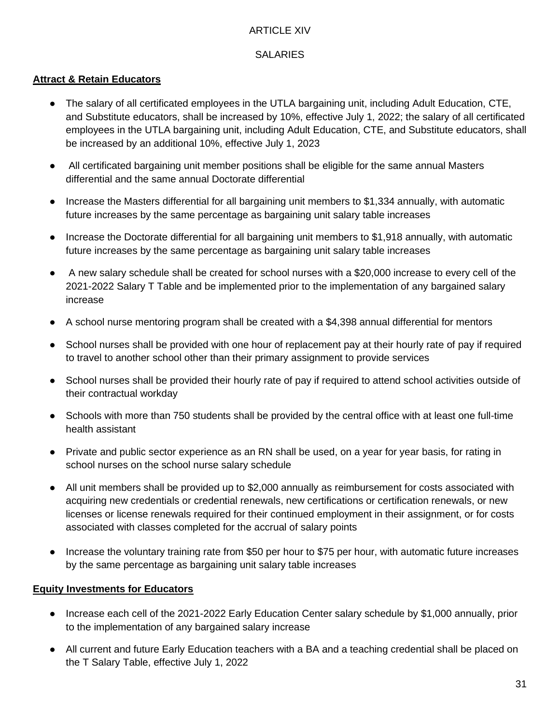#### ARTICLE XIV

# **SALARIES**

#### **Attract & Retain Educators**

- The salary of all certificated employees in the UTLA bargaining unit, including Adult Education, CTE, and Substitute educators, shall be increased by 10%, effective July 1, 2022; the salary of all certificated employees in the UTLA bargaining unit, including Adult Education, CTE, and Substitute educators, shall be increased by an additional 10%, effective July 1, 2023
- All certificated bargaining unit member positions shall be eligible for the same annual Masters differential and the same annual Doctorate differential
- Increase the Masters differential for all bargaining unit members to \$1,334 annually, with automatic future increases by the same percentage as bargaining unit salary table increases
- Increase the Doctorate differential for all bargaining unit members to \$1,918 annually, with automatic future increases by the same percentage as bargaining unit salary table increases
- A new salary schedule shall be created for school nurses with a \$20,000 increase to every cell of the 2021-2022 Salary T Table and be implemented prior to the implementation of any bargained salary increase
- A school nurse mentoring program shall be created with a \$4,398 annual differential for mentors
- School nurses shall be provided with one hour of replacement pay at their hourly rate of pay if required to travel to another school other than their primary assignment to provide services
- School nurses shall be provided their hourly rate of pay if required to attend school activities outside of their contractual workday
- Schools with more than 750 students shall be provided by the central office with at least one full-time health assistant
- Private and public sector experience as an RN shall be used, on a year for year basis, for rating in school nurses on the school nurse salary schedule
- All unit members shall be provided up to \$2,000 annually as reimbursement for costs associated with acquiring new credentials or credential renewals, new certifications or certification renewals, or new licenses or license renewals required for their continued employment in their assignment, or for costs associated with classes completed for the accrual of salary points
- Increase the voluntary training rate from \$50 per hour to \$75 per hour, with automatic future increases by the same percentage as bargaining unit salary table increases

#### **Equity Investments for Educators**

- Increase each cell of the 2021-2022 Early Education Center salary schedule by \$1,000 annually, prior to the implementation of any bargained salary increase
- All current and future Early Education teachers with a BA and a teaching credential shall be placed on the T Salary Table, effective July 1, 2022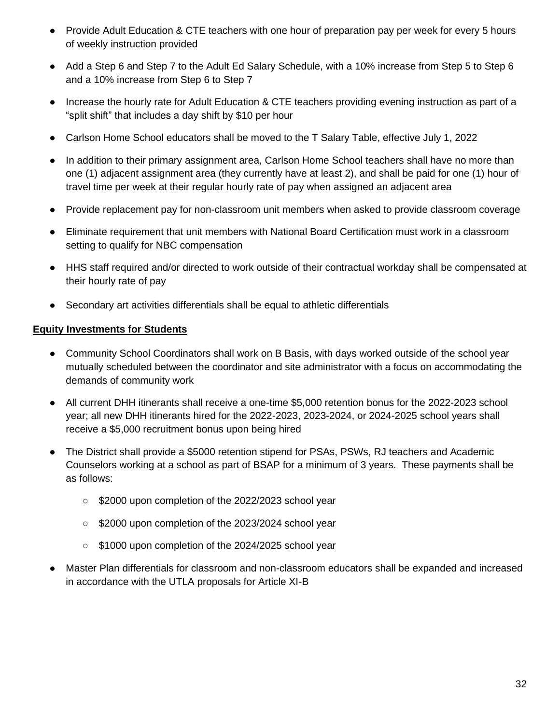- Provide Adult Education & CTE teachers with one hour of preparation pay per week for every 5 hours of weekly instruction provided
- Add a Step 6 and Step 7 to the Adult Ed Salary Schedule, with a 10% increase from Step 5 to Step 6 and a 10% increase from Step 6 to Step 7
- Increase the hourly rate for Adult Education & CTE teachers providing evening instruction as part of a "split shift" that includes a day shift by \$10 per hour
- Carlson Home School educators shall be moved to the T Salary Table, effective July 1, 2022
- In addition to their primary assignment area, Carlson Home School teachers shall have no more than one (1) adjacent assignment area (they currently have at least 2), and shall be paid for one (1) hour of travel time per week at their regular hourly rate of pay when assigned an adjacent area
- Provide replacement pay for non-classroom unit members when asked to provide classroom coverage
- Eliminate requirement that unit members with National Board Certification must work in a classroom setting to qualify for NBC compensation
- HHS staff required and/or directed to work outside of their contractual workday shall be compensated at their hourly rate of pay
- Secondary art activities differentials shall be equal to athletic differentials

### **Equity Investments for Students**

- Community School Coordinators shall work on B Basis, with days worked outside of the school year mutually scheduled between the coordinator and site administrator with a focus on accommodating the demands of community work
- All current DHH itinerants shall receive a one-time \$5,000 retention bonus for the 2022-2023 school year; all new DHH itinerants hired for the 2022-2023, 2023-2024, or 2024-2025 school years shall receive a \$5,000 recruitment bonus upon being hired
- The District shall provide a \$5000 retention stipend for PSAs, PSWs, RJ teachers and Academic Counselors working at a school as part of BSAP for a minimum of 3 years. These payments shall be as follows:
	- \$2000 upon completion of the 2022/2023 school year
	- \$2000 upon completion of the 2023/2024 school year
	- \$1000 upon completion of the 2024/2025 school year
- Master Plan differentials for classroom and non-classroom educators shall be expanded and increased in accordance with the UTLA proposals for Article XI-B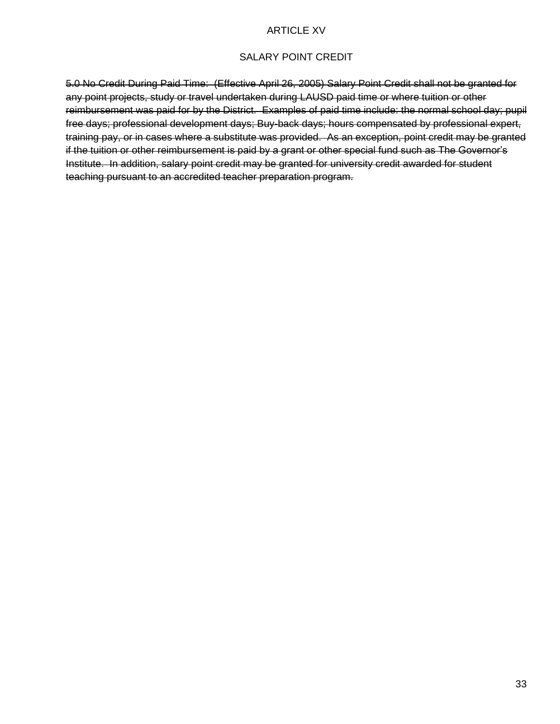#### SALARY POINT CREDIT

5.0 No Credit During Paid Time: (Effective April 26, 2005) Salary Point Credit shall not be granted for any point projects, study or travel undertaken during LAUSD paid time or where tuition or other reimbursement was paid for by the District. Examples of paid time include: the normal school day; pupil free days; professional development days; Buy-back days; hours compensated by professional expert, training pay, or in cases where a substitute was provided. As an exception, point credit may be granted if the tuition or other reimbursement is paid by a grant or other special fund such as The Governor's Institute. In addition, salary point credit may be granted for university credit awarded for student teaching pursuant to an accredited teacher preparation program.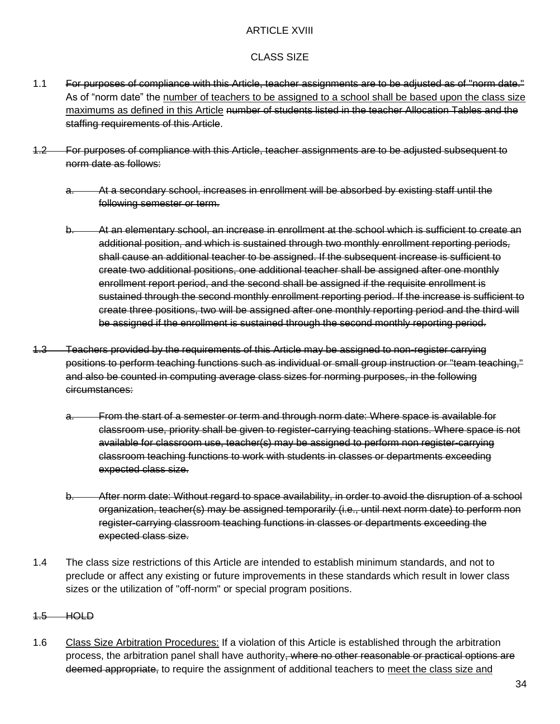#### ARTICLE XVIII

#### CLASS SIZE

- 1.1 For purposes of compliance with this Article, teacher assignments are to be adjusted as of "norm date." As of "norm date" the number of teachers to be assigned to a school shall be based upon the class size maximums as defined in this Article number of students listed in the teacher Allocation Tables and the staffing requirements of this Article.
- 1.2 For purposes of compliance with this Article, teacher assignments are to be adjusted subsequent to norm date as follows:
	- a. At a secondary school, increases in enrollment will be absorbed by existing staff until the following semester or term.
	- b. At an elementary school, an increase in enrollment at the school which is sufficient to create an additional position, and which is sustained through two monthly enrollment reporting periods, shall cause an additional teacher to be assigned. If the subsequent increase is sufficient to create two additional positions, one additional teacher shall be assigned after one monthly enrollment report period, and the second shall be assigned if the requisite enrollment is sustained through the second monthly enrollment reporting period. If the increase is sufficient to create three positions, two will be assigned after one monthly reporting period and the third will be assigned if the enrollment is sustained through the second monthly reporting period.
- 1.3 Teachers provided by the requirements of this Article may be assigned to non-register carrying positions to perform teaching functions such as individual or small group instruction or "team teaching," and also be counted in computing average class sizes for norming purposes, in the following circumstances:
	- a. From the start of a semester or term and through norm date: Where space is available for classroom use, priority shall be given to register-carrying teaching stations. Where space is not available for classroom use, teacher(s) may be assigned to perform non register-carrying classroom teaching functions to work with students in classes or departments exceeding expected class size.
	- b. After norm date: Without regard to space availability, in order to avoid the disruption of a school organization, teacher(s) may be assigned temporarily (i.e., until next norm date) to perform non register-carrying classroom teaching functions in classes or departments exceeding the expected class size.
- 1.4 The class size restrictions of this Article are intended to establish minimum standards, and not to preclude or affect any existing or future improvements in these standards which result in lower class sizes or the utilization of "off-norm" or special program positions.

#### 1.5 HOLD

1.6 Class Size Arbitration Procedures: If a violation of this Article is established through the arbitration process, the arbitration panel shall have authority, where no other reasonable or practical options are deemed appropriate, to require the assignment of additional teachers to meet the class size and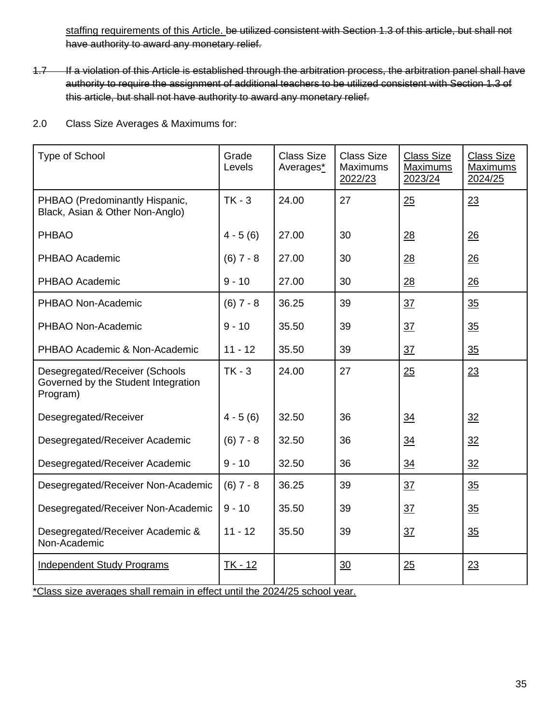staffing requirements of this Article. be utilized consistent with Section 1.3 of this article, but shall not have authority to award any monetary relief.

1.7 If a violation of this Article is established through the arbitration process, the arbitration panel shall have authority to require the assignment of additional teachers to be utilized consistent with Section 1.3 of this article, but shall not have authority to award any monetary relief.

2.0 Class Size Averages & Maximums for:

| <b>Type of School</b>                                                                                           | Grade<br>Levels | <b>Class Size</b><br>Averages* | <b>Class Size</b><br><b>Maximums</b><br>2022/23 | <b>Class Size</b><br>Maximums<br>2023/24 | <b>Class Size</b><br>Maximums<br>2024/25 |
|-----------------------------------------------------------------------------------------------------------------|-----------------|--------------------------------|-------------------------------------------------|------------------------------------------|------------------------------------------|
| PHBAO (Predominantly Hispanic,<br>Black, Asian & Other Non-Anglo)                                               | $TK - 3$        | 24.00                          | 27                                              | 25                                       | 23                                       |
| <b>PHBAO</b>                                                                                                    | $4 - 5(6)$      | 27.00                          | 30                                              | 28                                       | 26                                       |
| PHBAO Academic                                                                                                  | $(6) 7 - 8$     | 27.00                          | 30                                              | 28                                       | 26                                       |
| PHBAO Academic                                                                                                  | $9 - 10$        | 27.00                          | 30                                              | 28                                       | 26                                       |
| PHBAO Non-Academic                                                                                              | $(6) 7 - 8$     | 36.25                          | 39                                              | 37                                       | 35                                       |
| PHBAO Non-Academic                                                                                              | $9 - 10$        | 35.50                          | 39                                              | 37                                       | 35                                       |
| PHBAO Academic & Non-Academic                                                                                   | $11 - 12$       | 35.50                          | 39                                              | 37                                       | $\frac{35}{5}$                           |
| Desegregated/Receiver (Schools<br>Governed by the Student Integration<br>Program)                               | $TK - 3$        | 24.00                          | 27                                              | 25                                       | 23                                       |
| Desegregated/Receiver                                                                                           | $4 - 5(6)$      | 32.50                          | 36                                              | 34                                       | 32                                       |
| Desegregated/Receiver Academic                                                                                  | $(6) 7 - 8$     | 32.50                          | 36                                              | 34                                       | 32                                       |
| Desegregated/Receiver Academic                                                                                  | $9 - 10$        | 32.50                          | 36                                              | 34                                       | 32                                       |
| Desegregated/Receiver Non-Academic                                                                              | $(6) 7 - 8$     | 36.25                          | 39                                              | 37                                       | 35                                       |
| Desegregated/Receiver Non-Academic                                                                              | $9 - 10$        | 35.50                          | 39                                              | 37                                       | 35                                       |
| Desegregated/Receiver Academic &<br>Non-Academic                                                                | $11 - 12$       | 35.50                          | 39                                              | 37                                       | 35                                       |
| <b>Independent Study Programs</b><br>*Class size averages shall remain in effect until the 2024/25 school year. | $TK - 12$       |                                | 30                                              | 25                                       | 23                                       |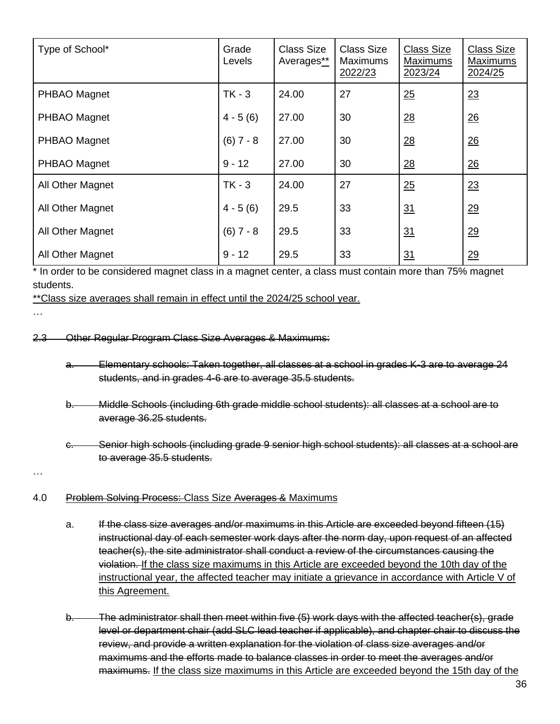| Type of School*  | Grade<br>Levels | <b>Class Size</b><br>Averages** | <b>Class Size</b><br>Maximums<br>2022/23 | <b>Class Size</b><br><b>Maximums</b><br>2023/24 | <b>Class Size</b><br>Maximums<br>2024/25 |
|------------------|-----------------|---------------------------------|------------------------------------------|-------------------------------------------------|------------------------------------------|
| PHBAO Magnet     | $TK - 3$        | 24.00                           | 27                                       | 25                                              | 23                                       |
| PHBAO Magnet     | $4 - 5(6)$      | 27.00                           | 30                                       | 28                                              | $\frac{26}{5}$                           |
| PHBAO Magnet     | $(6) 7 - 8$     | 27.00                           | 30                                       | 28                                              | $\frac{26}{5}$                           |
| PHBAO Magnet     | $9 - 12$        | 27.00                           | 30                                       | $\underline{28}$                                | 26                                       |
| All Other Magnet | $TK - 3$        | 24.00                           | 27                                       | 25                                              | 23                                       |
| All Other Magnet | $4 - 5(6)$      | 29.5                            | 33                                       | 31                                              | 29                                       |
| All Other Magnet | $(6) 7 - 8$     | 29.5                            | 33                                       | 31                                              | 29                                       |
| All Other Magnet | $9 - 12$        | 29.5                            | 33                                       | 31                                              | 29                                       |

\* In order to be considered magnet class in a magnet center, a class must contain more than 75% magnet students.

\*\*Class size averages shall remain in effect until the 2024/25 school year.

…

2.3 Other Regular Program Class Size Averages & Maximums:

- a. Elementary schools: Taken together, all classes at a school in grades K-3 are to average 24 students, and in grades 4-6 are to average 35.5 students.
- b. Middle Schools (including 6th grade middle school students): all classes at a school are to average 36.25 students.
- c. Senior high schools (including grade 9 senior high school students): all classes at a school are to average 35.5 students.

…

# 4.0 Problem Solving Process: Class Size Averages & Maximums

- a. If the class size averages and/or maximums in this Article are exceeded beyond fifteen (15) instructional day of each semester work days after the norm day, upon request of an affected teacher(s), the site administrator shall conduct a review of the circumstances causing the violation. If the class size maximums in this Article are exceeded beyond the 10th day of the instructional year, the affected teacher may initiate a grievance in accordance with Article V of this Agreement.
- b. The administrator shall then meet within five (5) work days with the affected teacher(s), grade level or department chair (add SLC lead teacher if applicable), and chapter chair to discuss the review, and provide a written explanation for the violation of class size averages and/or maximums and the efforts made to balance classes in order to meet the averages and/or maximums. If the class size maximums in this Article are exceeded beyond the 15th day of the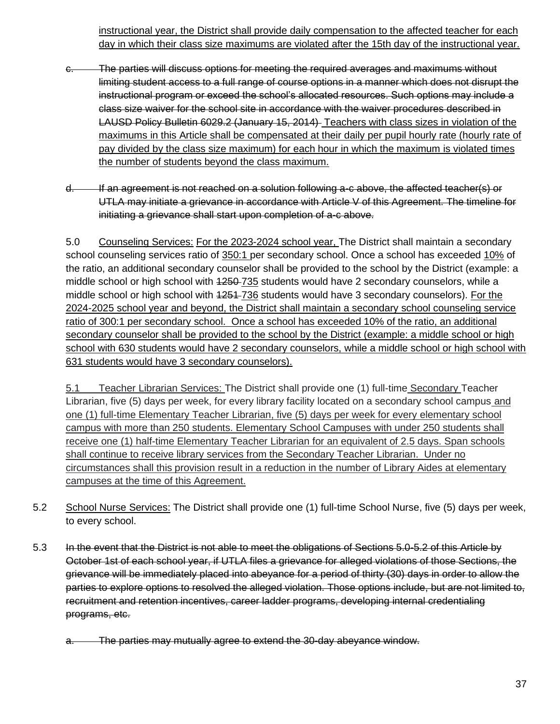instructional year, the District shall provide daily compensation to the affected teacher for each day in which their class size maximums are violated after the 15th day of the instructional year.

- c. The parties will discuss options for meeting the required averages and maximums without limiting student access to a full range of course options in a manner which does not disrupt the instructional program or exceed the school's allocated resources. Such options may include a class size waiver for the school site in accordance with the waiver procedures described in LAUSD Policy Bulletin 6029.2 (January 15, 2014) Teachers with class sizes in violation of the maximums in this Article shall be compensated at their daily per pupil hourly rate (hourly rate of pay divided by the class size maximum) for each hour in which the maximum is violated times the number of students beyond the class maximum.
- d. If an agreement is not reached on a solution following a-c above, the affected teacher(s) or UTLA may initiate a grievance in accordance with Article V of this Agreement. The timeline for initiating a grievance shall start upon completion of a-c above.

5.0 Counseling Services: For the 2023-2024 school year, The District shall maintain a secondary school counseling services ratio of 350:1 per secondary school. Once a school has exceeded 10% of the ratio, an additional secondary counselor shall be provided to the school by the District (example: a middle school or high school with 1250 735 students would have 2 secondary counselors, while a middle school or high school with  $1251 - 736$  students would have 3 secondary counselors). For the 2024-2025 school year and beyond, the District shall maintain a secondary school counseling service ratio of 300:1 per secondary school. Once a school has exceeded 10% of the ratio, an additional secondary counselor shall be provided to the school by the District (example: a middle school or high school with 630 students would have 2 secondary counselors, while a middle school or high school with 631 students would have 3 secondary counselors).

5.1 Teacher Librarian Services: The District shall provide one (1) full-time Secondary Teacher Librarian, five (5) days per week, for every library facility located on a secondary school campus and one (1) full-time Elementary Teacher Librarian, five (5) days per week for every elementary school campus with more than 250 students. Elementary School Campuses with under 250 students shall receive one (1) half-time Elementary Teacher Librarian for an equivalent of 2.5 days. Span schools shall continue to receive library services from the Secondary Teacher Librarian. Under no circumstances shall this provision result in a reduction in the number of Library Aides at elementary campuses at the time of this Agreement.

- 5.2 School Nurse Services: The District shall provide one (1) full-time School Nurse, five (5) days per week, to every school.
- 5.3 In the event that the District is not able to meet the obligations of Sections 5.0-5.2 of this Article by October 1st of each school year, if UTLA files a grievance for alleged violations of those Sections, the grievance will be immediately placed into abeyance for a period of thirty (30) days in order to allow the parties to explore options to resolved the alleged violation. Those options include, but are not limited to, recruitment and retention incentives, career ladder programs, developing internal credentialing programs, etc.
	- The parties may mutually agree to extend the 30-day abeyance window.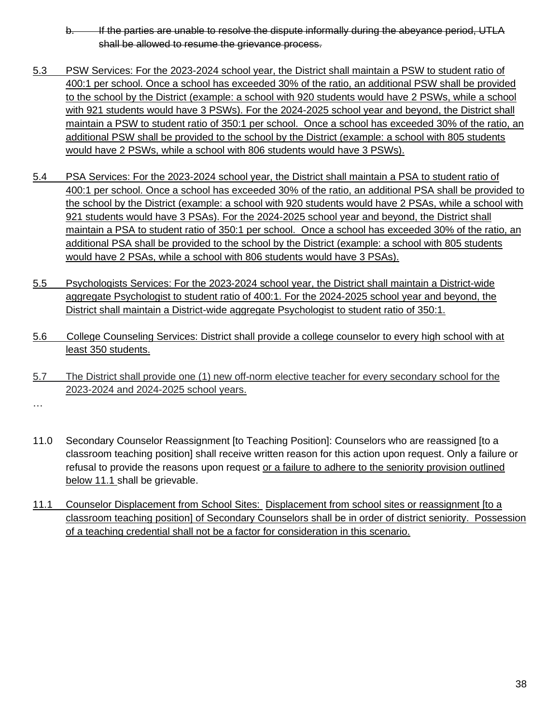- b. If the parties are unable to resolve the dispute informally during the abeyance period, UTLA shall be allowed to resume the grievance process.
- 5.3 PSW Services: For the 2023-2024 school year, the District shall maintain a PSW to student ratio of 400:1 per school. Once a school has exceeded 30% of the ratio, an additional PSW shall be provided to the school by the District (example: a school with 920 students would have 2 PSWs, while a school with 921 students would have 3 PSWs). For the 2024-2025 school year and beyond, the District shall maintain a PSW to student ratio of 350:1 per school. Once a school has exceeded 30% of the ratio, an additional PSW shall be provided to the school by the District (example: a school with 805 students would have 2 PSWs, while a school with 806 students would have 3 PSWs).
- 5.4 PSA Services: For the 2023-2024 school year, the District shall maintain a PSA to student ratio of 400:1 per school. Once a school has exceeded 30% of the ratio, an additional PSA shall be provided to the school by the District (example: a school with 920 students would have 2 PSAs, while a school with 921 students would have 3 PSAs). For the 2024-2025 school year and beyond, the District shall maintain a PSA to student ratio of 350:1 per school. Once a school has exceeded 30% of the ratio, an additional PSA shall be provided to the school by the District (example: a school with 805 students would have 2 PSAs, while a school with 806 students would have 3 PSAs).
- 5.5 Psychologists Services: For the 2023-2024 school year, the District shall maintain a District-wide aggregate Psychologist to student ratio of 400:1. For the 2024-2025 school year and beyond, the District shall maintain a District-wide aggregate Psychologist to student ratio of 350:1.
- 5.6 College Counseling Services: District shall provide a college counselor to every high school with at least 350 students.
- 5.7 The District shall provide one (1) new off-norm elective teacher for every secondary school for the 2023-2024 and 2024-2025 school years.

…

- 11.0 Secondary Counselor Reassignment [to Teaching Position]: Counselors who are reassigned [to a classroom teaching position] shall receive written reason for this action upon request. Only a failure or refusal to provide the reasons upon request or a failure to adhere to the seniority provision outlined below 11.1 shall be grievable.
- 11.1 Counselor Displacement from School Sites: Displacement from school sites or reassignment [to a classroom teaching position] of Secondary Counselors shall be in order of district seniority. Possession of a teaching credential shall not be a factor for consideration in this scenario.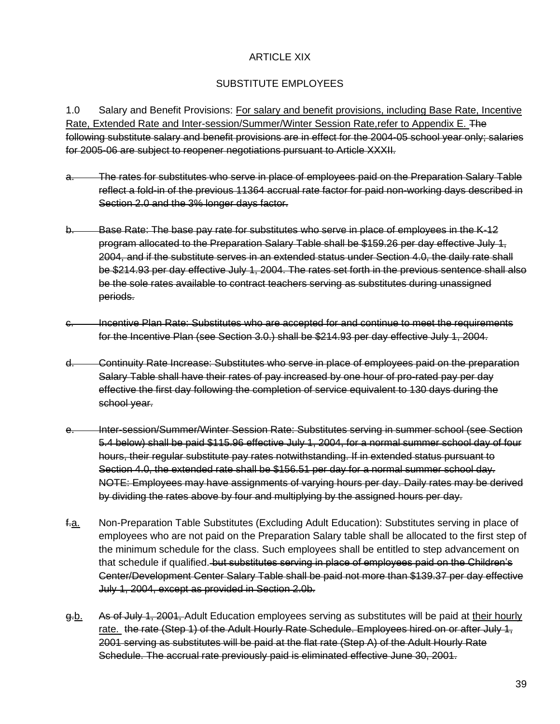### ARTICLE XIX

## SUBSTITUTE EMPLOYEES

1.0 Salary and Benefit Provisions: For salary and benefit provisions, including Base Rate, Incentive Rate, Extended Rate and Inter-session/Summer/Winter Session Rate,refer to Appendix E. The following substitute salary and benefit provisions are in effect for the 2004-05 school year only; salaries for 2005-06 are subject to reopener negotiations pursuant to Article XXXII.

- a. The rates for substitutes who serve in place of employees paid on the Preparation Salary Table reflect a fold-in of the previous 11364 accrual rate factor for paid non-working days described in Section 2.0 and the 3% longer days factor.
- b. Base Rate: The base pay rate for substitutes who serve in place of employees in the K-12 program allocated to the Preparation Salary Table shall be \$159.26 per day effective July 1, 2004, and if the substitute serves in an extended status under Section 4.0, the daily rate shall be \$214.93 per day effective July 1, 2004. The rates set forth in the previous sentence shall also be the sole rates available to contract teachers serving as substitutes during unassigned periods.
- c. Incentive Plan Rate: Substitutes who are accepted for and continue to meet the requirements for the Incentive Plan (see Section 3.0.) shall be \$214.93 per day effective July 1, 2004.
- d. Continuity Rate Increase: Substitutes who serve in place of employees paid on the preparation Salary Table shall have their rates of pay increased by one hour of pro-rated pay per day effective the first day following the completion of service equivalent to 130 days during the school year.
- e. Inter-session/Summer/Winter Session Rate: Substitutes serving in summer school (see Section 5.4 below) shall be paid \$115.96 effective July 1, 2004, for a normal summer school day of four hours, their regular substitute pay rates notwithstanding. If in extended status pursuant to Section 4.0, the extended rate shall be \$156.51 per day for a normal summer school day. NOTE: Employees may have assignments of varying hours per day. Daily rates may be derived by dividing the rates above by four and multiplying by the assigned hours per day.
- f.a. Non-Preparation Table Substitutes (Excluding Adult Education): Substitutes serving in place of employees who are not paid on the Preparation Salary table shall be allocated to the first step of the minimum schedule for the class. Such employees shall be entitled to step advancement on that schedule if qualified. but substitutes serving in place of employees paid on the Children's Center/Development Center Salary Table shall be paid not more than \$139.37 per day effective July 1, 2004, except as provided in Section 2.0b.
- g.b. As of July 1, 2001, Adult Education employees serving as substitutes will be paid at their hourly rate. the rate (Step 1) of the Adult Hourly Rate Schedule. Employees hired on or after July 1, 2001 serving as substitutes will be paid at the flat rate (Step A) of the Adult Hourly Rate Schedule. The accrual rate previously paid is eliminated effective June 30, 2001.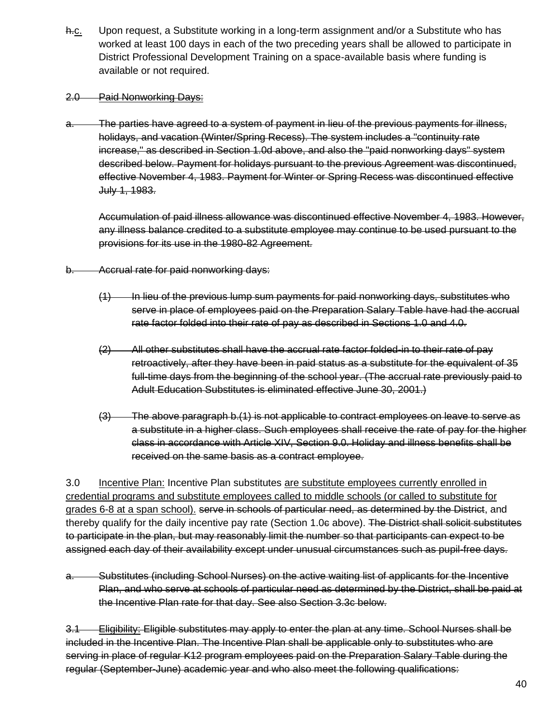h.c. Upon request, a Substitute working in a long-term assignment and/or a Substitute who has worked at least 100 days in each of the two preceding years shall be allowed to participate in District Professional Development Training on a space-available basis where funding is available or not required.

#### 2.0 Paid Nonworking Days:

a. The parties have agreed to a system of payment in lieu of the previous payments for illness, holidays, and vacation (Winter/Spring Recess). The system includes a "continuity rate increase," as described in Section 1.0d above, and also the "paid nonworking days" system described below. Payment for holidays pursuant to the previous Agreement was discontinued, effective November 4, 1983. Payment for Winter or Spring Recess was discontinued effective July 1, 1983.

Accumulation of paid illness allowance was discontinued effective November 4, 1983. However, any illness balance credited to a substitute employee may continue to be used pursuant to the provisions for its use in the 1980-82 Agreement.

- b. Accrual rate for paid nonworking days:
	- (1) In lieu of the previous lump sum payments for paid nonworking days, substitutes who serve in place of employees paid on the Preparation Salary Table have had the accrual rate factor folded into their rate of pay as described in Sections 1.0 and 4.0.
	- (2) All other substitutes shall have the accrual rate factor folded-in to their rate of pay retroactively, after they have been in paid status as a substitute for the equivalent of 35 full-time days from the beginning of the school year. (The accrual rate previously paid to Adult Education Substitutes is eliminated effective June 30, 2001.)
	- (3) The above paragraph b.(1) is not applicable to contract employees on leave to serve as a substitute in a higher class. Such employees shall receive the rate of pay for the higher class in accordance with Article XIV, Section 9.0. Holiday and illness benefits shall be received on the same basis as a contract employee.

3.0 Incentive Plan: Incentive Plan substitutes are substitute employees currently enrolled in credential programs and substitute employees called to middle schools (or called to substitute for grades 6-8 at a span school). serve in schools of particular need, as determined by the District, and thereby qualify for the daily incentive pay rate (Section 1.0e above). The District shall solicit substitutes to participate in the plan, but may reasonably limit the number so that participants can expect to be assigned each day of their availability except under unusual circumstances such as pupil-free days.

a. Substitutes (including School Nurses) on the active waiting list of applicants for the Incentive Plan, and who serve at schools of particular need as determined by the District, shall be paid at the Incentive Plan rate for that day. See also Section 3.3c below.

3.1 Eligibility: Eligible substitutes may apply to enter the plan at any time. School Nurses shall be included in the Incentive Plan. The Incentive Plan shall be applicable only to substitutes who are serving in place of regular K12 program employees paid on the Preparation Salary Table during the regular (September-June) academic year and who also meet the following qualifications: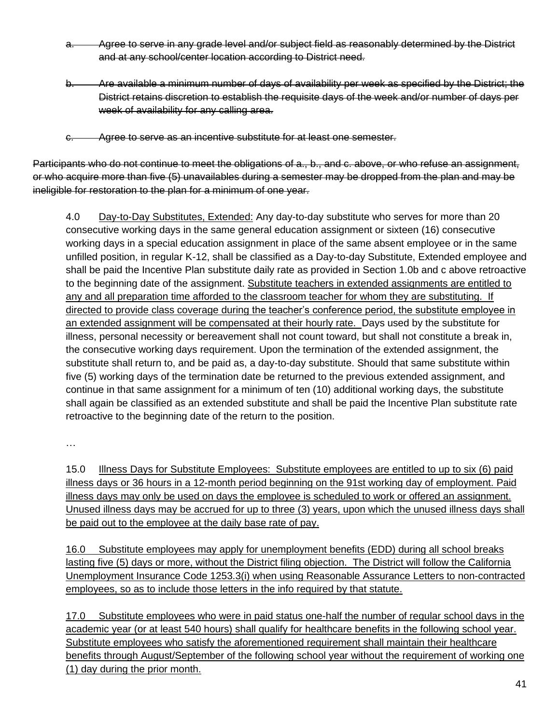- a. Agree to serve in any grade level and/or subject field as reasonably determined by the District and at any school/center location according to District need.
- b. Are available a minimum number of days of availability per week as specified by the District; the District retains discretion to establish the requisite days of the week and/or number of days per week of availability for any calling area.
- c. Agree to serve as an incentive substitute for at least one semester.

Participants who do not continue to meet the obligations of a., b., and c. above, or who refuse an assignment, or who acquire more than five (5) unavailables during a semester may be dropped from the plan and may be ineligible for restoration to the plan for a minimum of one year.

4.0 Day-to-Day Substitutes, Extended: Any day-to-day substitute who serves for more than 20 consecutive working days in the same general education assignment or sixteen (16) consecutive working days in a special education assignment in place of the same absent employee or in the same unfilled position, in regular K-12, shall be classified as a Day-to-day Substitute, Extended employee and shall be paid the Incentive Plan substitute daily rate as provided in Section 1.0b and c above retroactive to the beginning date of the assignment. Substitute teachers in extended assignments are entitled to any and all preparation time afforded to the classroom teacher for whom they are substituting. If directed to provide class coverage during the teacher's conference period, the substitute employee in an extended assignment will be compensated at their hourly rate. Days used by the substitute for illness, personal necessity or bereavement shall not count toward, but shall not constitute a break in, the consecutive working days requirement. Upon the termination of the extended assignment, the substitute shall return to, and be paid as, a day-to-day substitute. Should that same substitute within five (5) working days of the termination date be returned to the previous extended assignment, and continue in that same assignment for a minimum of ten (10) additional working days, the substitute shall again be classified as an extended substitute and shall be paid the Incentive Plan substitute rate retroactive to the beginning date of the return to the position.

…

15.0 Illness Days for Substitute Employees: Substitute employees are entitled to up to six (6) paid illness days or 36 hours in a 12-month period beginning on the 91st working day of employment. Paid illness days may only be used on days the employee is scheduled to work or offered an assignment. Unused illness days may be accrued for up to three (3) years, upon which the unused illness days shall be paid out to the employee at the daily base rate of pay.

16.0 Substitute employees may apply for unemployment benefits (EDD) during all school breaks lasting five (5) days or more, without the District filing objection. The District will follow the California Unemployment Insurance Code 1253.3(i) when using Reasonable Assurance Letters to non-contracted employees, so as to include those letters in the info required by that statute.

17.0 Substitute employees who were in paid status one-half the number of regular school days in the academic year (or at least 540 hours) shall qualify for healthcare benefits in the following school year. Substitute employees who satisfy the aforementioned requirement shall maintain their healthcare benefits through August/September of the following school year without the requirement of working one (1) day during the prior month.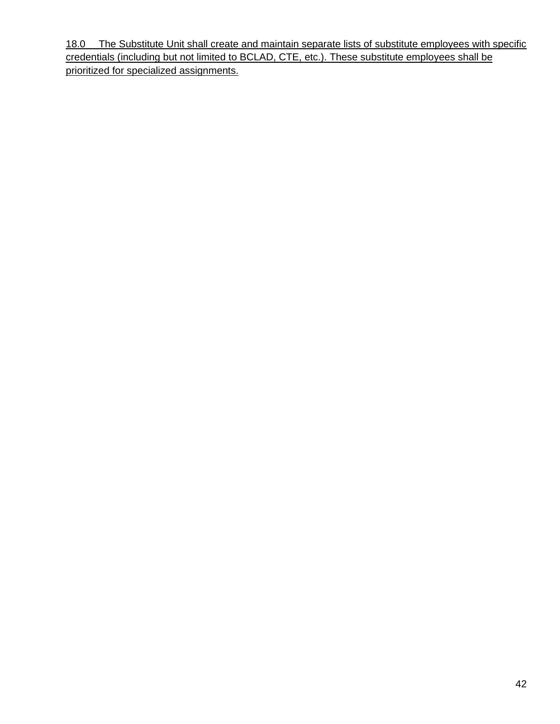18.0 The Substitute Unit shall create and maintain separate lists of substitute employees with specific credentials (including but not limited to BCLAD, CTE, etc.). These substitute employees shall be prioritized for specialized assignments.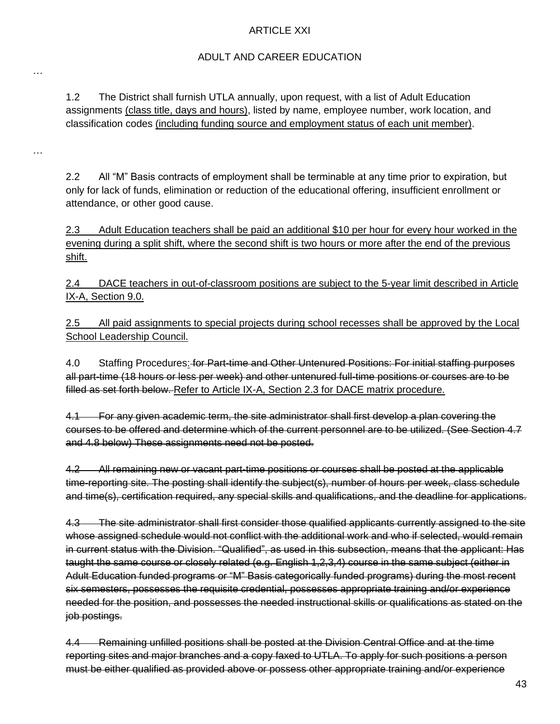### ARTICLE XXI

### ADULT AND CAREER EDUCATION

1.2 The District shall furnish UTLA annually, upon request, with a list of Adult Education assignments (class title, days and hours), listed by name, employee number, work location, and classification codes (including funding source and employment status of each unit member).

…

…

2.2 All "M" Basis contracts of employment shall be terminable at any time prior to expiration, but only for lack of funds, elimination or reduction of the educational offering, insufficient enrollment or attendance, or other good cause.

2.3 Adult Education teachers shall be paid an additional \$10 per hour for every hour worked in the evening during a split shift, where the second shift is two hours or more after the end of the previous shift.

2.4 DACE teachers in out-of-classroom positions are subject to the 5-year limit described in Article IX-A, Section 9.0.

2.5 All paid assignments to special projects during school recesses shall be approved by the Local School Leadership Council.

4.0 Staffing Procedures: for Part-time and Other Untenured Positions: For initial staffing purposes all part-time (18 hours or less per week) and other untenured full-time positions or courses are to be filled as set forth below. Refer to Article IX-A, Section 2.3 for DACE matrix procedure.

4.1 For any given academic term, the site administrator shall first develop a plan covering the courses to be offered and determine which of the current personnel are to be utilized. (See Section 4.7 and 4.8 below) These assignments need not be posted.

4.2 All remaining new or vacant part-time positions or courses shall be posted at the applicable time-reporting site. The posting shall identify the subject(s), number of hours per week, class schedule and time(s), certification required, any special skills and qualifications, and the deadline for applications.

4.3 The site administrator shall first consider those qualified applicants currently assigned to the site whose assigned schedule would not conflict with the additional work and who if selected, would remain in current status with the Division. "Qualified", as used in this subsection, means that the applicant: Has taught the same course or closely related (e.g. English 1,2,3,4) course in the same subject (either in Adult Education funded programs or "M" Basis categorically funded programs) during the most recent six semesters, possesses the requisite credential, possesses appropriate training and/or experience needed for the position, and possesses the needed instructional skills or qualifications as stated on the job postings.

4.4 Remaining unfilled positions shall be posted at the Division Central Office and at the time reporting sites and major branches and a copy faxed to UTLA. To apply for such positions a person must be either qualified as provided above or possess other appropriate training and/or experience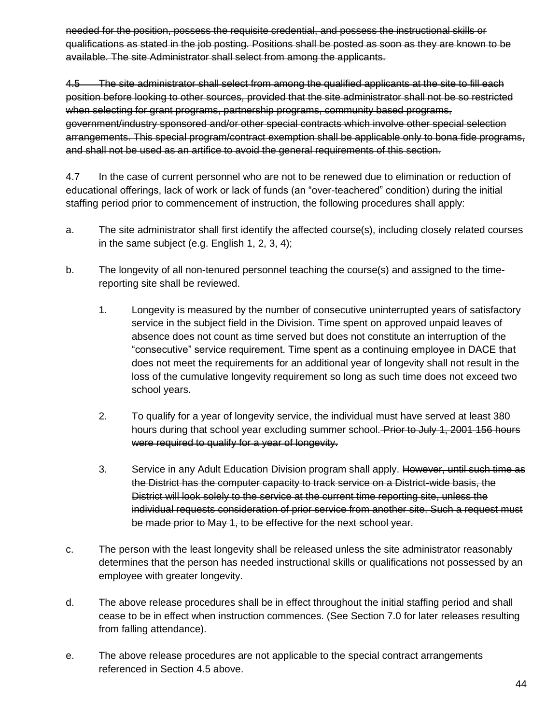needed for the position, possess the requisite credential, and possess the instructional skills or qualifications as stated in the job posting. Positions shall be posted as soon as they are known to be available. The site Administrator shall select from among the applicants.

4.5 The site administrator shall select from among the qualified applicants at the site to fill each position before looking to other sources, provided that the site administrator shall not be so restricted when selecting for grant programs, partnership programs, community based programs, government/industry sponsored and/or other special contracts which involve other special selection arrangements. This special program/contract exemption shall be applicable only to bona fide programs, and shall not be used as an artifice to avoid the general requirements of this section.

4.7 In the case of current personnel who are not to be renewed due to elimination or reduction of educational offerings, lack of work or lack of funds (an "over-teachered" condition) during the initial staffing period prior to commencement of instruction, the following procedures shall apply:

- a. The site administrator shall first identify the affected course(s), including closely related courses in the same subject (e.g. English 1, 2, 3, 4);
- b. The longevity of all non-tenured personnel teaching the course(s) and assigned to the timereporting site shall be reviewed.
	- 1. Longevity is measured by the number of consecutive uninterrupted years of satisfactory service in the subject field in the Division. Time spent on approved unpaid leaves of absence does not count as time served but does not constitute an interruption of the "consecutive" service requirement. Time spent as a continuing employee in DACE that does not meet the requirements for an additional year of longevity shall not result in the loss of the cumulative longevity requirement so long as such time does not exceed two school years.
	- 2. To qualify for a year of longevity service, the individual must have served at least 380 hours during that school year excluding summer school. Prior to July 1, 2001 156 hours were required to qualify for a year of longevity.
	- 3. Service in any Adult Education Division program shall apply. However, until such time as the District has the computer capacity to track service on a District-wide basis, the District will look solely to the service at the current time reporting site, unless the individual requests consideration of prior service from another site. Such a request must be made prior to May 1, to be effective for the next school year.
- c. The person with the least longevity shall be released unless the site administrator reasonably determines that the person has needed instructional skills or qualifications not possessed by an employee with greater longevity.
- d. The above release procedures shall be in effect throughout the initial staffing period and shall cease to be in effect when instruction commences. (See Section 7.0 for later releases resulting from falling attendance).
- e. The above release procedures are not applicable to the special contract arrangements referenced in Section 4.5 above.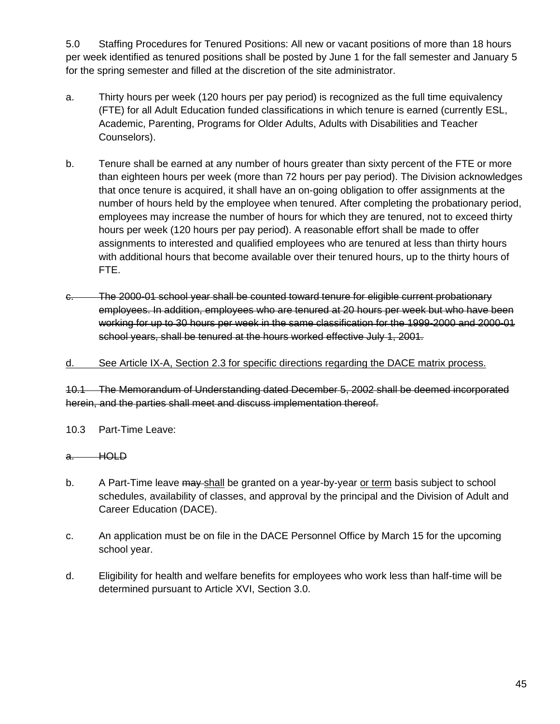5.0 Staffing Procedures for Tenured Positions: All new or vacant positions of more than 18 hours per week identified as tenured positions shall be posted by June 1 for the fall semester and January 5 for the spring semester and filled at the discretion of the site administrator.

- a. Thirty hours per week (120 hours per pay period) is recognized as the full time equivalency (FTE) for all Adult Education funded classifications in which tenure is earned (currently ESL, Academic, Parenting, Programs for Older Adults, Adults with Disabilities and Teacher Counselors).
- b. Tenure shall be earned at any number of hours greater than sixty percent of the FTE or more than eighteen hours per week (more than 72 hours per pay period). The Division acknowledges that once tenure is acquired, it shall have an on-going obligation to offer assignments at the number of hours held by the employee when tenured. After completing the probationary period, employees may increase the number of hours for which they are tenured, not to exceed thirty hours per week (120 hours per pay period). A reasonable effort shall be made to offer assignments to interested and qualified employees who are tenured at less than thirty hours with additional hours that become available over their tenured hours, up to the thirty hours of FTE.
- c. The 2000-01 school year shall be counted toward tenure for eligible current probationary employees. In addition, employees who are tenured at 20 hours per week but who have been working for up to 30 hours per week in the same classification for the 1999-2000 and 2000-01 school years, shall be tenured at the hours worked effective July 1, 2001.

### d. See Article IX-A, Section 2.3 for specific directions regarding the DACE matrix process.

10.1 The Memorandum of Understanding dated December 5, 2002 shall be deemed incorporated herein, and the parties shall meet and discuss implementation thereof.

10.3 Part-Time Leave:

#### a. HOLD

- b. A Part-Time leave may shall be granted on a year-by-year or term basis subject to school schedules, availability of classes, and approval by the principal and the Division of Adult and Career Education (DACE).
- c. An application must be on file in the DACE Personnel Office by March 15 for the upcoming school year.
- d. Eligibility for health and welfare benefits for employees who work less than half-time will be determined pursuant to Article XVI, Section 3.0.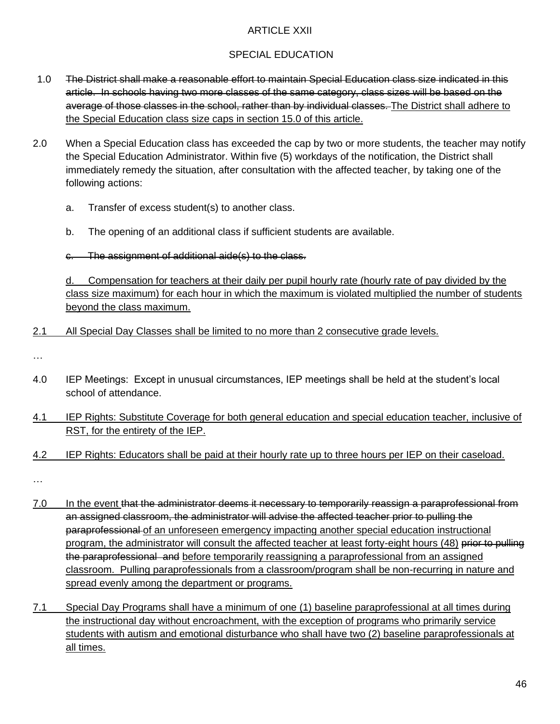## ARTICLE XXII

# SPECIAL EDUCATION

- 1.0 The District shall make a reasonable effort to maintain Special Education class size indicated in this article. In schools having two more classes of the same category, class sizes will be based on the average of those classes in the school, rather than by individual classes. The District shall adhere to the Special Education class size caps in section 15.0 of this article.
- 2.0 When a Special Education class has exceeded the cap by two or more students, the teacher may notify the Special Education Administrator. Within five (5) workdays of the notification, the District shall immediately remedy the situation, after consultation with the affected teacher, by taking one of the following actions:
	- a. Transfer of excess student(s) to another class.
	- b. The opening of an additional class if sufficient students are available.
	- c. The assignment of additional aide(s) to the class.

d. Compensation for teachers at their daily per pupil hourly rate (hourly rate of pay divided by the class size maximum) for each hour in which the maximum is violated multiplied the number of students beyond the class maximum.

2.1 All Special Day Classes shall be limited to no more than 2 consecutive grade levels.

…

- 4.0 IEP Meetings: Except in unusual circumstances, IEP meetings shall be held at the student's local school of attendance.
- 4.1 IEP Rights: Substitute Coverage for both general education and special education teacher, inclusive of RST, for the entirety of the IEP.
- 4.2 IEP Rights: Educators shall be paid at their hourly rate up to three hours per IEP on their caseload.

…

- 7.0 In the event that the administrator deems it necessary to temporarily reassign a paraprofessional from an assigned classroom, the administrator will advise the affected teacher prior to pulling the paraprofessional of an unforeseen emergency impacting another special education instructional program, the administrator will consult the affected teacher at least forty-eight hours (48) prior to pulling the paraprofessional and before temporarily reassigning a paraprofessional from an assigned classroom. Pulling paraprofessionals from a classroom/program shall be non-recurring in nature and spread evenly among the department or programs.
- 7.1 Special Day Programs shall have a minimum of one (1) baseline paraprofessional at all times during the instructional day without encroachment, with the exception of programs who primarily service students with autism and emotional disturbance who shall have two (2) baseline paraprofessionals at all times.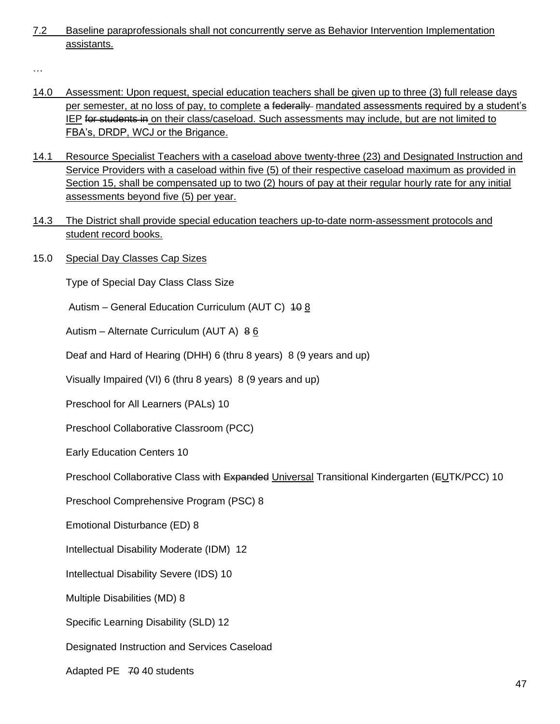7.2 Baseline paraprofessionals shall not concurrently serve as Behavior Intervention Implementation assistants.

…

- 14.0 Assessment: Upon request, special education teachers shall be given up to three (3) full release days per semester, at no loss of pay, to complete a federally mandated assessments required by a student's IEP for students in on their class/caseload. Such assessments may include, but are not limited to FBA's, DRDP, WCJ or the Brigance.
- 14.1 Resource Specialist Teachers with a caseload above twenty-three (23) and Designated Instruction and Service Providers with a caseload within five (5) of their respective caseload maximum as provided in Section 15, shall be compensated up to two (2) hours of pay at their regular hourly rate for any initial assessments beyond five (5) per year.
- 14.3 The District shall provide special education teachers up-to-date norm-assessment protocols and student record books.
- 15.0 Special Day Classes Cap Sizes

Type of Special Day Class Class Size

Autism – General Education Curriculum (AUT C) 10 8

Autism – Alternate Curriculum (AUT A) 8 6

Deaf and Hard of Hearing (DHH) 6 (thru 8 years) 8 (9 years and up)

Visually Impaired (VI) 6 (thru 8 years) 8 (9 years and up)

Preschool for All Learners (PALs) 10

Preschool Collaborative Classroom (PCC)

Early Education Centers 10

Preschool Collaborative Class with Expanded Universal Transitional Kindergarten (EUTK/PCC) 10

Preschool Comprehensive Program (PSC) 8

Emotional Disturbance (ED) 8

Intellectual Disability Moderate (IDM) 12

Intellectual Disability Severe (IDS) 10

Multiple Disabilities (MD) 8

Specific Learning Disability (SLD) 12

Designated Instruction and Services Caseload

Adapted PE 70 40 students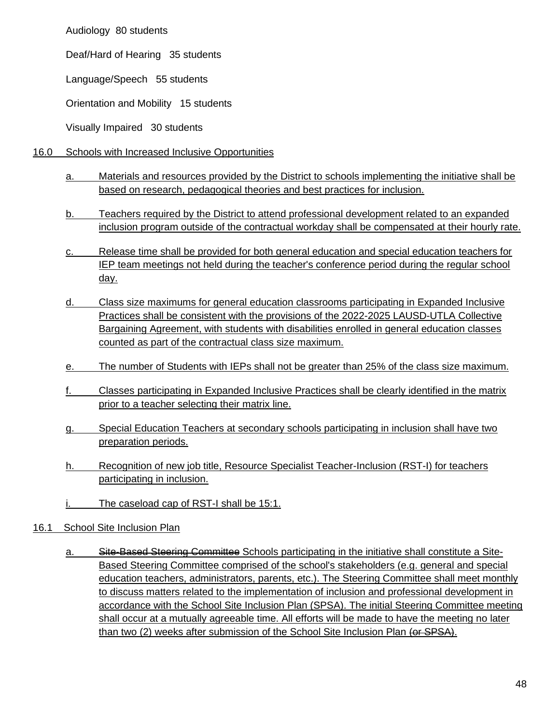Audiology 80 students

Deaf/Hard of Hearing 35 students

Language/Speech 55 students

Orientation and Mobility 15 students

Visually Impaired 30 students

- 16.0 Schools with Increased Inclusive Opportunities
	- a. Materials and resources provided by the District to schools implementing the initiative shall be based on research, pedagogical theories and best practices for inclusion.
	- b. Teachers required by the District to attend professional development related to an expanded inclusion program outside of the contractual workday shall be compensated at their hourly rate.
	- c. Release time shall be provided for both general education and special education teachers for IEP team meetings not held during the teacher's conference period during the regular school day.
	- d. Class size maximums for general education classrooms participating in Expanded Inclusive Practices shall be consistent with the provisions of the 2022-2025 LAUSD-UTLA Collective Bargaining Agreement, with students with disabilities enrolled in general education classes counted as part of the contractual class size maximum.
	- e. The number of Students with IEPs shall not be greater than 25% of the class size maximum.
	- f. Classes participating in Expanded Inclusive Practices shall be clearly identified in the matrix prior to a teacher selecting their matrix line.
	- g. Special Education Teachers at secondary schools participating in inclusion shall have two preparation periods.
	- h. Recognition of new job title, Resource Specialist Teacher-Inclusion (RST-I) for teachers participating in inclusion.
	- i. The caseload cap of RST-I shall be 15:1.
- 16.1 School Site Inclusion Plan
	- a. Site-Based Steering Committee Schools participating in the initiative shall constitute a Site-Based Steering Committee comprised of the school's stakeholders (e.g. general and special education teachers, administrators, parents, etc.). The Steering Committee shall meet monthly to discuss matters related to the implementation of inclusion and professional development in accordance with the School Site Inclusion Plan (SPSA). The initial Steering Committee meeting shall occur at a mutually agreeable time. All efforts will be made to have the meeting no later than two (2) weeks after submission of the School Site Inclusion Plan (or SPSA).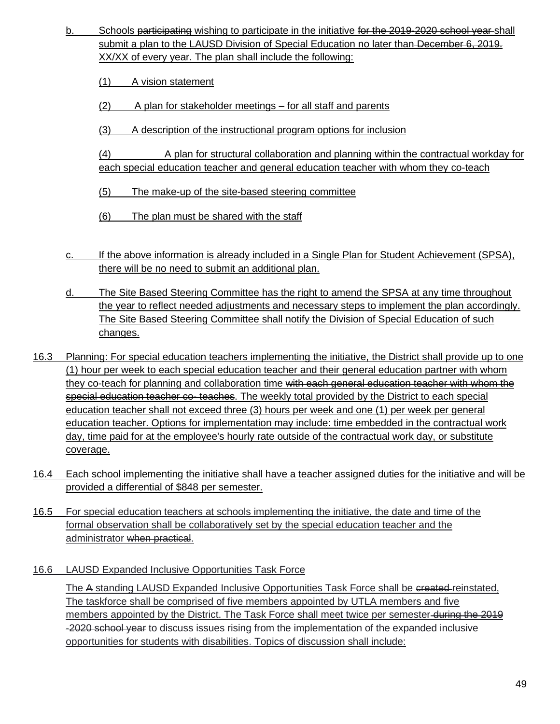- b. Schools participating wishing to participate in the initiative for the 2019-2020 school year-shall submit a plan to the LAUSD Division of Special Education no later than December 6, 2019. XX/XX of every year. The plan shall include the following:
	- (1) A vision statement
	- (2) A plan for stakeholder meetings for all staff and parents
	- (3) A description of the instructional program options for inclusion

(4) A plan for structural collaboration and planning within the contractual workday for each special education teacher and general education teacher with whom they co-teach

- (5) The make-up of the site-based steering committee
- (6) The plan must be shared with the staff
- c. If the above information is already included in a Single Plan for Student Achievement (SPSA), there will be no need to submit an additional plan.
- d. The Site Based Steering Committee has the right to amend the SPSA at any time throughout the year to reflect needed adjustments and necessary steps to implement the plan accordingly. The Site Based Steering Committee shall notify the Division of Special Education of such changes.
- 16.3 Planning: For special education teachers implementing the initiative, the District shall provide up to one (1) hour per week to each special education teacher and their general education partner with whom they co-teach for planning and collaboration time with each general education teacher with whom the special education teacher co- teaches. The weekly total provided by the District to each special education teacher shall not exceed three (3) hours per week and one (1) per week per general education teacher. Options for implementation may include: time embedded in the contractual work day, time paid for at the employee's hourly rate outside of the contractual work day, or substitute coverage.
- 16.4 Each school implementing the initiative shall have a teacher assigned duties for the initiative and will be provided a differential of \$848 per semester.
- 16.5 For special education teachers at schools implementing the initiative, the date and time of the formal observation shall be collaboratively set by the special education teacher and the administrator when practical.
- 16.6 LAUSD Expanded Inclusive Opportunities Task Force

The A standing LAUSD Expanded Inclusive Opportunities Task Force shall be created-reinstated, The taskforce shall be comprised of five members appointed by UTLA members and five members appointed by the District. The Task Force shall meet twice per semester during the 2019 -2020 school year to discuss issues rising from the implementation of the expanded inclusive opportunities for students with disabilities. Topics of discussion shall include: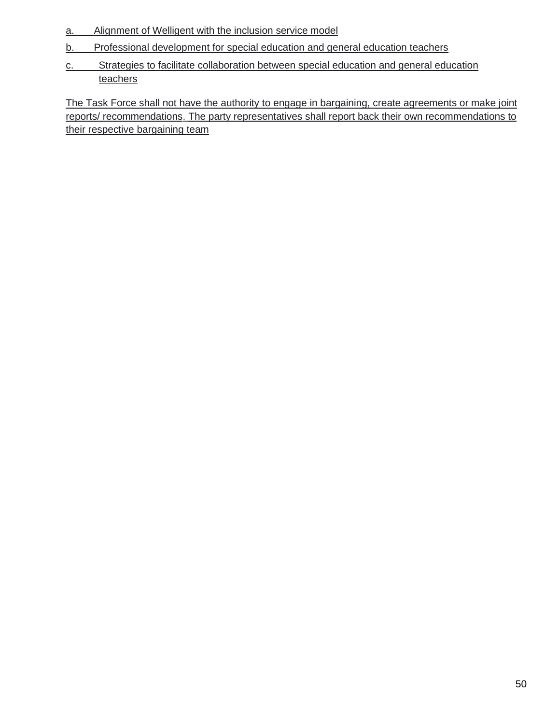- a. Alignment of Welligent with the inclusion service model
- b. Professional development for special education and general education teachers
- c. Strategies to facilitate collaboration between special education and general education teachers

The Task Force shall not have the authority to engage in bargaining, create agreements or make joint reports/ recommendations. The party representatives shall report back their own recommendations to their respective bargaining team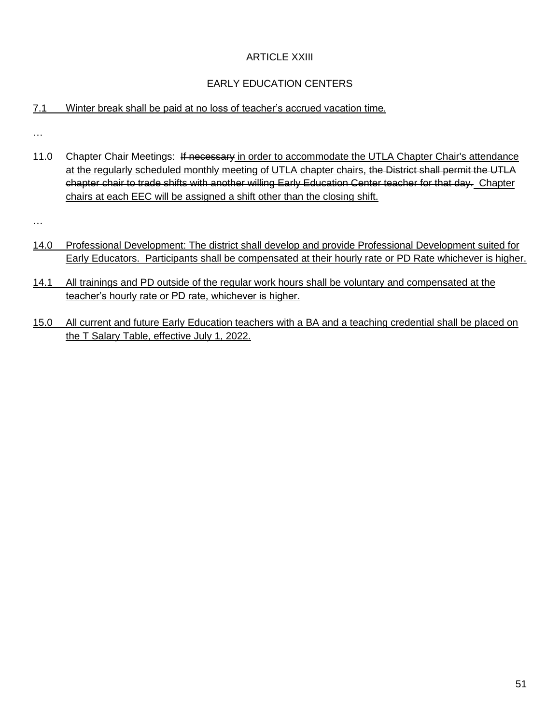# ARTICLE XXIII

# EARLY EDUCATION CENTERS

## 7.1 Winter break shall be paid at no loss of teacher's accrued vacation time.

…

11.0 Chapter Chair Meetings: If necessary in order to accommodate the UTLA Chapter Chair's attendance at the regularly scheduled monthly meeting of UTLA chapter chairs, the District shall permit the UTLA chapter chair to trade shifts with another willing Early Education Center teacher for that day. Chapter chairs at each EEC will be assigned a shift other than the closing shift.

…

- 14.0 Professional Development: The district shall develop and provide Professional Development suited for Early Educators. Participants shall be compensated at their hourly rate or PD Rate whichever is higher.
- 14.1 All trainings and PD outside of the regular work hours shall be voluntary and compensated at the teacher's hourly rate or PD rate, whichever is higher.
- 15.0 All current and future Early Education teachers with a BA and a teaching credential shall be placed on the T Salary Table, effective July 1, 2022.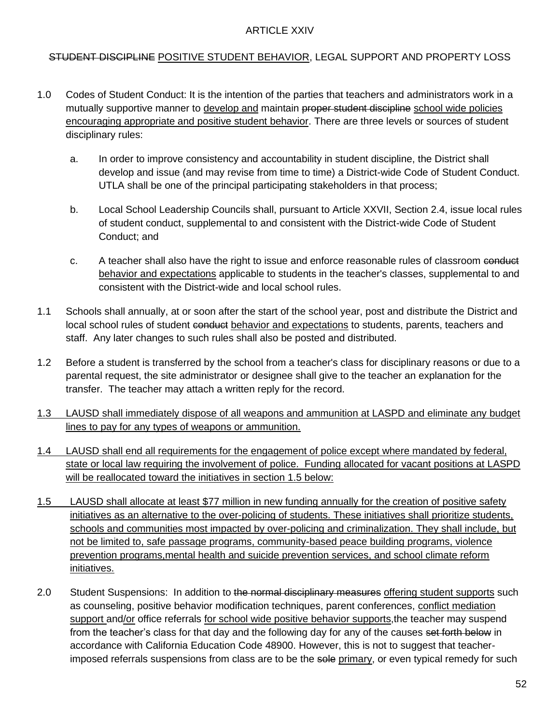#### ARTICLE XXIV

### STUDENT DISCIPLINE POSITIVE STUDENT BEHAVIOR, LEGAL SUPPORT AND PROPERTY LOSS

- 1.0 Codes of Student Conduct: It is the intention of the parties that teachers and administrators work in a mutually supportive manner to develop and maintain proper student discipline school wide policies encouraging appropriate and positive student behavior. There are three levels or sources of student disciplinary rules:
	- a. In order to improve consistency and accountability in student discipline, the District shall develop and issue (and may revise from time to time) a District-wide Code of Student Conduct. UTLA shall be one of the principal participating stakeholders in that process;
	- b. Local School Leadership Councils shall, pursuant to Article XXVII, Section 2.4, issue local rules of student conduct, supplemental to and consistent with the District-wide Code of Student Conduct; and
	- c. A teacher shall also have the right to issue and enforce reasonable rules of classroom conduct behavior and expectations applicable to students in the teacher's classes, supplemental to and consistent with the District-wide and local school rules.
- 1.1 Schools shall annually, at or soon after the start of the school year, post and distribute the District and local school rules of student conduct behavior and expectations to students, parents, teachers and staff. Any later changes to such rules shall also be posted and distributed.
- 1.2 Before a student is transferred by the school from a teacher's class for disciplinary reasons or due to a parental request, the site administrator or designee shall give to the teacher an explanation for the transfer. The teacher may attach a written reply for the record.
- 1.3 LAUSD shall immediately dispose of all weapons and ammunition at LASPD and eliminate any budget lines to pay for any types of weapons or ammunition.
- 1.4 LAUSD shall end all requirements for the engagement of police except where mandated by federal, state or local law requiring the involvement of police. Funding allocated for vacant positions at LASPD will be reallocated toward the initiatives in section 1.5 below:
- 1.5 LAUSD shall allocate at least \$77 million in new funding annually for the creation of positive safety initiatives as an alternative to the over-policing of students. These initiatives shall prioritize students, schools and communities most impacted by over-policing and criminalization. They shall include, but not be limited to, safe passage programs, community-based peace building programs, violence prevention programs,mental health and suicide prevention services, and school climate reform initiatives.
- 2.0 Student Suspensions: In addition to the normal disciplinary measures offering student supports such as counseling, positive behavior modification techniques, parent conferences, conflict mediation support and/or office referrals for school wide positive behavior supports,the teacher may suspend from the teacher's class for that day and the following day for any of the causes set forth below in accordance with California Education Code 48900. However, this is not to suggest that teacherimposed referrals suspensions from class are to be the sole primary, or even typical remedy for such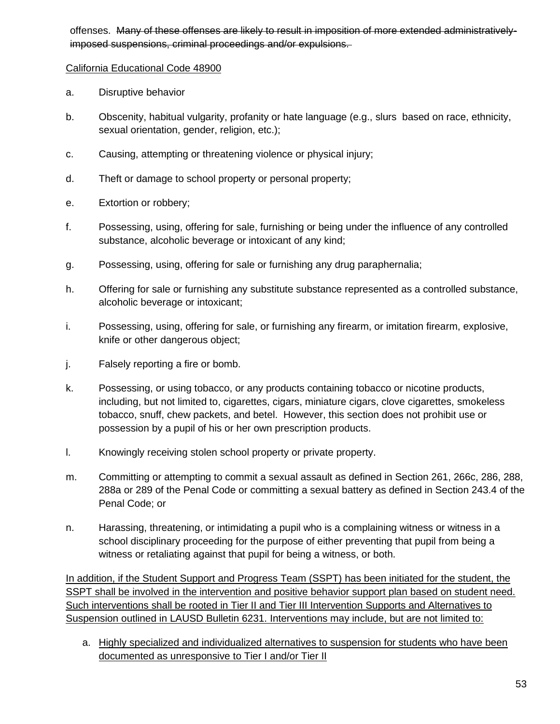offenses. Many of these offenses are likely to result in imposition of more extended administrativelyimposed suspensions, criminal proceedings and/or expulsions.

### California Educational Code 48900

- a. Disruptive behavior
- b. Obscenity, habitual vulgarity, profanity or hate language (e.g., slurs based on race, ethnicity, sexual orientation, gender, religion, etc.);
- c. Causing, attempting or threatening violence or physical injury;
- d. Theft or damage to school property or personal property;
- e. Extortion or robbery;
- f. Possessing, using, offering for sale, furnishing or being under the influence of any controlled substance, alcoholic beverage or intoxicant of any kind;
- g. Possessing, using, offering for sale or furnishing any drug paraphernalia;
- h. Offering for sale or furnishing any substitute substance represented as a controlled substance, alcoholic beverage or intoxicant;
- i. Possessing, using, offering for sale, or furnishing any firearm, or imitation firearm, explosive, knife or other dangerous object;
- j. Falsely reporting a fire or bomb.
- k. Possessing, or using tobacco, or any products containing tobacco or nicotine products, including, but not limited to, cigarettes, cigars, miniature cigars, clove cigarettes, smokeless tobacco, snuff, chew packets, and betel. However, this section does not prohibit use or possession by a pupil of his or her own prescription products.
- l. Knowingly receiving stolen school property or private property.
- m. Committing or attempting to commit a sexual assault as defined in Section 261, 266c, 286, 288, 288a or 289 of the Penal Code or committing a sexual battery as defined in Section 243.4 of the Penal Code; or
- n. Harassing, threatening, or intimidating a pupil who is a complaining witness or witness in a school disciplinary proceeding for the purpose of either preventing that pupil from being a witness or retaliating against that pupil for being a witness, or both.

In addition, if the Student Support and Progress Team (SSPT) has been initiated for the student, the SSPT shall be involved in the intervention and positive behavior support plan based on student need. Such interventions shall be rooted in Tier II and Tier III Intervention Supports and Alternatives to Suspension outlined in LAUSD Bulletin 6231. Interventions may include, but are not limited to:

a. Highly specialized and individualized alternatives to suspension for students who have been documented as unresponsive to Tier I and/or Tier II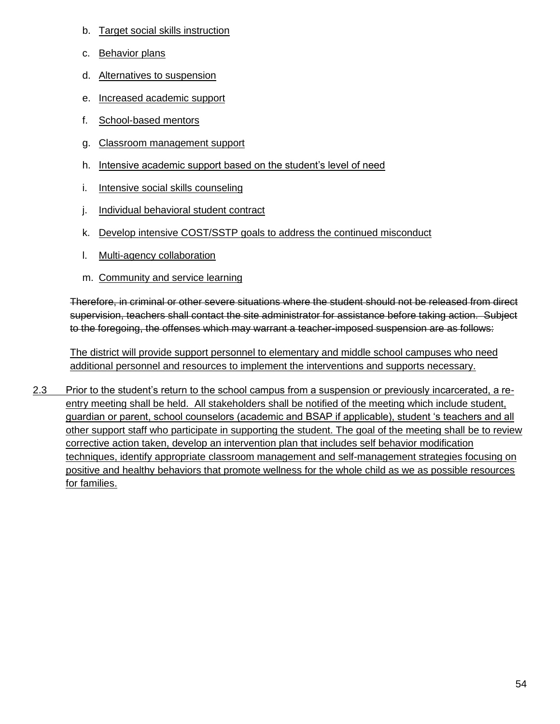- b. Target social skills instruction
- c. Behavior plans
- d. Alternatives to suspension
- e. Increased academic support
- f. School-based mentors
- g. Classroom management support
- h. Intensive academic support based on the student's level of need
- i. Intensive social skills counseling
- j. Individual behavioral student contract
- k. Develop intensive COST/SSTP goals to address the continued misconduct
- l. Multi-agency collaboration
- m. Community and service learning

Therefore, in criminal or other severe situations where the student should not be released from direct supervision, teachers shall contact the site administrator for assistance before taking action. Subject to the foregoing, the offenses which may warrant a teacher-imposed suspension are as follows:

The district will provide support personnel to elementary and middle school campuses who need additional personnel and resources to implement the interventions and supports necessary.

2.3 Prior to the student's return to the school campus from a suspension or previously incarcerated, a reentry meeting shall be held. All stakeholders shall be notified of the meeting which include student, guardian or parent, school counselors (academic and BSAP if applicable), student 's teachers and all other support staff who participate in supporting the student. The goal of the meeting shall be to review corrective action taken, develop an intervention plan that includes self behavior modification techniques, identify appropriate classroom management and self-management strategies focusing on positive and healthy behaviors that promote wellness for the whole child as we as possible resources for families.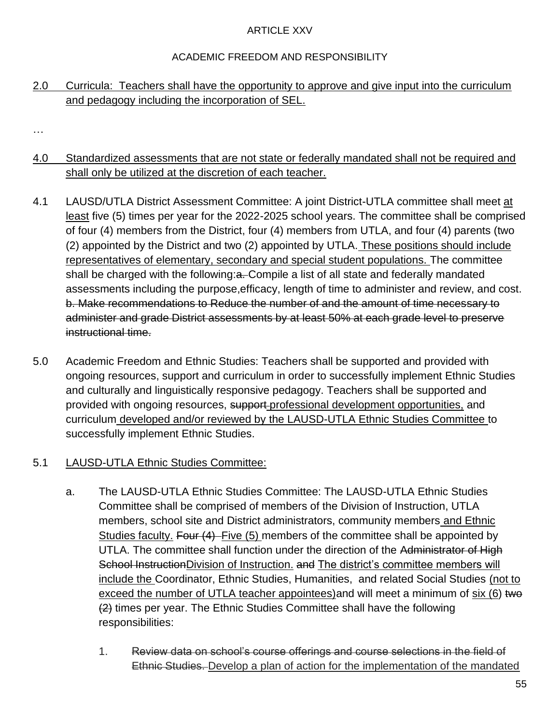# ARTICLE XXV

# ACADEMIC FREEDOM AND RESPONSIBILITY

# 2.0 Curricula: Teachers shall have the opportunity to approve and give input into the curriculum and pedagogy including the incorporation of SEL.

…

# 4.0 Standardized assessments that are not state or federally mandated shall not be required and shall only be utilized at the discretion of each teacher.

- 4.1 LAUSD/UTLA District Assessment Committee: A joint District-UTLA committee shall meet at least five (5) times per year for the 2022-2025 school years. The committee shall be comprised of four (4) members from the District, four (4) members from UTLA, and four (4) parents (two (2) appointed by the District and two (2) appointed by UTLA. These positions should include representatives of elementary, secondary and special student populations. The committee shall be charged with the following:a. Compile a list of all state and federally mandated assessments including the purpose,efficacy, length of time to administer and review, and cost. b. Make recommendations to Reduce the number of and the amount of time necessary to administer and grade District assessments by at least 50% at each grade level to preserve instructional time.
- 5.0 Academic Freedom and Ethnic Studies: Teachers shall be supported and provided with ongoing resources, support and curriculum in order to successfully implement Ethnic Studies and culturally and linguistically responsive pedagogy. Teachers shall be supported and provided with ongoing resources, support-professional development opportunities, and curriculum developed and/or reviewed by the LAUSD-UTLA Ethnic Studies Committee to successfully implement Ethnic Studies.

# 5.1 LAUSD-UTLA Ethnic Studies Committee:

- a. The LAUSD-UTLA Ethnic Studies Committee: The LAUSD-UTLA Ethnic Studies Committee shall be comprised of members of the Division of Instruction, UTLA members, school site and District administrators, community members and Ethnic Studies faculty. Four (4) Five (5) members of the committee shall be appointed by UTLA. The committee shall function under the direction of the Administrator of High School InstructionDivision of Instruction. and The district's committee members will include the Coordinator, Ethnic Studies, Humanities, and related Social Studies (not to exceed the number of UTLA teacher appointees) and will meet a minimum of six (6) two (2) times per year. The Ethnic Studies Committee shall have the following responsibilities:
	- 1. Review data on school's course offerings and course selections in the field of Ethnic Studies. Develop a plan of action for the implementation of the mandated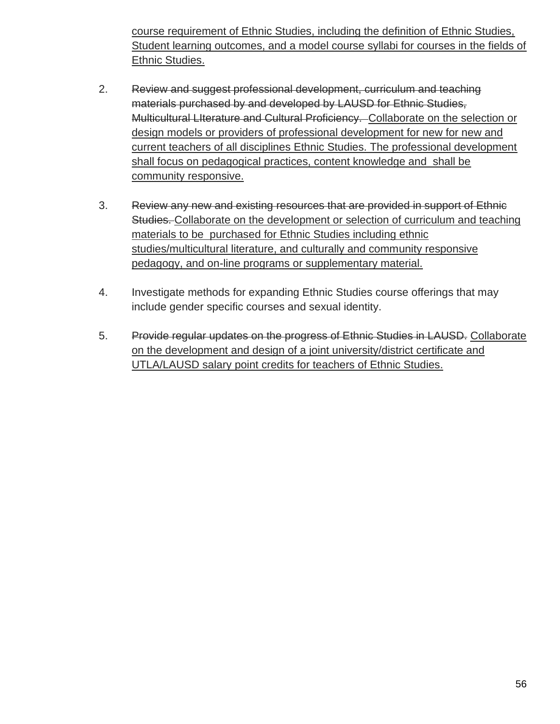course requirement of Ethnic Studies, including the definition of Ethnic Studies, Student learning outcomes, and a model course syllabi for courses in the fields of Ethnic Studies.

- 2. Review and suggest professional development, curriculum and teaching materials purchased by and developed by LAUSD for Ethnic Studies, Multicultural LIterature and Cultural Proficiency. Collaborate on the selection or design models or providers of professional development for new for new and current teachers of all disciplines Ethnic Studies. The professional development shall focus on pedagogical practices, content knowledge and shall be community responsive.
- 3. Review any new and existing resources that are provided in support of Ethnic Studies. Collaborate on the development or selection of curriculum and teaching materials to be purchased for Ethnic Studies including ethnic studies/multicultural literature, and culturally and community responsive pedagogy, and on-line programs or supplementary material.
- 4. Investigate methods for expanding Ethnic Studies course offerings that may include gender specific courses and sexual identity.
- 5. Provide regular updates on the progress of Ethnic Studies in LAUSD. Collaborate on the development and design of a joint university/district certificate and UTLA/LAUSD salary point credits for teachers of Ethnic Studies.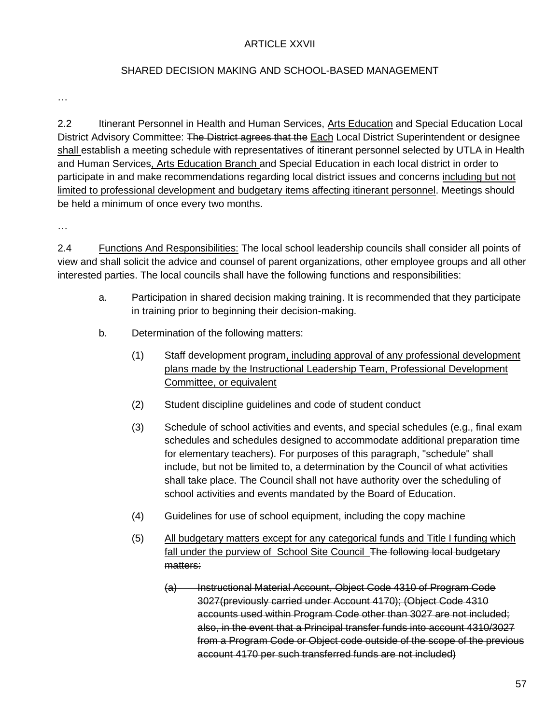#### ARTICLE XXVII

### SHARED DECISION MAKING AND SCHOOL-BASED MANAGEMENT

…

2.2 Itinerant Personnel in Health and Human Services, Arts Education and Special Education Local District Advisory Committee: The District agrees that the Each Local District Superintendent or designee shall establish a meeting schedule with representatives of itinerant personnel selected by UTLA in Health and Human Services, Arts Education Branch and Special Education in each local district in order to participate in and make recommendations regarding local district issues and concerns including but not limited to professional development and budgetary items affecting itinerant personnel. Meetings should be held a minimum of once every two months.

…

2.4 Functions And Responsibilities: The local school leadership councils shall consider all points of view and shall solicit the advice and counsel of parent organizations, other employee groups and all other interested parties. The local councils shall have the following functions and responsibilities:

- a. Participation in shared decision making training. It is recommended that they participate in training prior to beginning their decision-making.
- b. Determination of the following matters:
	- (1) Staff development program, including approval of any professional development plans made by the Instructional Leadership Team, Professional Development Committee, or equivalent
	- (2) Student discipline guidelines and code of student conduct
	- (3) Schedule of school activities and events, and special schedules (e.g., final exam schedules and schedules designed to accommodate additional preparation time for elementary teachers). For purposes of this paragraph, "schedule" shall include, but not be limited to, a determination by the Council of what activities shall take place. The Council shall not have authority over the scheduling of school activities and events mandated by the Board of Education.
	- (4) Guidelines for use of school equipment, including the copy machine
	- (5) All budgetary matters except for any categorical funds and Title I funding which fall under the purview of School Site Council The following local budgetary matters:
		- (a) Instructional Material Account, Object Code 4310 of Program Code 3027(previously carried under Account 4170); (Object Code 4310 accounts used within Program Code other than 3027 are not included; also, in the event that a Principal transfer funds into account 4310/3027 from a Program Code or Object code outside of the scope of the previous account 4170 per such transferred funds are not included)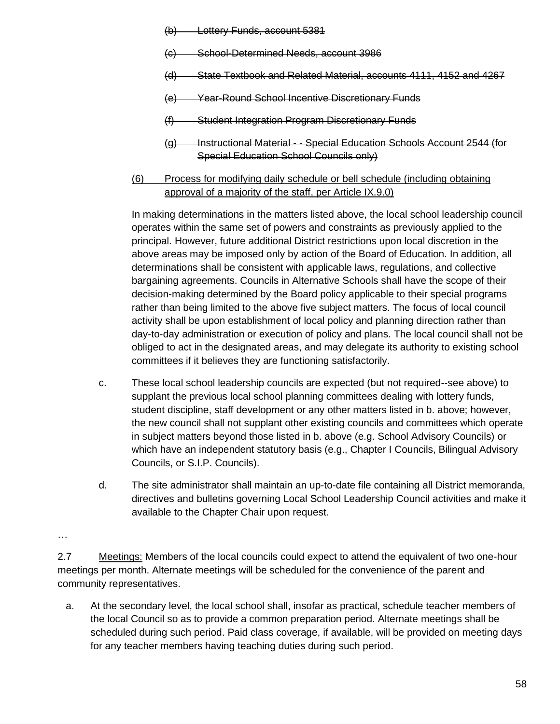- **Lottery Funds, account 5381**
- (c) School-Determined Needs, account 3986
- (d) State Textbook and Related Material, accounts 4111, 4152 and 4267
- (e) Year-Round School Incentive Discretionary Funds
- (f) Student Integration Program Discretionary Funds
- (g) Instructional Material - Special Education Schools Account 2544 (for Special Education School Councils only)
- (6) Process for modifying daily schedule or bell schedule (including obtaining approval of a majority of the staff, per Article IX.9.0)

In making determinations in the matters listed above, the local school leadership council operates within the same set of powers and constraints as previously applied to the principal. However, future additional District restrictions upon local discretion in the above areas may be imposed only by action of the Board of Education. In addition, all determinations shall be consistent with applicable laws, regulations, and collective bargaining agreements. Councils in Alternative Schools shall have the scope of their decision-making determined by the Board policy applicable to their special programs rather than being limited to the above five subject matters. The focus of local council activity shall be upon establishment of local policy and planning direction rather than day-to-day administration or execution of policy and plans. The local council shall not be obliged to act in the designated areas, and may delegate its authority to existing school committees if it believes they are functioning satisfactorily.

- c. These local school leadership councils are expected (but not required--see above) to supplant the previous local school planning committees dealing with lottery funds, student discipline, staff development or any other matters listed in b. above; however, the new council shall not supplant other existing councils and committees which operate in subject matters beyond those listed in b. above (e.g. School Advisory Councils) or which have an independent statutory basis (e.g., Chapter I Councils, Bilingual Advisory Councils, or S.I.P. Councils).
- d. The site administrator shall maintain an up-to-date file containing all District memoranda, directives and bulletins governing Local School Leadership Council activities and make it available to the Chapter Chair upon request.

…

a. At the secondary level, the local school shall, insofar as practical, schedule teacher members of the local Council so as to provide a common preparation period. Alternate meetings shall be scheduled during such period. Paid class coverage, if available, will be provided on meeting days for any teacher members having teaching duties during such period.

<sup>2.7</sup> Meetings: Members of the local councils could expect to attend the equivalent of two one-hour meetings per month. Alternate meetings will be scheduled for the convenience of the parent and community representatives.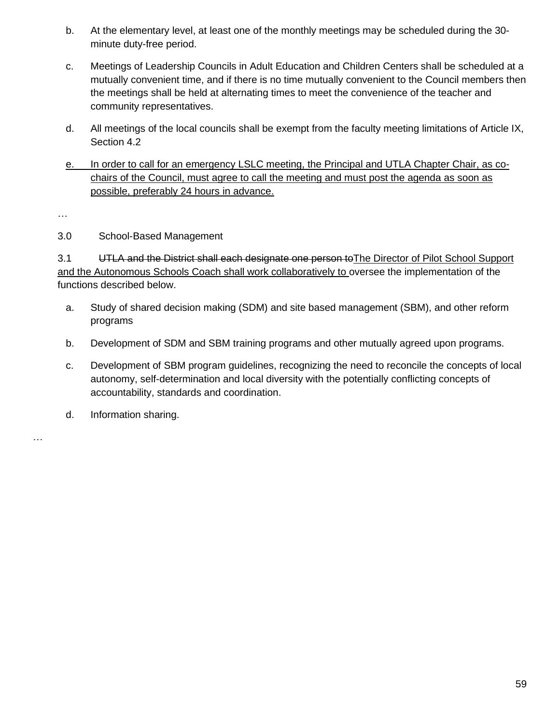- b. At the elementary level, at least one of the monthly meetings may be scheduled during the 30 minute duty-free period.
- c. Meetings of Leadership Councils in Adult Education and Children Centers shall be scheduled at a mutually convenient time, and if there is no time mutually convenient to the Council members then the meetings shall be held at alternating times to meet the convenience of the teacher and community representatives.
- d. All meetings of the local councils shall be exempt from the faculty meeting limitations of Article IX, Section 4.2
- e. In order to call for an emergency LSLC meeting, the Principal and UTLA Chapter Chair, as cochairs of the Council, must agree to call the meeting and must post the agenda as soon as possible, preferably 24 hours in advance.

…

…

### 3.0 School-Based Management

3.1 UTLA and the District shall each designate one person toThe Director of Pilot School Support and the Autonomous Schools Coach shall work collaboratively to oversee the implementation of the functions described below.

- a. Study of shared decision making (SDM) and site based management (SBM), and other reform programs
- b. Development of SDM and SBM training programs and other mutually agreed upon programs.
- c. Development of SBM program guidelines, recognizing the need to reconcile the concepts of local autonomy, self-determination and local diversity with the potentially conflicting concepts of accountability, standards and coordination.
- d. Information sharing.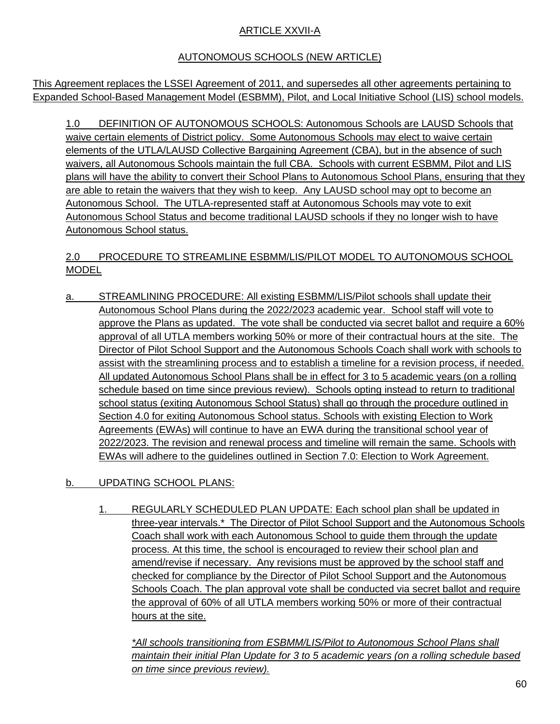## ARTICLE XXVII-A

# AUTONOMOUS SCHOOLS (NEW ARTICLE)

This Agreement replaces the LSSEI Agreement of 2011, and supersedes all other agreements pertaining to Expanded School-Based Management Model (ESBMM), Pilot, and Local Initiative School (LIS) school models.

1.0 DEFINITION OF AUTONOMOUS SCHOOLS: Autonomous Schools are LAUSD Schools that waive certain elements of District policy. Some Autonomous Schools may elect to waive certain elements of the UTLA/LAUSD Collective Bargaining Agreement (CBA), but in the absence of such waivers, all Autonomous Schools maintain the full CBA. Schools with current ESBMM, Pilot and LIS plans will have the ability to convert their School Plans to Autonomous School Plans, ensuring that they are able to retain the waivers that they wish to keep. Any LAUSD school may opt to become an Autonomous School. The UTLA-represented staff at Autonomous Schools may vote to exit Autonomous School Status and become traditional LAUSD schools if they no longer wish to have Autonomous School status.

# 2.0 PROCEDURE TO STREAMLINE ESBMM/LIS/PILOT MODEL TO AUTONOMOUS SCHOOL MODEL

- a. STREAMLINING PROCEDURE: All existing ESBMM/LIS/Pilot schools shall update their Autonomous School Plans during the 2022/2023 academic year. School staff will vote to approve the Plans as updated. The vote shall be conducted via secret ballot and require a 60% approval of all UTLA members working 50% or more of their contractual hours at the site. The Director of Pilot School Support and the Autonomous Schools Coach shall work with schools to assist with the streamlining process and to establish a timeline for a revision process, if needed. All updated Autonomous School Plans shall be in effect for 3 to 5 academic years (on a rolling schedule based on time since previous review). Schools opting instead to return to traditional school status (exiting Autonomous School Status) shall go through the procedure outlined in Section 4.0 for exiting Autonomous School status. Schools with existing Election to Work Agreements (EWAs) will continue to have an EWA during the transitional school year of 2022/2023. The revision and renewal process and timeline will remain the same. Schools with EWAs will adhere to the guidelines outlined in Section 7.0: Election to Work Agreement.
- b. UPDATING SCHOOL PLANS:
	- 1. REGULARLY SCHEDULED PLAN UPDATE: Each school plan shall be updated in three-year intervals.\* The Director of Pilot School Support and the Autonomous Schools Coach shall work with each Autonomous School to guide them through the update process. At this time, the school is encouraged to review their school plan and amend/revise if necessary. Any revisions must be approved by the school staff and checked for compliance by the Director of Pilot School Support and the Autonomous Schools Coach. The plan approval vote shall be conducted via secret ballot and require the approval of 60% of all UTLA members working 50% or more of their contractual hours at the site.

*\*All schools transitioning from ESBMM/LIS/Pilot to Autonomous School Plans shall maintain their initial Plan Update for 3 to 5 academic years (on a rolling schedule based on time since previous review).*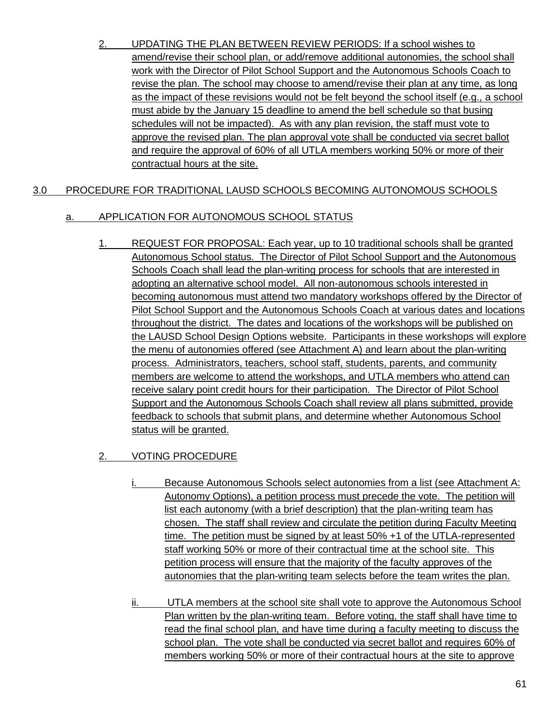2. UPDATING THE PLAN BETWEEN REVIEW PERIODS: If a school wishes to amend/revise their school plan, or add/remove additional autonomies, the school shall work with the Director of Pilot School Support and the Autonomous Schools Coach to revise the plan. The school may choose to amend/revise their plan at any time, as long as the impact of these revisions would not be felt beyond the school itself (e.g., a school must abide by the January 15 deadline to amend the bell schedule so that busing schedules will not be impacted). As with any plan revision, the staff must vote to approve the revised plan. The plan approval vote shall be conducted via secret ballot and require the approval of 60% of all UTLA members working 50% or more of their contractual hours at the site.

### 3.0 PROCEDURE FOR TRADITIONAL LAUSD SCHOOLS BECOMING AUTONOMOUS SCHOOLS

#### a. APPLICATION FOR AUTONOMOUS SCHOOL STATUS

1. REQUEST FOR PROPOSAL: Each year, up to 10 traditional schools shall be granted Autonomous School status. The Director of Pilot School Support and the Autonomous Schools Coach shall lead the plan-writing process for schools that are interested in adopting an alternative school model. All non-autonomous schools interested in becoming autonomous must attend two mandatory workshops offered by the Director of Pilot School Support and the Autonomous Schools Coach at various dates and locations throughout the district. The dates and locations of the workshops will be published on the LAUSD School Design Options website. Participants in these workshops will explore the menu of autonomies offered (see Attachment A) and learn about the plan-writing process. Administrators, teachers, school staff, students, parents, and community members are welcome to attend the workshops, and UTLA members who attend can receive salary point credit hours for their participation. The Director of Pilot School Support and the Autonomous Schools Coach shall review all plans submitted, provide feedback to schools that submit plans, and determine whether Autonomous School status will be granted.

### 2. VOTING PROCEDURE

- Because Autonomous Schools select autonomies from a list (see Attachment A: Autonomy Options), a petition process must precede the vote. The petition will list each autonomy (with a brief description) that the plan-writing team has chosen. The staff shall review and circulate the petition during Faculty Meeting time. The petition must be signed by at least 50% +1 of the UTLA-represented staff working 50% or more of their contractual time at the school site. This petition process will ensure that the majority of the faculty approves of the autonomies that the plan-writing team selects before the team writes the plan.
- ii. UTLA members at the school site shall vote to approve the Autonomous School Plan written by the plan-writing team. Before voting, the staff shall have time to read the final school plan, and have time during a faculty meeting to discuss the school plan. The vote shall be conducted via secret ballot and requires 60% of members working 50% or more of their contractual hours at the site to approve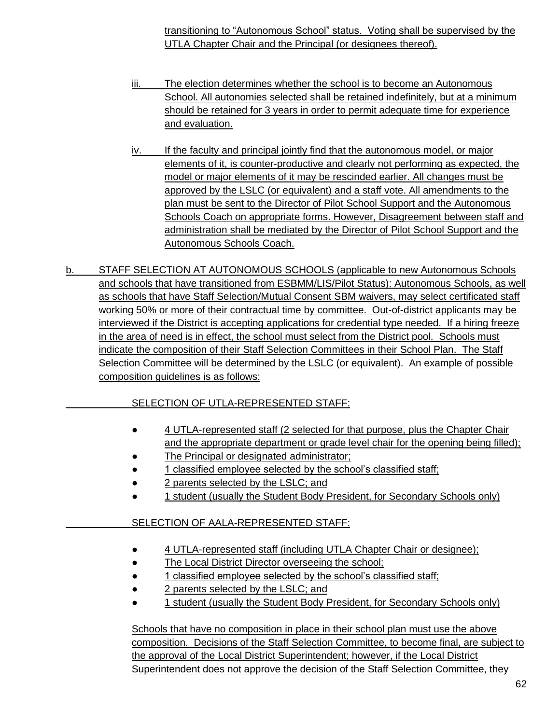transitioning to "Autonomous School" status. Voting shall be supervised by the UTLA Chapter Chair and the Principal (or designees thereof).

- iii. The election determines whether the school is to become an Autonomous School. All autonomies selected shall be retained indefinitely, but at a minimum should be retained for 3 years in order to permit adequate time for experience and evaluation.
- iv. If the faculty and principal jointly find that the autonomous model, or major elements of it, is counter-productive and clearly not performing as expected, the model or major elements of it may be rescinded earlier. All changes must be approved by the LSLC (or equivalent) and a staff vote. All amendments to the plan must be sent to the Director of Pilot School Support and the Autonomous Schools Coach on appropriate forms. However, Disagreement between staff and administration shall be mediated by the Director of Pilot School Support and the Autonomous Schools Coach.
- b. STAFF SELECTION AT AUTONOMOUS SCHOOLS (applicable to new Autonomous Schools and schools that have transitioned from ESBMM/LIS/Pilot Status): Autonomous Schools, as well as schools that have Staff Selection/Mutual Consent SBM waivers, may select certificated staff working 50% or more of their contractual time by committee. Out-of-district applicants may be interviewed if the District is accepting applications for credential type needed. If a hiring freeze in the area of need is in effect, the school must select from the District pool. Schools must indicate the composition of their Staff Selection Committees in their School Plan. The Staff Selection Committee will be determined by the LSLC (or equivalent). An example of possible composition guidelines is as follows:

# SELECTION OF UTLA-REPRESENTED STAFF:

- 4 UTLA-represented staff (2 selected for that purpose, plus the Chapter Chair and the appropriate department or grade level chair for the opening being filled);
- The Principal or designated administrator;
- 1 classified employee selected by the school's classified staff;
- 2 parents selected by the LSLC; and
- 1 student (usually the Student Body President, for Secondary Schools only)

# SELECTION OF AALA-REPRESENTED STAFF:

- 4 UTLA-represented staff (including UTLA Chapter Chair or designee);
- The Local District Director overseeing the school;
- 1 classified employee selected by the school's classified staff;
- 2 parents selected by the LSLC; and
- 1 student (usually the Student Body President, for Secondary Schools only)

Schools that have no composition in place in their school plan must use the above composition. Decisions of the Staff Selection Committee, to become final, are subject to the approval of the Local District Superintendent; however, if the Local District Superintendent does not approve the decision of the Staff Selection Committee, they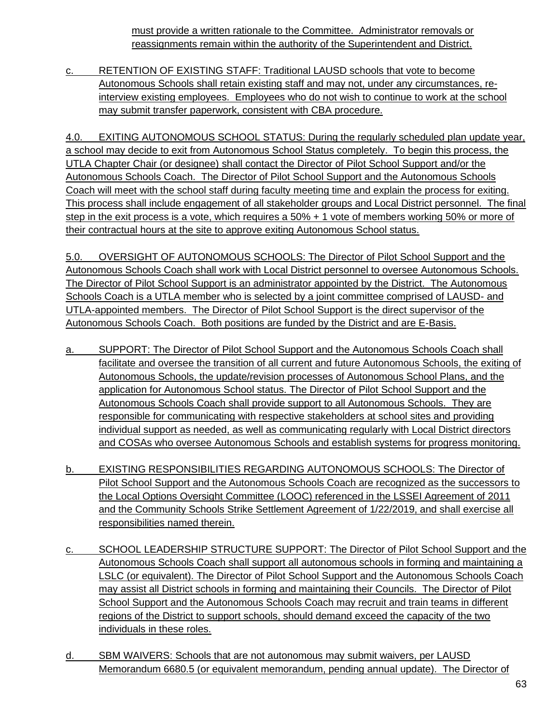must provide a written rationale to the Committee. Administrator removals or reassignments remain within the authority of the Superintendent and District.

c. RETENTION OF EXISTING STAFF: Traditional LAUSD schools that vote to become Autonomous Schools shall retain existing staff and may not, under any circumstances, reinterview existing employees. Employees who do not wish to continue to work at the school may submit transfer paperwork, consistent with CBA procedure.

4.0. EXITING AUTONOMOUS SCHOOL STATUS: During the regularly scheduled plan update year, a school may decide to exit from Autonomous School Status completely. To begin this process, the UTLA Chapter Chair (or designee) shall contact the Director of Pilot School Support and/or the Autonomous Schools Coach. The Director of Pilot School Support and the Autonomous Schools Coach will meet with the school staff during faculty meeting time and explain the process for exiting. This process shall include engagement of all stakeholder groups and Local District personnel. The final step in the exit process is a vote, which requires a 50% + 1 vote of members working 50% or more of their contractual hours at the site to approve exiting Autonomous School status.

5.0. OVERSIGHT OF AUTONOMOUS SCHOOLS: The Director of Pilot School Support and the Autonomous Schools Coach shall work with Local District personnel to oversee Autonomous Schools. The Director of Pilot School Support is an administrator appointed by the District. The Autonomous Schools Coach is a UTLA member who is selected by a joint committee comprised of LAUSD- and UTLA-appointed members. The Director of Pilot School Support is the direct supervisor of the Autonomous Schools Coach. Both positions are funded by the District and are E-Basis.

- a. SUPPORT: The Director of Pilot School Support and the Autonomous Schools Coach shall facilitate and oversee the transition of all current and future Autonomous Schools, the exiting of Autonomous Schools, the update/revision processes of Autonomous School Plans, and the application for Autonomous School status. The Director of Pilot School Support and the Autonomous Schools Coach shall provide support to all Autonomous Schools. They are responsible for communicating with respective stakeholders at school sites and providing individual support as needed, as well as communicating regularly with Local District directors and COSAs who oversee Autonomous Schools and establish systems for progress monitoring.
- b. EXISTING RESPONSIBILITIES REGARDING AUTONOMOUS SCHOOLS: The Director of Pilot School Support and the Autonomous Schools Coach are recognized as the successors to the Local Options Oversight Committee (LOOC) referenced in the LSSEI Agreement of 2011 and the Community Schools Strike Settlement Agreement of 1/22/2019, and shall exercise all responsibilities named therein.
- c. SCHOOL LEADERSHIP STRUCTURE SUPPORT: The Director of Pilot School Support and the Autonomous Schools Coach shall support all autonomous schools in forming and maintaining a LSLC (or equivalent). The Director of Pilot School Support and the Autonomous Schools Coach may assist all District schools in forming and maintaining their Councils. The Director of Pilot School Support and the Autonomous Schools Coach may recruit and train teams in different regions of the District to support schools, should demand exceed the capacity of the two individuals in these roles.
- d. SBM WAIVERS: Schools that are not autonomous may submit waivers, per LAUSD Memorandum 6680.5 (or equivalent memorandum, pending annual update). The Director of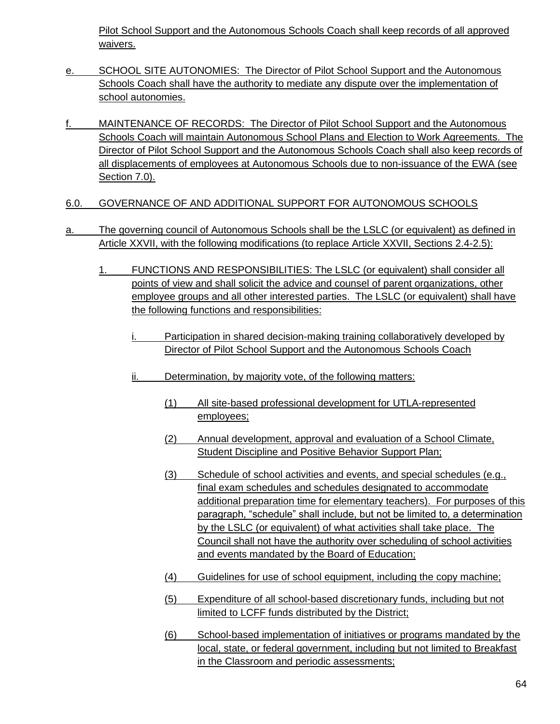Pilot School Support and the Autonomous Schools Coach shall keep records of all approved waivers.

- e. SCHOOL SITE AUTONOMIES: The Director of Pilot School Support and the Autonomous Schools Coach shall have the authority to mediate any dispute over the implementation of school autonomies.
- f. MAINTENANCE OF RECORDS: The Director of Pilot School Support and the Autonomous Schools Coach will maintain Autonomous School Plans and Election to Work Agreements. The Director of Pilot School Support and the Autonomous Schools Coach shall also keep records of all displacements of employees at Autonomous Schools due to non-issuance of the EWA (see Section 7.0).
- 6.0. GOVERNANCE OF AND ADDITIONAL SUPPORT FOR AUTONOMOUS SCHOOLS
- a. The governing council of Autonomous Schools shall be the LSLC (or equivalent) as defined in Article XXVII, with the following modifications (to replace Article XXVII, Sections 2.4-2.5):
	- 1. FUNCTIONS AND RESPONSIBILITIES: The LSLC (or equivalent) shall consider all points of view and shall solicit the advice and counsel of parent organizations, other employee groups and all other interested parties. The LSLC (or equivalent) shall have the following functions and responsibilities:
		- i. Participation in shared decision-making training collaboratively developed by Director of Pilot School Support and the Autonomous Schools Coach
		- ii. Determination, by majority vote, of the following matters:
			- (1) All site-based professional development for UTLA-represented employees;
			- (2) Annual development, approval and evaluation of a School Climate, Student Discipline and Positive Behavior Support Plan;
			- (3) Schedule of school activities and events, and special schedules (e.g., final exam schedules and schedules designated to accommodate additional preparation time for elementary teachers). For purposes of this paragraph, "schedule" shall include, but not be limited to, a determination by the LSLC (or equivalent) of what activities shall take place. The Council shall not have the authority over scheduling of school activities and events mandated by the Board of Education;
			- (4) Guidelines for use of school equipment, including the copy machine;
			- (5) Expenditure of all school-based discretionary funds, including but not limited to LCFF funds distributed by the District;
			- (6) School-based implementation of initiatives or programs mandated by the local, state, or federal government, including but not limited to Breakfast in the Classroom and periodic assessments;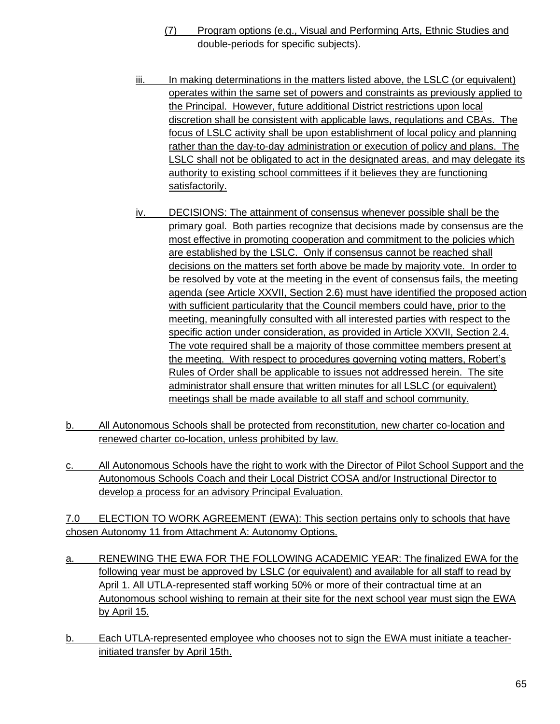- (7) Program options (e.g., Visual and Performing Arts, Ethnic Studies and double-periods for specific subjects).
- iii. In making determinations in the matters listed above, the LSLC (or equivalent) operates within the same set of powers and constraints as previously applied to the Principal. However, future additional District restrictions upon local discretion shall be consistent with applicable laws, regulations and CBAs. The focus of LSLC activity shall be upon establishment of local policy and planning rather than the day-to-day administration or execution of policy and plans. The LSLC shall not be obligated to act in the designated areas, and may delegate its authority to existing school committees if it believes they are functioning satisfactorily.
- iv. DECISIONS: The attainment of consensus whenever possible shall be the primary goal. Both parties recognize that decisions made by consensus are the most effective in promoting cooperation and commitment to the policies which are established by the LSLC. Only if consensus cannot be reached shall decisions on the matters set forth above be made by majority vote. In order to be resolved by vote at the meeting in the event of consensus fails, the meeting agenda (see Article XXVII, Section 2.6) must have identified the proposed action with sufficient particularity that the Council members could have, prior to the meeting, meaningfully consulted with all interested parties with respect to the specific action under consideration, as provided in Article XXVII, Section 2.4. The vote required shall be a majority of those committee members present at the meeting. With respect to procedures governing voting matters, Robert's Rules of Order shall be applicable to issues not addressed herein. The site administrator shall ensure that written minutes for all LSLC (or equivalent) meetings shall be made available to all staff and school community.
- b. All Autonomous Schools shall be protected from reconstitution, new charter co-location and renewed charter co-location, unless prohibited by law.
- c. All Autonomous Schools have the right to work with the Director of Pilot School Support and the Autonomous Schools Coach and their Local District COSA and/or Instructional Director to develop a process for an advisory Principal Evaluation.

7.0 ELECTION TO WORK AGREEMENT (EWA): This section pertains only to schools that have chosen Autonomy 11 from Attachment A: Autonomy Options.

- a. RENEWING THE EWA FOR THE FOLLOWING ACADEMIC YEAR: The finalized EWA for the following year must be approved by LSLC (or equivalent) and available for all staff to read by April 1. All UTLA-represented staff working 50% or more of their contractual time at an Autonomous school wishing to remain at their site for the next school year must sign the EWA by April 15.
- b. Each UTLA-represented employee who chooses not to sign the EWA must initiate a teacherinitiated transfer by April 15th.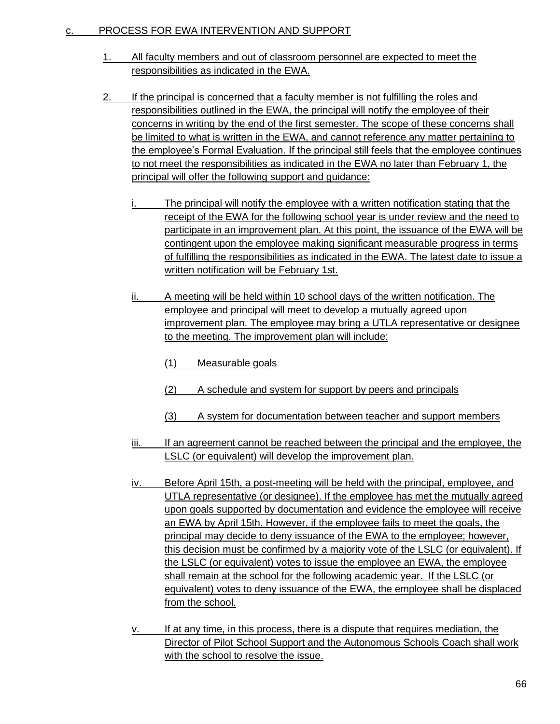#### c. PROCESS FOR EWA INTERVENTION AND SUPPORT

- 1. All faculty members and out of classroom personnel are expected to meet the responsibilities as indicated in the EWA.
- 2. If the principal is concerned that a faculty member is not fulfilling the roles and responsibilities outlined in the EWA, the principal will notify the employee of their concerns in writing by the end of the first semester. The scope of these concerns shall be limited to what is written in the EWA, and cannot reference any matter pertaining to the employee's Formal Evaluation. If the principal still feels that the employee continues to not meet the responsibilities as indicated in the EWA no later than February 1, the principal will offer the following support and guidance:
	- i. The principal will notify the employee with a written notification stating that the receipt of the EWA for the following school year is under review and the need to participate in an improvement plan. At this point, the issuance of the EWA will be contingent upon the employee making significant measurable progress in terms of fulfilling the responsibilities as indicated in the EWA. The latest date to issue a written notification will be February 1st.
	- ii. A meeting will be held within 10 school days of the written notification. The employee and principal will meet to develop a mutually agreed upon improvement plan. The employee may bring a UTLA representative or designee to the meeting. The improvement plan will include:
		- (1) Measurable goals
		- (2) A schedule and system for support by peers and principals
		- (3) A system for documentation between teacher and support members
	- iii. If an agreement cannot be reached between the principal and the employee, the LSLC (or equivalent) will develop the improvement plan.
	- iv. Before April 15th, a post-meeting will be held with the principal, employee, and UTLA representative (or designee). If the employee has met the mutually agreed upon goals supported by documentation and evidence the employee will receive an EWA by April 15th. However, if the employee fails to meet the goals, the principal may decide to deny issuance of the EWA to the employee; however, this decision must be confirmed by a majority vote of the LSLC (or equivalent). If the LSLC (or equivalent) votes to issue the employee an EWA, the employee shall remain at the school for the following academic year. If the LSLC (or equivalent) votes to deny issuance of the EWA, the employee shall be displaced from the school.
	- v. If at any time, in this process, there is a dispute that requires mediation, the Director of Pilot School Support and the Autonomous Schools Coach shall work with the school to resolve the issue.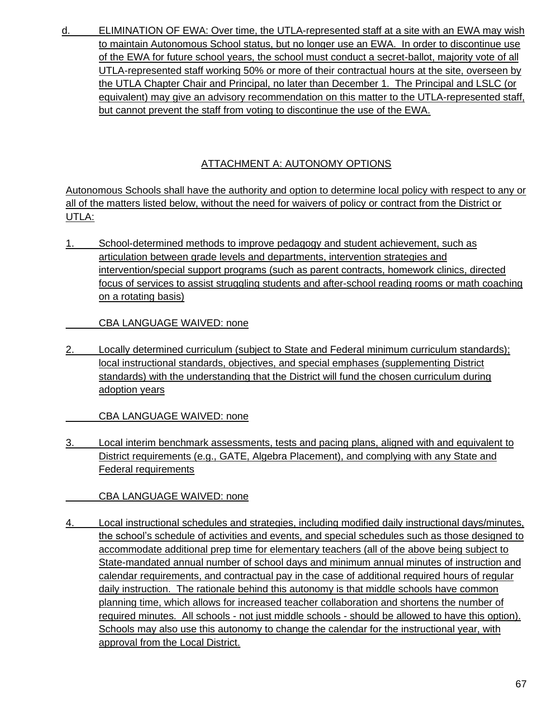d. ELIMINATION OF EWA: Over time, the UTLA-represented staff at a site with an EWA may wish to maintain Autonomous School status, but no longer use an EWA. In order to discontinue use of the EWA for future school years, the school must conduct a secret-ballot, majority vote of all UTLA-represented staff working 50% or more of their contractual hours at the site, overseen by the UTLA Chapter Chair and Principal, no later than December 1. The Principal and LSLC (or equivalent) may give an advisory recommendation on this matter to the UTLA-represented staff, but cannot prevent the staff from voting to discontinue the use of the EWA.

# ATTACHMENT A: AUTONOMY OPTIONS

Autonomous Schools shall have the authority and option to determine local policy with respect to any or all of the matters listed below, without the need for waivers of policy or contract from the District or UTLA:

1. School-determined methods to improve pedagogy and student achievement, such as articulation between grade levels and departments, intervention strategies and intervention/special support programs (such as parent contracts, homework clinics, directed focus of services to assist struggling students and after-school reading rooms or math coaching on a rotating basis)

CBA LANGUAGE WAIVED: none

2. Locally determined curriculum (subject to State and Federal minimum curriculum standards); local instructional standards, objectives, and special emphases (supplementing District standards) with the understanding that the District will fund the chosen curriculum during adoption years

CBA LANGUAGE WAIVED: none

3. Local interim benchmark assessments, tests and pacing plans, aligned with and equivalent to District requirements (e.g., GATE, Algebra Placement), and complying with any State and Federal requirements

CBA LANGUAGE WAIVED: none

4. Local instructional schedules and strategies, including modified daily instructional days/minutes, the school's schedule of activities and events, and special schedules such as those designed to accommodate additional prep time for elementary teachers (all of the above being subject to State-mandated annual number of school days and minimum annual minutes of instruction and calendar requirements, and contractual pay in the case of additional required hours of regular daily instruction. The rationale behind this autonomy is that middle schools have common planning time, which allows for increased teacher collaboration and shortens the number of required minutes. All schools - not just middle schools - should be allowed to have this option). Schools may also use this autonomy to change the calendar for the instructional year, with approval from the Local District.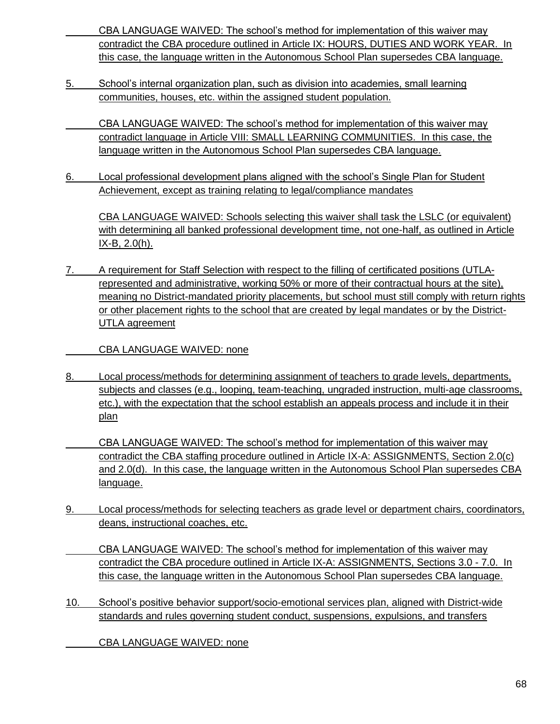CBA LANGUAGE WAIVED: The school's method for implementation of this waiver may contradict the CBA procedure outlined in Article IX: HOURS, DUTIES AND WORK YEAR. In this case, the language written in the Autonomous School Plan supersedes CBA language.

- 5. School's internal organization plan, such as division into academies, small learning communities, houses, etc. within the assigned student population.
	- CBA LANGUAGE WAIVED: The school's method for implementation of this waiver may contradict language in Article VIII: SMALL LEARNING COMMUNITIES. In this case, the language written in the Autonomous School Plan supersedes CBA language.
- 6. Local professional development plans aligned with the school's Single Plan for Student Achievement, except as training relating to legal/compliance mandates

CBA LANGUAGE WAIVED: Schools selecting this waiver shall task the LSLC (or equivalent) with determining all banked professional development time, not one-half, as outlined in Article IX-B, 2.0(h).

7. A requirement for Staff Selection with respect to the filling of certificated positions (UTLArepresented and administrative, working 50% or more of their contractual hours at the site), meaning no District-mandated priority placements, but school must still comply with return rights or other placement rights to the school that are created by legal mandates or by the District-UTLA agreement

CBA LANGUAGE WAIVED: none

- 8. Local process/methods for determining assignment of teachers to grade levels, departments, subjects and classes (e.g., looping, team-teaching, ungraded instruction, multi-age classrooms, etc.), with the expectation that the school establish an appeals process and include it in their plan
- CBA LANGUAGE WAIVED: The school's method for implementation of this waiver may contradict the CBA staffing procedure outlined in Article IX-A: ASSIGNMENTS, Section 2.0(c) and 2.0(d). In this case, the language written in the Autonomous School Plan supersedes CBA language.
- 9. Local process/methods for selecting teachers as grade level or department chairs, coordinators, deans, instructional coaches, etc.

CBA LANGUAGE WAIVED: The school's method for implementation of this waiver may contradict the CBA procedure outlined in Article IX-A: ASSIGNMENTS, Sections 3.0 - 7.0. In this case, the language written in the Autonomous School Plan supersedes CBA language.

10. School's positive behavior support/socio-emotional services plan, aligned with District-wide standards and rules governing student conduct, suspensions, expulsions, and transfers

CBA LANGUAGE WAIVED: none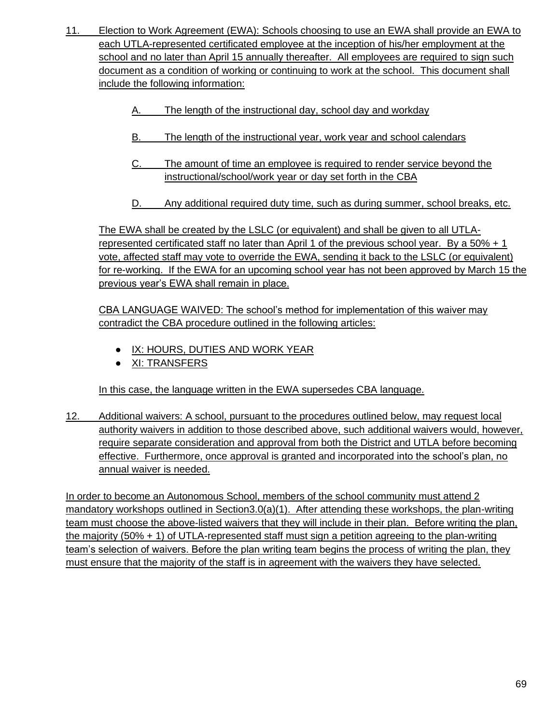- 11. Election to Work Agreement (EWA): Schools choosing to use an EWA shall provide an EWA to each UTLA-represented certificated employee at the inception of his/her employment at the school and no later than April 15 annually thereafter. All employees are required to sign such document as a condition of working or continuing to work at the school. This document shall include the following information:
	- The length of the instructional day, school day and workday
	- B. The length of the instructional year, work year and school calendars
	- C. The amount of time an employee is required to render service beyond the instructional/school/work year or day set forth in the CBA
	- D. Any additional required duty time, such as during summer, school breaks, etc.

The EWA shall be created by the LSLC (or equivalent) and shall be given to all UTLArepresented certificated staff no later than April 1 of the previous school year. By a 50% + 1 vote, affected staff may vote to override the EWA, sending it back to the LSLC (or equivalent) for re-working. If the EWA for an upcoming school year has not been approved by March 15 the previous year's EWA shall remain in place.

CBA LANGUAGE WAIVED: The school's method for implementation of this waiver may contradict the CBA procedure outlined in the following articles:

- **.** IX: HOURS, DUTIES AND WORK YEAR
- XI: TRANSFERS

In this case, the language written in the EWA supersedes CBA language.

12. Additional waivers: A school, pursuant to the procedures outlined below, may request local authority waivers in addition to those described above, such additional waivers would, however, require separate consideration and approval from both the District and UTLA before becoming effective. Furthermore, once approval is granted and incorporated into the school's plan, no annual waiver is needed.

In order to become an Autonomous School, members of the school community must attend 2 mandatory workshops outlined in Section3.0(a)(1). After attending these workshops, the plan-writing team must choose the above-listed waivers that they will include in their plan. Before writing the plan, the majority (50% + 1) of UTLA-represented staff must sign a petition agreeing to the plan-writing team's selection of waivers. Before the plan writing team begins the process of writing the plan, they must ensure that the majority of the staff is in agreement with the waivers they have selected.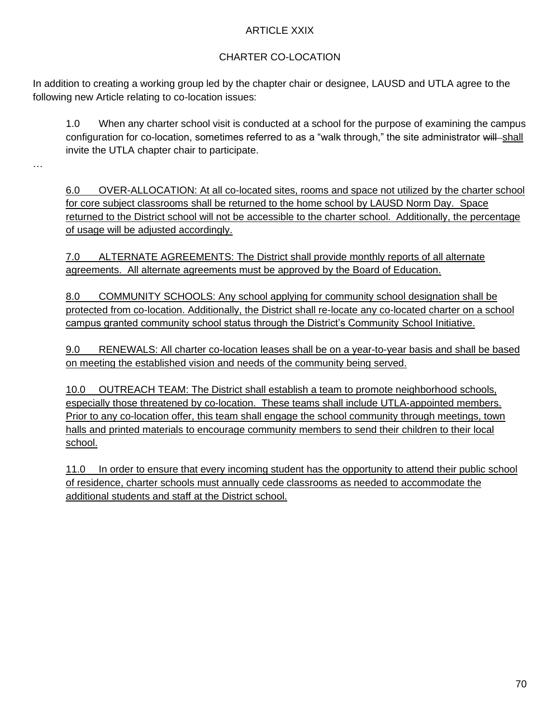## ARTICLE XXIX

# CHARTER CO-LOCATION

In addition to creating a working group led by the chapter chair or designee, LAUSD and UTLA agree to the following new Article relating to co-location issues:

1.0 When any charter school visit is conducted at a school for the purpose of examining the campus configuration for co-location, sometimes referred to as a "walk through," the site administrator will shall invite the UTLA chapter chair to participate.

…

6.0 OVER-ALLOCATION: At all co-located sites, rooms and space not utilized by the charter school for core subject classrooms shall be returned to the home school by LAUSD Norm Day. Space returned to the District school will not be accessible to the charter school. Additionally, the percentage of usage will be adjusted accordingly.

7.0 ALTERNATE AGREEMENTS: The District shall provide monthly reports of all alternate agreements. All alternate agreements must be approved by the Board of Education.

8.0 COMMUNITY SCHOOLS: Any school applying for community school designation shall be protected from co-location. Additionally, the District shall re-locate any co-located charter on a school campus granted community school status through the District's Community School Initiative.

9.0 RENEWALS: All charter co-location leases shall be on a year-to-year basis and shall be based on meeting the established vision and needs of the community being served.

10.0 OUTREACH TEAM: The District shall establish a team to promote neighborhood schools, especially those threatened by co-location. These teams shall include UTLA-appointed members. Prior to any co-location offer, this team shall engage the school community through meetings, town halls and printed materials to encourage community members to send their children to their local school.

11.0 In order to ensure that every incoming student has the opportunity to attend their public school of residence, charter schools must annually cede classrooms as needed to accommodate the additional students and staff at the District school.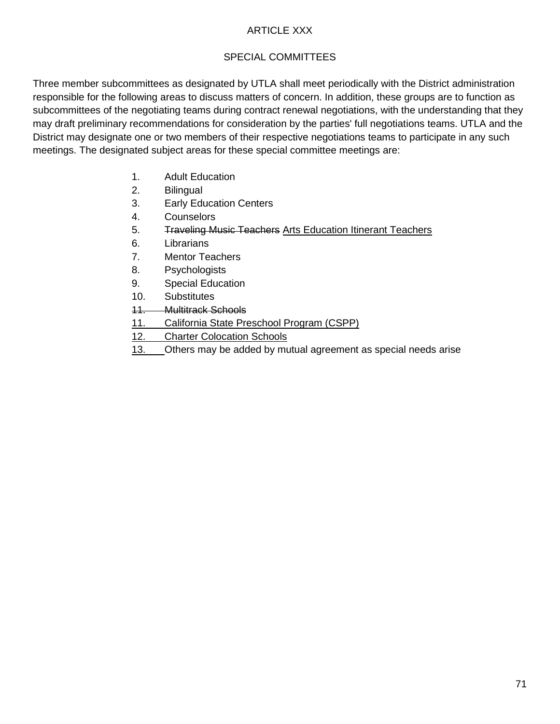## ARTICLE XXX

# SPECIAL COMMITTEES

Three member subcommittees as designated by UTLA shall meet periodically with the District administration responsible for the following areas to discuss matters of concern. In addition, these groups are to function as subcommittees of the negotiating teams during contract renewal negotiations, with the understanding that they may draft preliminary recommendations for consideration by the parties' full negotiations teams. UTLA and the District may designate one or two members of their respective negotiations teams to participate in any such meetings. The designated subject areas for these special committee meetings are:

- 1. Adult Education
- 2. Bilingual
- 3. Early Education Centers
- 4. Counselors
- 5. Traveling Music Teachers Arts Education Itinerant Teachers
- 6. Librarians
- 7. Mentor Teachers
- 8. Psychologists
- 9. Special Education
- 10. Substitutes
- 11. Multitrack Schools
- 11. California State Preschool Program (CSPP)
- 12. Charter Colocation Schools
- 13. Others may be added by mutual agreement as special needs arise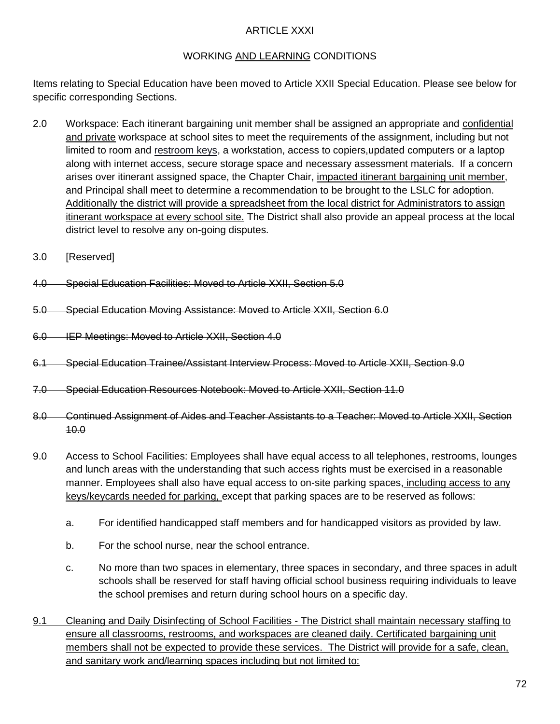### ARTICLE XXXI

# WORKING AND LEARNING CONDITIONS

Items relating to Special Education have been moved to Article XXII Special Education. Please see below for specific corresponding Sections.

- 2.0 Workspace: Each itinerant bargaining unit member shall be assigned an appropriate and confidential and private workspace at school sites to meet the requirements of the assignment, including but not limited to room and restroom keys, a workstation, access to copiers,updated computers or a laptop along with internet access, secure storage space and necessary assessment materials. If a concern arises over itinerant assigned space, the Chapter Chair, impacted itinerant bargaining unit member, and Principal shall meet to determine a recommendation to be brought to the LSLC for adoption. Additionally the district will provide a spreadsheet from the local district for Administrators to assign itinerant workspace at every school site. The District shall also provide an appeal process at the local district level to resolve any on-going disputes.
- 3.0 [Reserved]
- 4.0 Special Education Facilities: Moved to Article XXII, Section 5.0
- 5.0 Special Education Moving Assistance: Moved to Article XXII, Section 6.0
- 6.0 IEP Meetings: Moved to Article XXII, Section 4.0
- 6.1 Special Education Trainee/Assistant Interview Process: Moved to Article XXII, Section 9.0
- 7.0 Special Education Resources Notebook: Moved to Article XXII, Section 11.0
- 8.0 Continued Assignment of Aides and Teacher Assistants to a Teacher: Moved to Article XXII, Section 10.0
- 9.0 Access to School Facilities: Employees shall have equal access to all telephones, restrooms, lounges and lunch areas with the understanding that such access rights must be exercised in a reasonable manner. Employees shall also have equal access to on-site parking spaces, including access to any keys/keycards needed for parking, except that parking spaces are to be reserved as follows:
	- a. For identified handicapped staff members and for handicapped visitors as provided by law.
	- b. For the school nurse, near the school entrance.
	- c. No more than two spaces in elementary, three spaces in secondary, and three spaces in adult schools shall be reserved for staff having official school business requiring individuals to leave the school premises and return during school hours on a specific day.
- 9.1 Cleaning and Daily Disinfecting of School Facilities The District shall maintain necessary staffing to ensure all classrooms, restrooms, and workspaces are cleaned daily. Certificated bargaining unit members shall not be expected to provide these services. The District will provide for a safe, clean, and sanitary work and/learning spaces including but not limited to: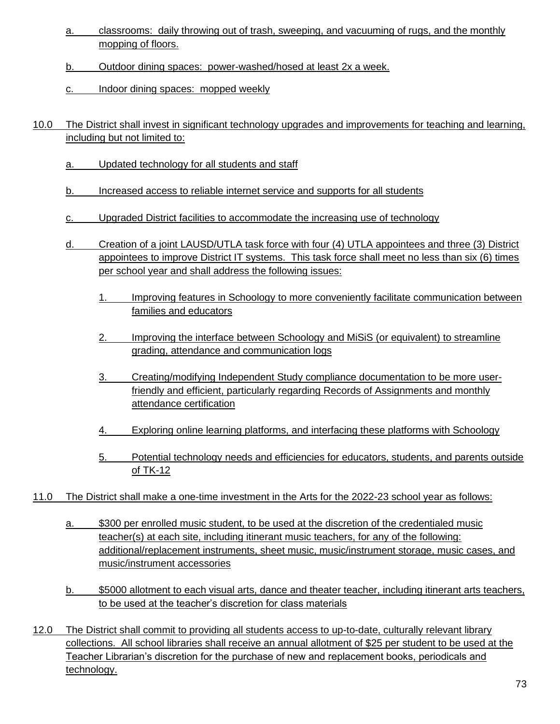- a. classrooms: daily throwing out of trash, sweeping, and vacuuming of rugs, and the monthly mopping of floors.
- b. Outdoor dining spaces: power-washed/hosed at least 2x a week.
- c. Indoor dining spaces: mopped weekly
- 10.0 The District shall invest in significant technology upgrades and improvements for teaching and learning, including but not limited to:
	- a. Updated technology for all students and staff
	- b. Increased access to reliable internet service and supports for all students
	- c. Upgraded District facilities to accommodate the increasing use of technology
	- d. Creation of a joint LAUSD/UTLA task force with four (4) UTLA appointees and three (3) District appointees to improve District IT systems. This task force shall meet no less than six (6) times per school year and shall address the following issues:
		- 1. Improving features in Schoology to more conveniently facilitate communication between families and educators
		- 2. Improving the interface between Schoology and MiSiS (or equivalent) to streamline grading, attendance and communication logs
		- 3. Creating/modifying Independent Study compliance documentation to be more userfriendly and efficient, particularly regarding Records of Assignments and monthly attendance certification
		- 4. Exploring online learning platforms, and interfacing these platforms with Schoology
		- 5. Potential technology needs and efficiencies for educators, students, and parents outside of TK-12
- 11.0 The District shall make a one-time investment in the Arts for the 2022-23 school year as follows:
	- a. \$300 per enrolled music student, to be used at the discretion of the credentialed music teacher(s) at each site, including itinerant music teachers, for any of the following: additional/replacement instruments, sheet music, music/instrument storage, music cases, and music/instrument accessories
	- b. \$5000 allotment to each visual arts, dance and theater teacher, including itinerant arts teachers, to be used at the teacher's discretion for class materials
- 12.0 The District shall commit to providing all students access to up-to-date, culturally relevant library collections. All school libraries shall receive an annual allotment of \$25 per student to be used at the Teacher Librarian's discretion for the purchase of new and replacement books, periodicals and technology.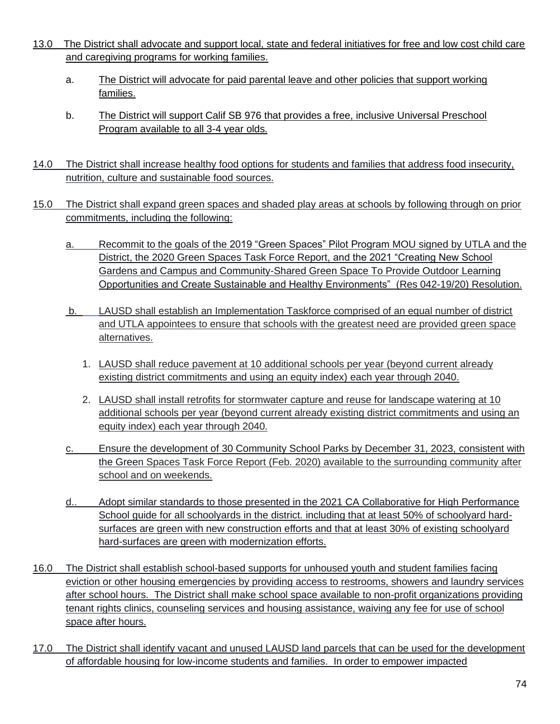- 13.0 The District shall advocate and support local, state and federal initiatives for free and low cost child care and caregiving programs for working families.
	- a. The District will advocate for paid parental leave and other policies that support working families.
	- b. The District will support Calif SB 976 that provides a free, inclusive Universal Preschool Program available to all 3-4 year olds.
- 14.0 The District shall increase healthy food options for students and families that address food insecurity, nutrition, culture and sustainable food sources.
- 15.0 The District shall expand green spaces and shaded play areas at schools by following through on prior commitments, including the following:
	- a. Recommit to the goals of the [2019 "Green Spaces" Pilot Program](https://achieve.lausd.net/cms/lib/CA01000043/Centricity/domain/368/utla/utla%20contracts/2019%20-%202022%20UTLA%20Contract.pdf) MOU signed by UTLA and the District, the [2020 Green Spaces Task Force Report,](http://laschoolboard.org/sites/default/files/02-06-20COWGreenSpaceTaskForceLA.pdf) and the 2021 "Creating New School Gardens and Campus and Community-Shared Green Space To Provide Outdoor Learning Opportunities and Create Sustainable and Healthy Environments" [\(Res 042-19/20\)](http://laschoolboard.org/sites/default/files/02-09-21RegBdOBandMaterialsWithLinksPP.pdf) Resolution.
	- b. LAUSD shall establish an Implementation Taskforce comprised of an equal number of district and UTLA appointees to ensure that schools with the greatest need are provided green space alternatives.
		- 1. LAUSD shall reduce pavement at 10 additional schools per year (beyond current already existing district commitments and using an equity index) each year through 2040.
		- 2. LAUSD shall install retrofits for stormwater capture and reuse for landscape watering at 10 additional schools per year (beyond current already existing district commitments and using an equity index) each year through 2040.
	- c. Ensure the development of 30 Community School Parks by December 31, 2023, consistent with the Green Spaces Task Force Report (Feb. 2020) available to the surrounding community after school and on weekends.
	- d.. Adopt similar standards to those presented in the 2021 CA Collaborative for High Performance School guide for all schoolyards in the district. including that at least 50% of schoolyard hardsurfaces are green with new construction efforts and that at least 30% of existing schoolyard hard-surfaces are green with modernization efforts.
- 16.0 The District shall establish school-based supports for unhoused youth and student families facing eviction or other housing emergencies by providing access to restrooms, showers and laundry services after school hours. The District shall make school space available to non-profit organizations providing tenant rights clinics, counseling services and housing assistance, waiving any fee for use of school space after hours.
- 17.0 The District shall identify vacant and unused LAUSD land parcels that can be used for the development of affordable housing for low-income students and families. In order to empower impacted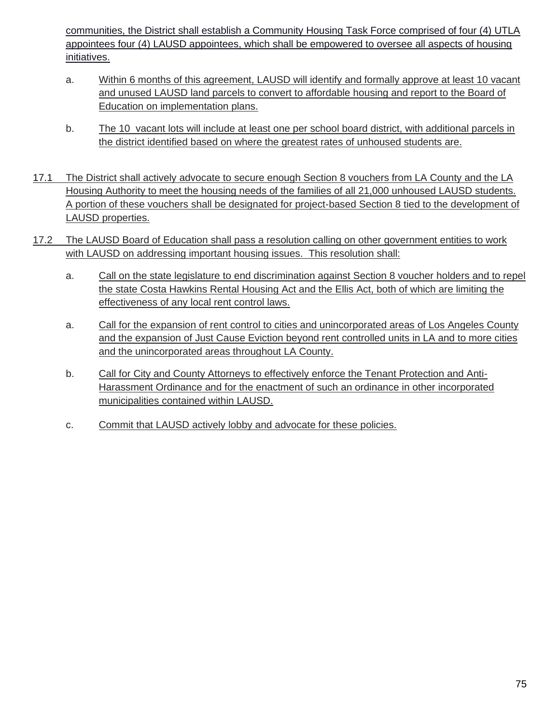communities, the District shall establish a Community Housing Task Force comprised of four (4) UTLA appointees four (4) LAUSD appointees, which shall be empowered to oversee all aspects of housing initiatives.

- a. Within 6 months of this agreement, LAUSD will identify and formally approve at least 10 vacant and unused LAUSD land parcels to convert to affordable housing and report to the Board of Education on implementation plans.
- b. The 10 vacant lots will include at least one per school board district, with additional parcels in the district identified based on where the greatest rates of unhoused students are.
- 17.1 The District shall actively advocate to secure enough Section 8 vouchers from LA County and the LA Housing Authority to meet the housing needs of the families of all 21,000 unhoused LAUSD students. A portion of these vouchers shall be designated for project-based Section 8 tied to the development of LAUSD properties.
- 17.2 The LAUSD Board of Education shall pass a resolution calling on other government entities to work with LAUSD on addressing important housing issues. This resolution shall:
	- a. Call on the state legislature to end discrimination against Section 8 voucher holders and to repel the state Costa Hawkins Rental Housing Act and the Ellis Act, both of which are limiting the effectiveness of any local rent control laws.
	- a. Call for the expansion of rent control to cities and unincorporated areas of Los Angeles County and the expansion of Just Cause Eviction beyond rent controlled units in LA and to more cities and the unincorporated areas throughout LA County.
	- b. Call for City and County Attorneys to effectively enforce the Tenant Protection and Anti-Harassment Ordinance and for the enactment of such an ordinance in other incorporated municipalities contained within LAUSD.
	- c. Commit that LAUSD actively lobby and advocate for these policies.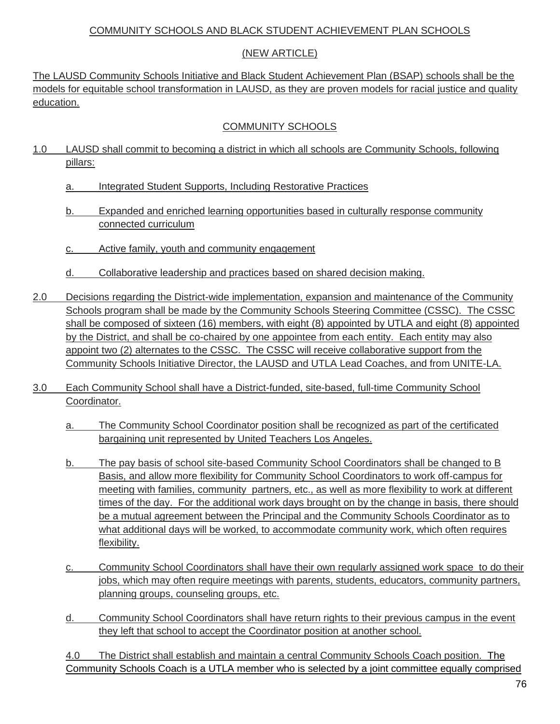#### COMMUNITY SCHOOLS AND BLACK STUDENT ACHIEVEMENT PLAN SCHOOLS

## (NEW ARTICLE)

The LAUSD Community Schools Initiative and Black Student Achievement Plan (BSAP) schools shall be the models for equitable school transformation in LAUSD, as they are proven models for racial justice and quality education.

## COMMUNITY SCHOOLS

- 1.0 LAUSD shall commit to becoming a district in which all schools are Community Schools, following pillars:
	- a. Integrated Student Supports, Including Restorative Practices
	- b. Expanded and enriched learning opportunities based in culturally response community connected curriculum
	- c. Active family, youth and community engagement
	- d. Collaborative leadership and practices based on shared decision making.
- 2.0 Decisions regarding the District-wide implementation, expansion and maintenance of the Community Schools program shall be made by the Community Schools Steering Committee (CSSC). The CSSC shall be composed of sixteen (16) members, with eight (8) appointed by UTLA and eight (8) appointed by the District, and shall be co-chaired by one appointee from each entity. Each entity may also appoint two (2) alternates to the CSSC. The CSSC will receive collaborative support from the Community Schools Initiative Director, the LAUSD and UTLA Lead Coaches, and from UNITE-LA.
- 3.0 Each Community School shall have a District-funded, site-based, full-time Community School Coordinator.
	- a. The Community School Coordinator position shall be recognized as part of the certificated bargaining unit represented by United Teachers Los Angeles.
	- b. The pay basis of school site-based Community School Coordinators shall be changed to B Basis, and allow more flexibility for Community School Coordinators to work off-campus for meeting with families, community partners, etc., as well as more flexibility to work at different times of the day. For the additional work days brought on by the change in basis, there should be a mutual agreement between the Principal and the Community Schools Coordinator as to what additional days will be worked, to accommodate community work, which often requires flexibility.
	- c. Community School Coordinators shall have their own regularly assigned work space to do their jobs, which may often require meetings with parents, students, educators, community partners, planning groups, counseling groups, etc.
	- d. Community School Coordinators shall have return rights to their previous campus in the event they left that school to accept the Coordinator position at another school.

4.0 The District shall establish and maintain a central Community Schools Coach position. The Community Schools Coach is a UTLA member who is selected by a joint committee equally comprised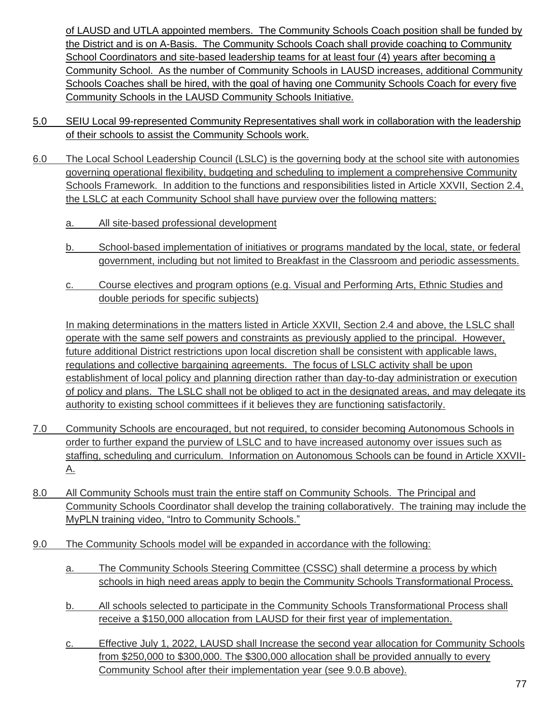of LAUSD and UTLA appointed members. The Community Schools Coach position shall be funded by the District and is on A-Basis. The Community Schools Coach shall provide coaching to Community School Coordinators and site-based leadership teams for at least four (4) years after becoming a Community School. As the number of Community Schools in LAUSD increases, additional Community Schools Coaches shall be hired, with the goal of having one Community Schools Coach for every five Community Schools in the LAUSD Community Schools Initiative.

- 5.0 SEIU Local 99-represented Community Representatives shall work in collaboration with the leadership of their schools to assist the Community Schools work.
- 6.0 The Local School Leadership Council (LSLC) is the governing body at the school site with autonomies governing operational flexibility, budgeting and scheduling to implement a comprehensive Community Schools Framework. In addition to the functions and responsibilities listed in Article XXVII, Section 2.4, the LSLC at each Community School shall have purview over the following matters:
	- a. All site-based professional development
	- b. School-based implementation of initiatives or programs mandated by the local, state, or federal government, including but not limited to Breakfast in the Classroom and periodic assessments.
	- c. Course electives and program options (e.g. Visual and Performing Arts, Ethnic Studies and double periods for specific subjects)

In making determinations in the matters listed in Article XXVII, Section 2.4 and above, the LSLC shall operate with the same self powers and constraints as previously applied to the principal. However, future additional District restrictions upon local discretion shall be consistent with applicable laws, regulations and collective bargaining agreements. The focus of LSLC activity shall be upon establishment of local policy and planning direction rather than day-to-day administration or execution of policy and plans. The LSLC shall not be obliged to act in the designated areas, and may delegate its authority to existing school committees if it believes they are functioning satisfactorily.

- 7.0 Community Schools are encouraged, but not required, to consider becoming Autonomous Schools in order to further expand the purview of LSLC and to have increased autonomy over issues such as staffing, scheduling and curriculum. Information on Autonomous Schools can be found in Article XXVII-A.
- 8.0 All Community Schools must train the entire staff on Community Schools. The Principal and Community Schools Coordinator shall develop the training collaboratively. The training may include the MyPLN training video, "Intro to Community Schools."
- 9.0 The Community Schools model will be expanded in accordance with the following:
	- a. The Community Schools Steering Committee (CSSC) shall determine a process by which schools in high need areas apply to begin the Community Schools Transformational Process.
	- b. All schools selected to participate in the Community Schools Transformational Process shall receive a \$150,000 allocation from LAUSD for their first year of implementation.
	- c. Effective July 1, 2022, LAUSD shall Increase the second year allocation for Community Schools from \$250,000 to \$300,000. The \$300,000 allocation shall be provided annually to every Community School after their implementation year (see 9.0.B above).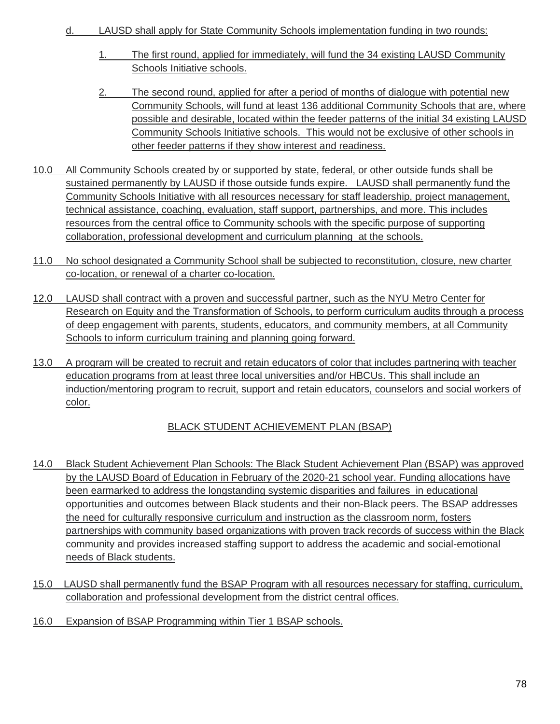- d. LAUSD shall apply for State Community Schools implementation funding in two rounds:
	- 1. The first round, applied for immediately, will fund the 34 existing LAUSD Community Schools Initiative schools.
	- 2. The second round, applied for after a period of months of dialogue with potential new Community Schools, will fund at least 136 additional Community Schools that are, where possible and desirable, located within the feeder patterns of the initial 34 existing LAUSD Community Schools Initiative schools. This would not be exclusive of other schools in other feeder patterns if they show interest and readiness.
- 10.0 All Community Schools created by or supported by state, federal, or other outside funds shall be sustained permanently by LAUSD if those outside funds expire. LAUSD shall permanently fund the Community Schools Initiative with all resources necessary for staff leadership, project management, technical assistance, coaching, evaluation, staff support, partnerships, and more. This includes resources from the central office to Community schools with the specific purpose of supporting collaboration, professional development and curriculum planning at the schools.
- 11.0 No school designated a Community School shall be subjected to reconstitution, closure, new charter co-location, or renewal of a charter co-location.
- 12.0 LAUSD shall contract with a proven and successful partner, such as the NYU Metro Center for Research on Equity and the Transformation of Schools, to perform curriculum audits through a process of deep engagement with parents, students, educators, and community members, at all Community Schools to inform curriculum training and planning going forward.
- 13.0 A program will be created to recruit and retain educators of color that includes partnering with teacher education programs from at least three local universities and/or HBCUs. This shall include an induction/mentoring program to recruit, support and retain educators, counselors and social workers of color.

# BLACK STUDENT ACHIEVEMENT PLAN (BSAP)

- 14.0 Black Student Achievement Plan Schools: The Black Student Achievement Plan (BSAP) was approved by the LAUSD Board of Education in February of the 2020-21 school year. Funding allocations have been earmarked to address the longstanding systemic disparities and failures in educational opportunities and outcomes between Black students and their non-Black peers. The BSAP addresses the need for culturally responsive curriculum and instruction as the classroom norm, fosters partnerships with community based organizations with proven track records of success within the Black community and provides increased staffing support to address the academic and social-emotional needs of Black students.
- 15.0 LAUSD shall permanently fund the BSAP Program with all resources necessary for staffing, curriculum, collaboration and professional development from the district central offices.
- 16.0 Expansion of BSAP Programming within Tier 1 BSAP schools.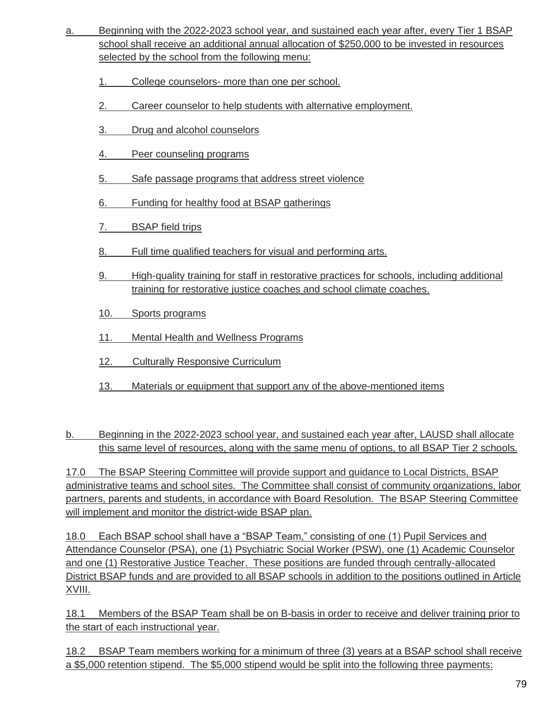- a. Beginning with the 2022-2023 school year, and sustained each year after, every Tier 1 BSAP school shall receive an additional annual allocation of \$250,000 to be invested in resources selected by the school from the following menu:
	- 1. College counselors- more than one per school.
	- 2. Career counselor to help students with alternative employment.
	- 3. Drug and alcohol counselors
	- 4. Peer counseling programs
	- 5. Safe passage programs that address street violence
	- 6. Funding for healthy food at BSAP gatherings
	- 7. BSAP field trips
	- 8. Full time qualified teachers for visual and performing arts.
	- 9. High-quality training for staff in restorative practices for schools, including additional training for restorative justice coaches and school climate coaches.
	- 10. Sports programs
	- 11. Mental Health and Wellness Programs
	- 12. Culturally Responsive Curriculum
	- 13. Materials or equipment that support any of the above-mentioned items

b. Beginning in the 2022-2023 school year, and sustained each year after, LAUSD shall allocate this same level of resources, along with the same menu of options, to all BSAP Tier 2 schools.

17.0 The BSAP Steering Committee will provide support and guidance to Local Districts, BSAP administrative teams and school sites. The Committee shall consist of community organizations, labor partners, parents and students, in accordance with Board Resolution. The BSAP Steering Committee will implement and monitor the district-wide BSAP plan.

18.0 Each BSAP school shall have a "BSAP Team," consisting of one (1) Pupil Services and Attendance Counselor (PSA), one (1) Psychiatric Social Worker (PSW), one (1) Academic Counselor and one (1) Restorative Justice Teacher. These positions are funded through centrally-allocated District BSAP funds and are provided to all BSAP schools in addition to the positions outlined in Article XVIII.

18.1 Members of the BSAP Team shall be on B-basis in order to receive and deliver training prior to the start of each instructional year.

18.2 BSAP Team members working for a minimum of three (3) years at a BSAP school shall receive a \$5,000 retention stipend. The \$5,000 stipend would be split into the following three payments: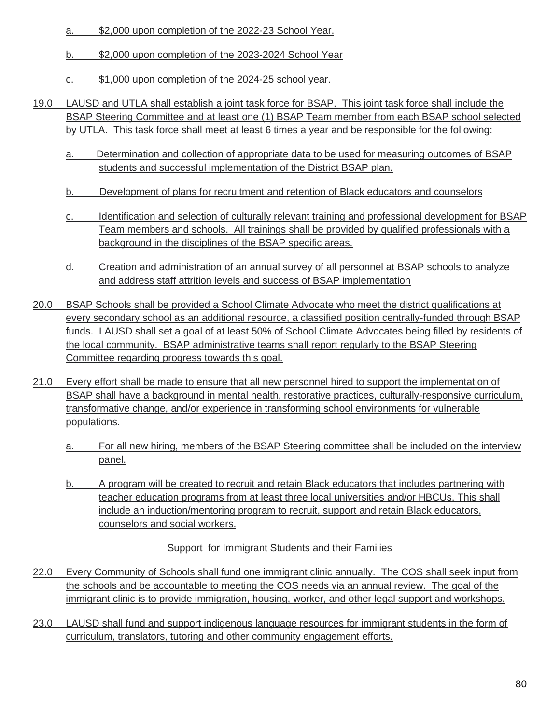- a. \$2,000 upon completion of the 2022-23 School Year.
- b. \$2,000 upon completion of the 2023-2024 School Year
- c. \$1,000 upon completion of the 2024-25 school year.
- 19.0 LAUSD and UTLA shall establish a joint task force for BSAP. This joint task force shall include the BSAP Steering Committee and at least one (1) BSAP Team member from each BSAP school selected by UTLA. This task force shall meet at least 6 times a year and be responsible for the following:
	- a. Determination and collection of appropriate data to be used for measuring outcomes of BSAP students and successful implementation of the District BSAP plan.
	- b. Development of plans for recruitment and retention of Black educators and counselors
	- c. Identification and selection of culturally relevant training and professional development for BSAP Team members and schools. All trainings shall be provided by qualified professionals with a background in the disciplines of the BSAP specific areas.
	- d. Creation and administration of an annual survey of all personnel at BSAP schools to analyze and address staff attrition levels and success of BSAP implementation
- 20.0 BSAP Schools shall be provided a School Climate Advocate who meet the district qualifications at every secondary school as an additional resource, a classified position centrally-funded through BSAP funds. LAUSD shall set a goal of at least 50% of School Climate Advocates being filled by residents of the local community. BSAP administrative teams shall report regularly to the BSAP Steering Committee regarding progress towards this goal.
- 21.0 Every effort shall be made to ensure that all new personnel hired to support the implementation of BSAP shall have a background in mental health, restorative practices, culturally-responsive curriculum, transformative change, and/or experience in transforming school environments for vulnerable populations.
	- a. For all new hiring, members of the BSAP Steering committee shall be included on the interview panel.
	- b. A program will be created to recruit and retain Black educators that includes partnering with teacher education programs from at least three local universities and/or HBCUs. This shall include an induction/mentoring program to recruit, support and retain Black educators, counselors and social workers.

Support for Immigrant Students and their Families

- 22.0 Every Community of Schools shall fund one immigrant clinic annually. The COS shall seek input from the schools and be accountable to meeting the COS needs via an annual review. The goal of the immigrant clinic is to provide immigration, housing, worker, and other legal support and workshops.
- 23.0 LAUSD shall fund and support indigenous language resources for immigrant students in the form of curriculum, translators, tutoring and other community engagement efforts.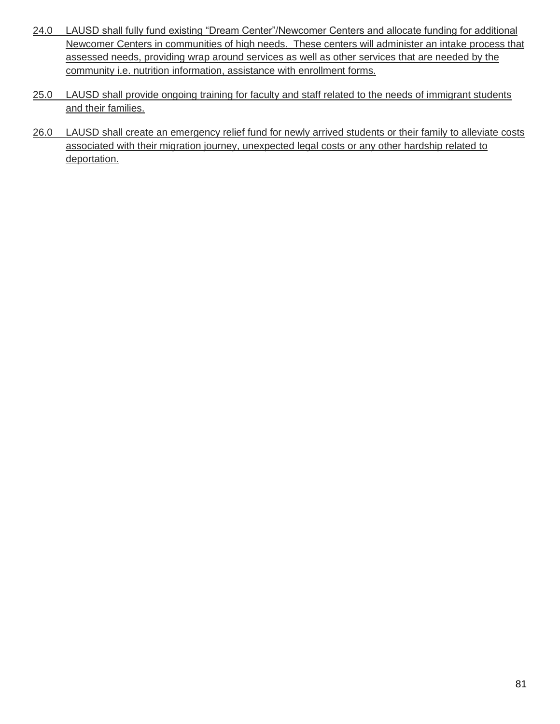- 24.0 LAUSD shall fully fund existing "Dream Center"/Newcomer Centers and allocate funding for additional Newcomer Centers in communities of high needs. These centers will administer an intake process that assessed needs, providing wrap around services as well as other services that are needed by the community i.e. nutrition information, assistance with enrollment forms.
- 25.0 LAUSD shall provide ongoing training for faculty and staff related to the needs of immigrant students and their families.
- 26.0 LAUSD shall create an emergency relief fund for newly arrived students or their family to alleviate costs associated with their migration journey, unexpected legal costs or any other hardship related to deportation.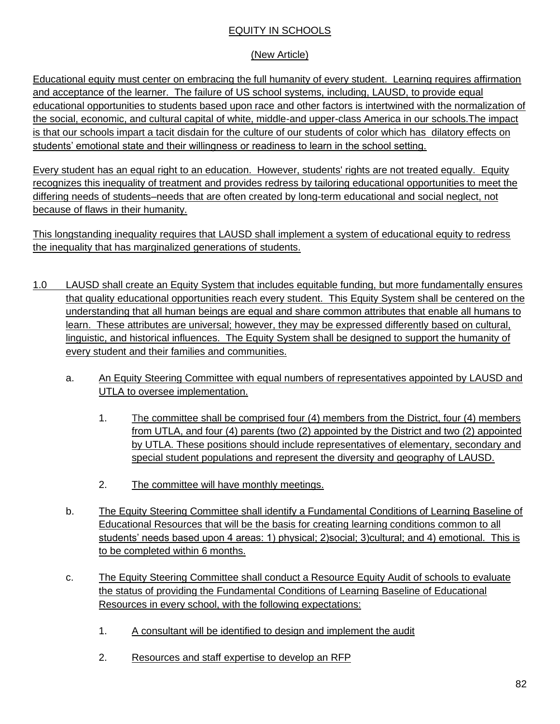#### EQUITY IN SCHOOLS

## (New Article)

Educational equity must center on embracing the full humanity of every student. Learning requires affirmation and acceptance of the learner. The failure of US school systems, including, LAUSD, to provide equal educational opportunities to students based upon race and other factors is intertwined with the normalization of the social, economic, and cultural capital of white, middle-and upper-class America in our schools.The impact is that our schools impart a tacit disdain for the culture of our students of color which has dilatory effects on students' emotional state and their willingness or readiness to learn in the school setting.

Every student has an equal right to an education. However, students' rights are not treated equally. Equity recognizes this inequality of treatment and provides redress by tailoring educational opportunities to meet the differing needs of students–needs that are often created by long-term educational and social neglect, not because of flaws in their humanity.

This longstanding inequality requires that LAUSD shall implement a system of educational equity to redress the inequality that has marginalized generations of students.

- 1.0 LAUSD shall create an Equity System that includes equitable funding, but more fundamentally ensures that quality educational opportunities reach every student. This Equity System shall be centered on the understanding that all human beings are equal and share common attributes that enable all humans to learn. These attributes are universal; however, they may be expressed differently based on cultural, linguistic, and historical influences. The Equity System shall be designed to support the humanity of every student and their families and communities.
	- a. An Equity Steering Committee with equal numbers of representatives appointed by LAUSD and UTLA to oversee implementation.
		- 1. The committee shall be comprised four (4) members from the District, four (4) members from UTLA, and four (4) parents (two (2) appointed by the District and two (2) appointed by UTLA. These positions should include representatives of elementary, secondary and special student populations and represent the diversity and geography of LAUSD.
		- 2. The committee will have monthly meetings.
	- b. The Equity Steering Committee shall identify a Fundamental Conditions of Learning Baseline of Educational Resources that will be the basis for creating learning conditions common to all students' needs based upon 4 areas: 1) physical; 2)social; 3)cultural; and 4) emotional. This is to be completed within 6 months.
	- c. The Equity Steering Committee shall conduct a Resource Equity Audit of schools to evaluate the status of providing the Fundamental Conditions of Learning Baseline of Educational Resources in every school, with the following expectations:
		- 1. A consultant will be identified to design and implement the audit
		- 2. Resources and staff expertise to develop an RFP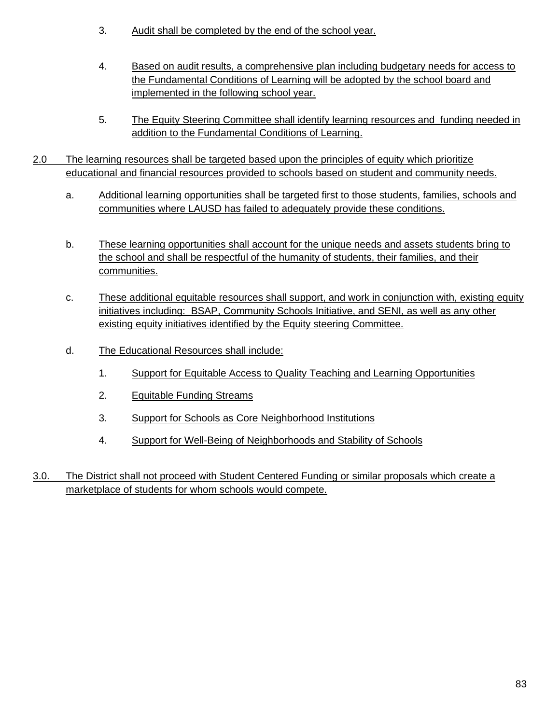- 3. Audit shall be completed by the end of the school year.
- 4. Based on audit results, a comprehensive plan including budgetary needs for access to the Fundamental Conditions of Learning will be adopted by the school board and implemented in the following school year.
- 5. The Equity Steering Committee shall identify learning resources and funding needed in addition to the Fundamental Conditions of Learning.
- 2.0 The learning resources shall be targeted based upon the principles of equity which prioritize educational and financial resources provided to schools based on student and community needs.
	- a. Additional learning opportunities shall be targeted first to those students, families, schools and communities where LAUSD has failed to adequately provide these conditions.
	- b. These learning opportunities shall account for the unique needs and assets students bring to the school and shall be respectful of the humanity of students, their families, and their communities.
	- c. These additional equitable resources shall support, and work in conjunction with, existing equity initiatives including: BSAP, Community Schools Initiative, and SENI, as well as any other existing equity initiatives identified by the Equity steering Committee.
	- d. The Educational Resources shall include:
		- 1. Support for Equitable Access to Quality Teaching and Learning Opportunities
		- 2. Equitable Funding Streams
		- 3. Support for Schools as Core Neighborhood Institutions
		- 4. Support for Well-Being of Neighborhoods and Stability of Schools
- 3.0. The District shall not proceed with Student Centered Funding or similar proposals which create a marketplace of students for whom schools would compete.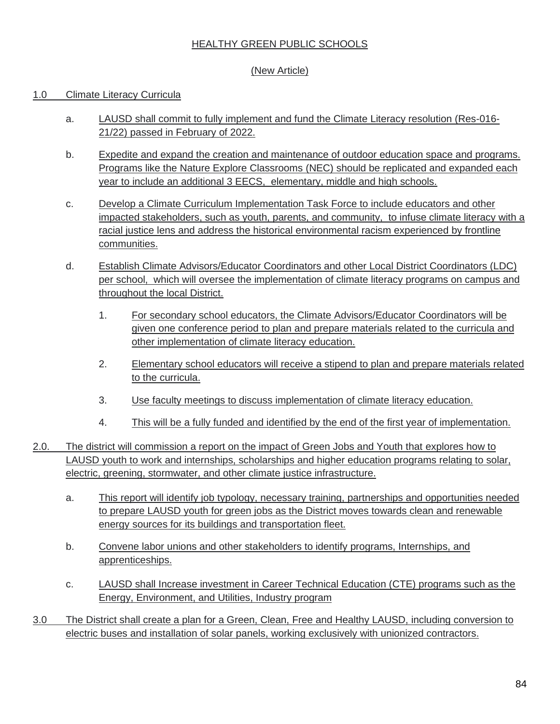#### HEALTHY GREEN PUBLIC SCHOOLS

## (New Article)

#### 1.0 Climate Literacy Curricula

- a. LAUSD shall commit to fully implement and fund the Climate Literacy resolution (Res-016- 21/22) passed in February of 2022.
- b. Expedite and expand the creation and maintenance of outdoor education space and programs. Programs like the Nature Explore Classrooms (NEC) should be replicated and expanded each year to include an additional 3 EECS, elementary, middle and high schools.
- c. Develop a Climate Curriculum Implementation Task Force to include educators and other impacted stakeholders, such as youth, parents, and community, to infuse climate literacy with a racial justice lens and address the historical environmental racism experienced by frontline communities.
- d. Establish Climate Advisors/Educator Coordinators and other Local District Coordinators (LDC) per school, which will oversee the implementation of climate literacy programs on campus and throughout the local District.
	- 1. For secondary school educators, the Climate Advisors/Educator Coordinators will be given one conference period to plan and prepare materials related to the curricula and other implementation of climate literacy education.
	- 2. Elementary school educators will receive a stipend to plan and prepare materials related to the curricula.
	- 3. Use faculty meetings to discuss implementation of climate literacy education.
	- 4. This will be a fully funded and identified by the end of the first year of implementation.
- 2.0. The district will commission a report on the impact of Green Jobs and Youth that explores how to LAUSD youth to work and internships, scholarships and higher education programs relating to solar, electric, greening, stormwater, and other climate justice infrastructure.
	- a. This report will identify job typology, necessary training, partnerships and opportunities needed to prepare LAUSD youth for green jobs as the District moves towards clean and renewable energy sources for its buildings and transportation fleet.
	- b. Convene labor unions and other stakeholders to identify programs, Internships, and apprenticeships.
	- c. LAUSD shall Increase investment in Career Technical Education (CTE) programs such as th[e](https://achieve.lausd.net/site/handlers/filedownload.ashx?moduleinstanceid=20298&dataid=82093&FileName=LAUSD%20CTE%20COURSE%20LIST%202021-22%2012.21%20SP%20JD.pdf) [Energy, Environment, and Utilities, Industry program](https://achieve.lausd.net/site/handlers/filedownload.ashx?moduleinstanceid=20298&dataid=82093&FileName=LAUSD%20CTE%20COURSE%20LIST%202021-22%2012.21%20SP%20JD.pdf)
- 3.0 The District shall create a plan for a Green, Clean, Free and Healthy LAUSD, including conversion to electric buses and installation of solar panels, working exclusively with unionized contractors.